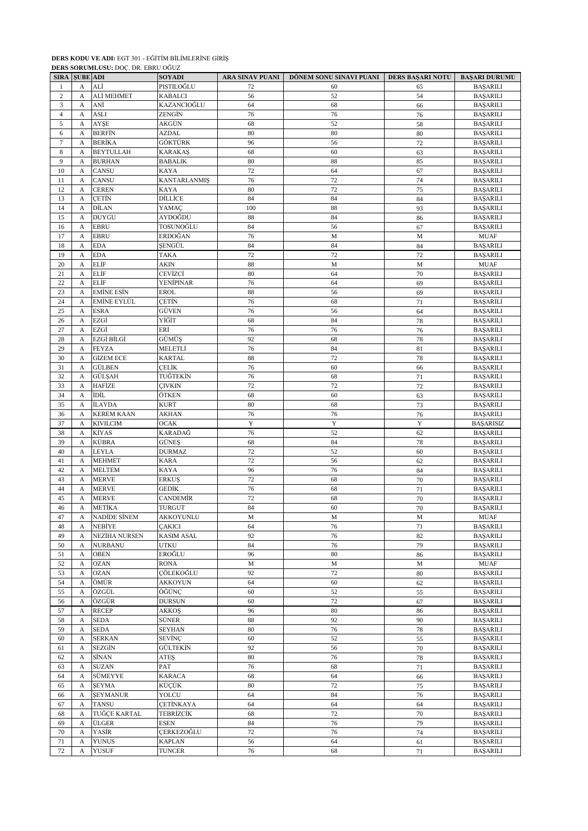|                | <b>SIRA SUBE ADI</b> | DERB BORGMEGSC. DOC. DR. EDRO OGOZ | <b>SOYADI</b>       | ARA SINAV PUANI | DÖNEM SONU SINAVI PUANI | DERS BAŞARI NOTU | <b>BAŞARI DURUMU</b> |
|----------------|----------------------|------------------------------------|---------------------|-----------------|-------------------------|------------------|----------------------|
| 1              | A                    | ALİ                                | PISTILOĞLU          | 72              | 60                      | 65               | <b>BAŞARILI</b>      |
| $\mathbf{2}$   | A                    | ALİ MEHMET                         | <b>KABALCI</b>      | 56              | 52                      | 54               | <b>BAŞARILI</b>      |
| 3              | A                    | ANİ                                | KAZANCIOĞLU         | 64              | 68                      | 66               | <b>BAŞARILI</b>      |
| $\overline{4}$ | A                    | <b>ASLI</b>                        | ZENGİN              | 76              | 76                      | 76               | <b>BAŞARILI</b>      |
| 5              | A                    | AYŞE                               | AKGÜN               | 68              | 52                      | 58               | <b>BAŞARILI</b>      |
| 6              | A                    | <b>BERFIN</b>                      | AZDAL               | 80              | 80                      | 80               | <b>BAŞARILI</b>      |
| $\tau$         | A                    | <b>BERİKA</b>                      | GÖKTÜRK             | 96              | 56                      | 72               | <b>BAŞARILI</b>      |
| 8              | A                    | <b>BEYTULLAH</b>                   | <b>KARAKAŞ</b>      | 68              | 60                      | 63               | <b>BAŞARILI</b>      |
| 9              | A                    | <b>BURHAN</b>                      | <b>BABALIK</b>      | 80              | 88                      | 85               | <b>BAŞARILI</b>      |
| $10\,$         | A                    | CANSU                              | KAYA                | 72              | 64                      | 67               | <b>BAŞARILI</b>      |
| 11             | А                    | CANSU                              | <b>KANTARLANMIŞ</b> | 76              | 72                      | 74               | <b>BAŞARILI</b>      |
| 12             | А                    | <b>CEREN</b>                       | KAYA                | 80              | 72                      | 75               | <b>BAŞARILI</b>      |
| 13             | A                    | CETİN                              | DİLLİCE             | 84              | 84                      | 84               | <b>BAŞARILI</b>      |
| 14             | А                    | DİLAN                              | YAMAÇ               | 100             | 88                      | 93               | <b>BAŞARILI</b>      |
| 15             | A                    | <b>DUYGU</b>                       | AYDOĞDU             | 88              | 84                      | 86               | <b>BAŞARILI</b>      |
| 16             | A                    | <b>EBRU</b>                        | TOSUNOĞLU           | 84              | 56                      | 67               | <b>BAŞARILI</b>      |
| 17             | A                    | <b>EBRU</b>                        | ERDOĞAN             | 76              | M                       | M                | <b>MUAF</b>          |
| 18             | A                    | <b>EDA</b>                         | SENGÜL              | 84              | 84                      | 84               | <b>BAŞARILI</b>      |
| 19             | А                    | <b>EDA</b>                         | <b>TAKA</b>         | 72              | 72                      | 72               | <b>BAŞARILI</b>      |
| 20             | A                    | ELİF                               | AKIN                | 88              | M                       | M                | <b>MUAF</b>          |
| 21             | A                    | ELİF                               | CEVİZCİ             | 80              | 64                      | 70               | <b>BAŞARILI</b>      |
| 22             | A                    | ELİF                               | YENİPINAR           | 76              | 64                      | 69               | <b>BAŞARILI</b>      |
| 23             | A                    | <b>EMİNE ESİN</b>                  | <b>EROL</b>         | 88              | 56                      | 69               | <b>BAŞARILI</b>      |
| 24             | A                    | <b>EMİNE EYLÜL</b>                 | <b>CETIN</b>        | 76              | 68                      | 71               | <b>BAŞARILI</b>      |
| 25             | A                    | <b>ESRA</b>                        | <b>GÜVEN</b>        | 76              | 56                      | 64               | <b>BAŞARILI</b>      |
| 26             | A                    | EZGİ                               | YİĞİT               | 68              | 84                      | 78               | <b>BAŞARILI</b>      |
| 27             | A                    | EZGİ                               | ERİ                 | 76              | 76                      | 76               | <b>BAŞARILI</b>      |
| 28             | A                    | EZGİ BİLGİ                         | GÜMÜŞ               | 92              | 68                      | 78               | <b>BAŞARILI</b>      |
| 29             | А                    | <b>FEYZA</b>                       | MELETLİ             | 76              | 84                      | 81               | <b>BAŞARILI</b>      |
| 30             | A                    | <b>GİZEM ECE</b>                   | <b>KARTAL</b>       | 88              | 72                      | 78               | <b>BAŞARILI</b>      |
| 31             | A                    | GÜLBEN                             | CELİK               | 76              | 60                      | 66               | <b>BAŞARILI</b>      |
| 32             | А                    | GÜLŞAH                             | TUĞTEKİN            | 76              | 68                      | 71               | <b>BAŞARILI</b>      |
| 33             | A                    | HAFİZE                             | <b>CIVKIN</b>       | 72              | 72                      | 72               | <b>BAŞARILI</b>      |
| 34             | A                    | İDİL                               | ÖTKEN               | 68              | 60                      | 63               | <b>BAŞARILI</b>      |
| 35             | A                    | <b>İLAYDA</b>                      | <b>KURT</b>         | 80              | 68                      | 73               | <b>BAŞARILI</b>      |
| 36             | A                    | <b>KEREM KAAN</b>                  | AKHAN               | 76              | 76                      | 76               | <b>BAŞARILI</b>      |
| 37             | А                    | <b>KIVILCIM</b>                    | <b>OCAK</b>         | Y               | $\mathbf Y$             | $\mathbf Y$      | <b>BAŞARISIZ</b>     |
| 38             | A                    | KİYAS                              | KARADAĞ             | 76              | 52                      | 62               | <b>BAŞARILI</b>      |
| 39             | A                    | KÜBRA                              | GÜNEŞ               | 68              | 84                      | 78               | <b>BAŞARILI</b>      |
| 40             | A                    | LEYLA                              | <b>DURMAZ</b>       | $72\,$          | 52                      | 60               | <b>BAŞARILI</b>      |
| 41             | A                    | <b>MEHMET</b>                      | <b>KARA</b>         | 72              | 56                      | 62               | <b>BAŞARILI</b>      |
| 42             | A                    | <b>MELTEM</b>                      | KAYA                | 96              | 76                      | 84               | <b>BAŞARILI</b>      |
| 43             | А                    | <b>MERVE</b>                       | <b>ERKUŞ</b>        | 72              | 68                      | 70               | <b>BAŞARILI</b>      |
| 44             | А                    | <b>MERVE</b>                       | GEDİK               | 76              | 68                      | 71               | <b>BAŞARILI</b>      |
| 45             | A                    | <b>MERVE</b>                       | CANDEMİR            | 72              | 68                      | 70               | <b>BAŞARILI</b>      |
| 46             | A                    | <b>METİKA</b>                      | <b>TURGUT</b>       | 84              | 60                      | 70               | <b>BAŞARILI</b>      |
| 47             | А                    | NADIDE SINEM                       | AKKOYUNLU           | M               | М                       | M                | <b>MUAF</b>          |
| 48             | А                    | NEBİYE                             | <b>CAKICI</b>       | 64              | 76                      | 71               | <b>BAŞARILI</b>      |
| 49             | A                    | NEZİHA NURSEN                      | <b>KASIM ASAL</b>   | 92              | 76                      | 82               | <b>BAŞARILI</b>      |
| 50             | А                    | <b>NURBANU</b>                     | <b>UTKU</b>         | 84              | 76                      | 79               | <b>BAŞARILI</b>      |
| 51             | A                    | <b>OBEN</b>                        | EROĞLU              | 96              | 80                      | 86               | <b>BAŞARILI</b>      |
| 52             | A                    | <b>OZAN</b>                        | <b>RONA</b>         | $\mathbf M$     | $\mathbf M$             | $\mathbf M$      | <b>MUAF</b>          |
| 53             | A                    | <b>OZAN</b>                        | ÇÖLEKOĞLU           | 92              | 72                      | $80\,$           | <b>BAŞARILI</b>      |
| 54             | A                    | ÖMÜR                               | <b>AKKOYUN</b>      | 64              | 60                      | 62               | <b>BAŞARILI</b>      |
| 55             | A                    | ÖZGÜL                              | ÖĞÜNÇ               | 60              | 52                      | 55               | <b>BAŞARILI</b>      |
| 56             | А                    | ÖZGÜR                              | <b>DURSUN</b>       | 60              | $72\,$                  | 67               | <b>BAŞARILI</b>      |
| 57             | A                    | <b>RECEP</b>                       | AKKOŞ               | 96              | 80                      | 86               | <b>BAŞARILI</b>      |
| 58             | A                    | SEDA                               | SÜNER               | 88              | 92                      | 90               | <b>BAŞARILI</b>      |
| 59             | $\mathbf{A}$         | <b>SEDA</b>                        | <b>SEYHAN</b>       | 80              | 76                      | 78               | <b>BAŞARILI</b>      |
| 60             | А                    | SERKAN                             | SEVİNÇ              | 60              | 52                      | 55               | <b>BAŞARILI</b>      |
| 61             | A                    | SEZGİN                             | GÜLTEKİN            | 92              | 56                      | $70\,$           | <b>BAŞARILI</b>      |
| 62             | А                    | SİNAN                              | ATES                | 80              | 76                      | 78               | <b>BAŞARILI</b>      |
| 63             | A                    | <b>SUZAN</b>                       | PAT                 | 76              | 68                      | 71               | <b>BAŞARILI</b>      |
| 64             | A                    | SÜMEYYE                            | <b>KARACA</b>       | 68              | 64                      | 66               | <b>BAŞARILI</b>      |
| 65             | A                    | <b>SEYMA</b>                       | KÜÇÜK               | 80              | 72                      | 75               | <b>BAŞARILI</b>      |
| 66             | A                    | <b>SEYMANUR</b>                    | YOLCU               | 64              | 84                      | 76               | <b>BAŞARILI</b>      |
| 67             | A                    | <b>TANSU</b>                       | <b>CETINKAYA</b>    | 64              | 64                      | 64               | <b>BAŞARILI</b>      |
| 68             | A                    | TUĞÇE KARTAL                       | <b>TEBRİZCİK</b>    | 68              | $72\,$                  | 70               | <b>BAŞARILI</b>      |
| 69             | A                    | ÜLGER                              | <b>ESEN</b>         | 84              | 76                      | 79               | <b>BAŞARILI</b>      |
| 70             | A                    | YASİR                              | CERKEZOĞLU          | 72              | 76                      | 74               | <b>BAŞARILI</b>      |
| 71             | A                    | <b>YUNUS</b>                       | <b>KAPLAN</b>       | 56              | 64                      | 61               | <b>BAŞARILI</b>      |
| 72             | A                    | <b>YUSUF</b>                       | <b>TUNCER</b>       | 76              | 68                      | 71               | <b>BAŞARILI</b>      |

**DERS SORUMLUSU:** DOÇ. DR. EBRU OĞUZ

**DERS KODU VE ADI:** EGT 301 - EĞİTİM BİLİMLERİNE GİRİŞ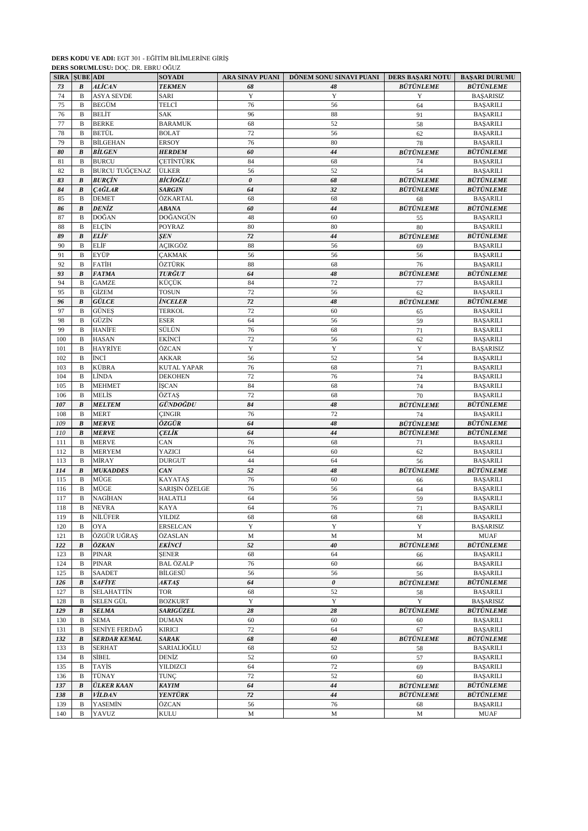|     |                      | <b>DERS SORUMLUSU:</b> DOÇ. DR. EBRU OGUZ |                 |                 |                         |                         |                      |
|-----|----------------------|-------------------------------------------|-----------------|-----------------|-------------------------|-------------------------|----------------------|
|     | <b>SIRA SUBE ADI</b> |                                           | <b>SOYADI</b>   | ARA SINAV PUANI | DÖNEM SONU SINAVI PUANI | <b>DERS BASARI NOTU</b> | <b>BAŞARI DURUMU</b> |
| 73  | $\boldsymbol{B}$     | <b>ALİCAN</b>                             | <b>TEKMEN</b>   | 68              | 48                      | <b>BÜTÜNLEME</b>        | <b>BÜTÜNLEME</b>     |
| 74  | $\mathbf B$          | <b>ASYA SEVDE</b>                         | <b>SARI</b>     | Y               | Y                       | Y                       | <b>BAŞARISIZ</b>     |
| 75  | B                    | BEGÜM                                     | TELCİ           | 76              | 56                      | 64                      | <b>BAŞARILI</b>      |
| 76  | B                    | <b>BELİT</b>                              | <b>SAK</b>      | 96              | 88                      | 91                      | <b>BAŞARILI</b>      |
| 77  | B                    | <b>BERKE</b>                              | <b>BARAMUK</b>  | 68              | 52                      | 58                      | <b>BAŞARILI</b>      |
| 78  | B                    | BETÜL                                     | <b>BOLAT</b>    | 72              | 56                      | 62                      | <b>BAŞARILI</b>      |
| 79  | B                    | <b>BİLGEHAN</b>                           | <b>ERSOY</b>    | 76              | 80                      | 78                      | <b>BAŞARILI</b>      |
|     |                      |                                           |                 |                 |                         |                         | <b>BÜTÜNLEME</b>     |
| 80  | B                    | <b>BİLGEN</b>                             | <b>HERDEM</b>   | 60              | 44                      | <b>BÜTÜNLEME</b>        |                      |
| 81  | $\mathbf B$          | <b>BURCU</b>                              | CETİNTÜRK       | 84              | 68                      | 74                      | <b>BAŞARILI</b>      |
| 82  | B                    | <b>BURCU TUĞÇENAZ</b>                     | ÜLKER           | 56              | 52                      | 54                      | <b>BAŞARILI</b>      |
| 83  | B                    | <b>BURCIN</b>                             | BICIOĞLU        | 0               | 68                      | <b>BÜTÜNLEME</b>        | <b>BÜTÜNLEME</b>     |
| 84  | $\pmb{B}$            | <b>CAĞLAR</b>                             | <b>SARGIN</b>   | 64              | 32                      | <b>BÜTÜNLEME</b>        | <b>BÜTÜNLEME</b>     |
| 85  | $\, {\bf B}$         | <b>DEMET</b>                              | ÖZKARTAL        | 68              | 68                      | 68                      | <b>BAŞARILI</b>      |
| 86  | B                    | DENİZ                                     | ABANA           | 60              | 44                      | <b>BÜTÜNLEME</b>        | <b>BÜTÜNLEME</b>     |
| 87  | $\mathbf B$          | DOĞAN                                     | DOĞANGÜN        | 48              | 60                      | 55                      | <b>BAŞARILI</b>      |
| 88  | B                    | ELÇİN                                     | <b>POYRAZ</b>   | 80              | 80                      | 80                      | <b>BAŞARILI</b>      |
| 89  | B                    | ELİF                                      |                 | 72              | 44                      | <b>BÜTÜNLEME</b>        | <b>BÜTÜNLEME</b>     |
|     |                      |                                           | ŞEN             |                 |                         |                         |                      |
| 90  | B                    | ELİF                                      | AÇIKGÖZ         | 88              | 56                      | 69                      | <b>BAŞARILI</b>      |
| 91  | B                    | EYÜP                                      | <b>CAKMAK</b>   | 56              | 56                      | 56                      | <b>BAŞARILI</b>      |
| 92  | B                    | FATİH                                     | ÖZTÜRK          | 88              | 68                      | 76                      | <b>BAŞARILI</b>      |
| 93  | $\boldsymbol{B}$     | <b>FATMA</b>                              | TURĞUT          | 64              | 48                      | <b>BÜTÜNLEME</b>        | <b>BÜTÜNLEME</b>     |
| 94  | B                    | <b>GAMZE</b>                              | KÜCÜK           | 84              | 72                      | 77                      | <b>BAŞARILI</b>      |
| 95  | B                    | <b>GİZEM</b>                              | <b>TOSUN</b>    | 72              | 56                      | 62                      | <b>BAŞARILI</b>      |
| 96  | B                    | GÜLCE                                     | İNCELER         | 72              | 48                      | <b>BÜTÜNLEME</b>        | <b>BÜTÜNLEME</b>     |
| 97  | B                    | GÜNEŞ                                     | TERKOL          | 72              | 60                      | 65                      | <b>BAŞARILI</b>      |
| 98  | $\mathbf B$          | GÜZİN                                     | ESER            | 64              | 56                      | 59                      | <b>BASARILI</b>      |
|     |                      |                                           |                 |                 |                         |                         |                      |
| 99  | B                    | HANİFE                                    | SÜLÜN           | 76              | 68                      | 71                      | <b>BAŞARILI</b>      |
| 100 | B                    | <b>HASAN</b>                              | EKİNCİ          | 72              | 56                      | 62                      | <b>BAŞARILI</b>      |
| 101 | B                    | HAYRİYE                                   | ÖZCAN           | Y               | Y                       | Y                       | <b>BAŞARISIZ</b>     |
| 102 | B                    | İNCİ                                      | AKKAR           | 56              | 52                      | 54                      | <b>BAŞARILI</b>      |
| 103 | B                    | KÜBRA                                     | KUTAL YAPAR     | 76              | 68                      | 71                      | <b>BAŞARILI</b>      |
| 104 | B                    | <b>LİNDA</b>                              | DEKOHEN         | 72              | 76                      | 74                      | <b>BAŞARILI</b>      |
| 105 | B                    | <b>MEHMET</b>                             | İŞCAN           | 84              | 68                      | 74                      | <b>BAŞARILI</b>      |
| 106 | B                    | MELİS                                     | ÖZTAŞ           | 72              | 68                      | 70                      | <b>BAŞARILI</b>      |
|     |                      |                                           | GÜNDOĞDU        | 84              |                         | <b>BÜTÜNLEME</b>        |                      |
| 107 | B                    | <b>MELTEM</b>                             |                 |                 | 48                      |                         | <b>BÜTÜNLEME</b>     |
| 108 | B                    | <b>MERT</b>                               | ÇINGIR          | 76              | 72                      | 74                      | <b>BAŞARILI</b>      |
| 109 | B                    | <b>MERVE</b>                              | ÖZGÜR           | 64              | 48                      | <b>BÜTÜNLEME</b>        | <b>BÜTÜNLEME</b>     |
| 110 | $\boldsymbol{B}$     | <b>MERVE</b>                              | CELİK           | 64              | 44                      | <b>BÜTÜNLEME</b>        | <b>BÜTÜNLEME</b>     |
| 111 | B                    | <b>MERVE</b>                              | CAN             | 76              | 68                      | 71                      | <b>BAŞARILI</b>      |
| 112 | B                    | <b>MERYEM</b>                             | YAZICI          | 64              | 60                      | 62                      | <b>BAŞARILI</b>      |
| 113 | B                    | MİRAY                                     | <b>DURGUT</b>   | 44              | 64                      | 56                      | <b>BAŞARILI</b>      |
| 114 | B                    | <b>MUKADDES</b>                           | CAN             | 52              | 48                      | <b>BÜTÜNLEME</b>        | <b>BÜTÜNLEME</b>     |
| 115 | B                    | MÜGE                                      | <b>KAYATAŞ</b>  | 76              | 60                      | 66                      | <b>BAŞARILI</b>      |
| 116 | B                    | MÜGE                                      | SARIŞIN ÖZELGE  | 76              | 56                      | 64                      | <b>BAŞARILI</b>      |
|     |                      |                                           |                 |                 |                         |                         |                      |
| 117 | $\, {\bf B}$         | NAGİHAN                                   | HALATLI         | 64              | 56                      | 59                      | <b>BAŞARILI</b>      |
| 118 | $\bf{B}$             | <b>NEVRA</b>                              | <b>KAYA</b>     | 64              | 76                      | 71                      | <b>BAŞARILI</b>      |
| 119 | В                    | NİLÜFER                                   | <b>YILDIZ</b>   | 68              | 68                      | 68                      | <b>BAŞARILI</b>      |
| 120 | В                    | <b>OYA</b>                                | <b>ERSELCAN</b> | Y               | Y                       | Y                       | <b>BAŞARISIZ</b>     |
| 121 | B                    | ÖZGÜR UĞRAŞ                               | ÖZASLAN         | M               | $\mathbf M$             | $\mathbf M$             | <b>MUAF</b>          |
| 122 | $\boldsymbol{B}$     | ÖZKAN                                     | EKİNCİ          | 52              | 40                      | <b>BÜTÜNLEME</b>        | <b>BÜTÜNLEME</b>     |
| 123 | B                    | <b>PINAR</b>                              | ŞENER           | 68              | 64                      | 66                      | <b>BAŞARILI</b>      |
| 124 | B                    | PINAR                                     | BAL ÖZALP       | 76              | 60                      | 66                      | <b>BASARILI</b>      |
| 125 | B                    | <b>SAADET</b>                             | BİLGESÜ         | 56              | 56                      | 56                      | <b>BAŞARILI</b>      |
|     |                      |                                           |                 |                 |                         |                         |                      |
| 126 | B                    | SAFİYE                                    | AKTAŞ           | 64              | 0                       | <b>BÜTÜNLEME</b>        | <b>BÜTÜNLEME</b>     |
| 127 | B                    | <b>SELAHATTİN</b>                         | TOR             | 68              | 52                      | 58                      | <b>BAŞARILI</b>      |
| 128 | B                    | SELEN GÜL                                 | <b>BOZKURT</b>  | Y               | Y                       | Y                       | <b>BAŞARISIZ</b>     |
| 129 | $\boldsymbol{B}$     | <b>SELMA</b>                              | SARIGÜZEL       | $\sqrt{28}$     | $28\,$                  | <b>BÜTÜNLEME</b>        | <b>BÜTÜNLEME</b>     |
| 130 | B                    | <b>SEMA</b>                               | <b>DUMAN</b>    | 60              | 60                      | 60                      | <b>BAŞARILI</b>      |
| 131 | B                    | SENİYE FERDAĞ                             | KIRICI          | 72              | 64                      | 67                      | <b>BAŞARILI</b>      |
| 132 | B                    | <b>SERDAR KEMAL</b>                       | <b>SARAK</b>    | 68              | 40                      | <i><b>BÜTÜNLEME</b></i> | <b>BÜTÜNLEME</b>     |
| 133 | B                    | <b>SERHAT</b>                             | SARIALİOĞLU     | 68              | 52                      | 58                      | <b>BAŞARILI</b>      |
| 134 | B                    | SİBEL                                     | DENİZ           | 52              | 60                      |                         | <b>BAŞARILI</b>      |
|     |                      |                                           |                 |                 |                         | 57                      |                      |
| 135 | B                    | TAYİS                                     | YILDIZCI        | 64              | 72                      | 69                      | <b>BAŞARILI</b>      |
| 136 | B                    | TÜNAY                                     | TUNÇ            | 72              | 52                      | 60                      | <b>BAŞARILI</b>      |
| 137 | B                    | <b>ÜLKER KAAN</b>                         | <b>KAYIM</b>    | 64              | 44                      | <b>BÜTÜNLEME</b>        | <b>BÜTÜNLEME</b>     |
| 138 | B                    | <b>VİLDAN</b>                             | YENTÜRK         | 72              | 44                      | <b>BÜTÜNLEME</b>        | <b>BÜTÜNLEME</b>     |
| 139 | B                    | YASEMİN                                   | ÖZCAN           | 56              | 76                      | 68                      | <b>BAŞARILI</b>      |
| 140 | B                    | YAVUZ                                     | KULU            | M               | М                       | M                       | <b>MUAF</b>          |

**DERS SORUMLUSU:** DOÇ. DR. EBRU OĞUZ

**DERS KODU VE ADI:** EGT 301 - EĞİTİM BİLİMLERİNE GİRİŞ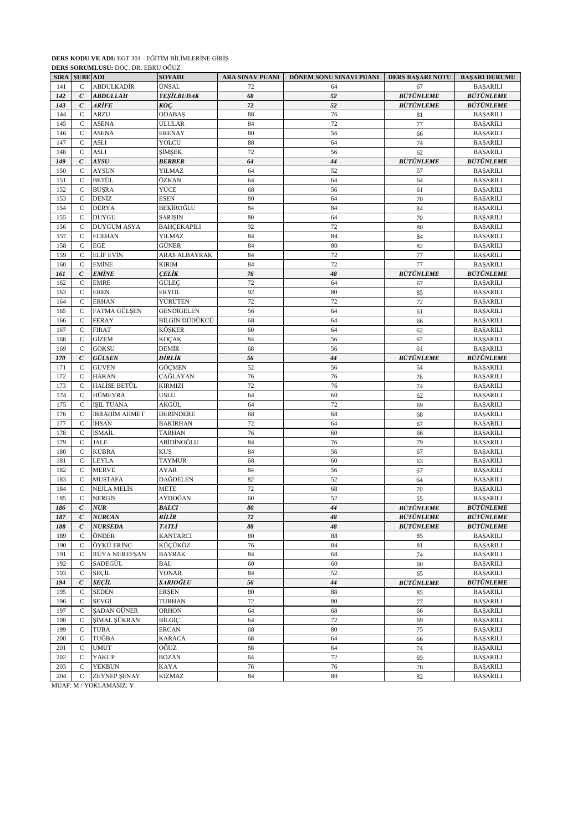|             |                  | <b>DERS SORUMLUSU:</b> DOC. DR. EBRU OGUZ |                   |                 |                         |                  |                         |
|-------------|------------------|-------------------------------------------|-------------------|-----------------|-------------------------|------------------|-------------------------|
| <b>SIRA</b> | <b>SUBE ADI</b>  |                                           | <b>SOYADI</b>     | ARA SINAV PUANI | DÖNEM SONU SINAVI PUANI | DERS BAŞARI NOTU | <b>BAŞARI DURUMU</b>    |
| 141         | $\mathsf{C}$     | ABDULKADİR                                | ÜNSAL             | 72              | 64                      | 67               | <b>BAŞARILI</b>         |
| 142         | $\epsilon$       | <b>ABDULLAH</b>                           | <b>YEŞİLBUDAK</b> | 68              | 52                      | <b>BÜTÜNLEME</b> | <b>BÜTÜNLEME</b>        |
| 143         | $\mathcal{C}$    | ARİFE                                     | KOÇ               | 72              | 52                      | <b>BÜTÜNLEME</b> | <b>BÜTÜNLEME</b>        |
| 144         | C                | <b>ARZU</b>                               | <b>ODABAŞ</b>     | 88              | 76                      | 81               | <b>BAŞARILI</b>         |
| 145         | C                | <b>ASENA</b>                              | <b>ULULAR</b>     | 84              | 72                      | 77               | <b>BAŞARILI</b>         |
| 146         | $\mathbf C$      | <b>ASENA</b>                              | <b>ERENAY</b>     | 80              | 56                      | 66               | <b>BAŞARILI</b>         |
| 147         | $\mathsf{C}$     | <b>ASLI</b>                               | YOLCU             | 88              | 64                      | 74               | <b>BAŞARILI</b>         |
| 148         | $\mathsf{C}$     | <b>ASLI</b>                               | ŞİMŞEK            | 72              | 56                      | 62               | <b>BAŞARILI</b>         |
|             |                  |                                           |                   |                 |                         |                  |                         |
| 149         | $\epsilon$       | <b>AYSU</b>                               | <b>BERBER</b>     | 64              | 44                      | <b>BÜTÜNLEME</b> | <b>BÜTÜNLEME</b>        |
| 150         | $\mathcal{C}$    | <b>AYSUN</b>                              | YILMAZ            | 64              | 52                      | 57               | <b>BAŞARILI</b>         |
| 151         | C                | BETÜL                                     | ÖZKAN             | 64              | 64                      | 64               | <b>BAŞARILI</b>         |
| 152         | $\mathsf{C}$     | <b>BÜSRA</b>                              | YÜCE              | 68              | 56                      | 61               | <b>BAŞARILI</b>         |
| 153         | $\mathsf{C}$     | DENİZ                                     | <b>ESEN</b>       | 80              | 64                      | 70               | <b>BAŞARILI</b>         |
| 154         | $\mathsf{C}$     | <b>DERYA</b>                              | BEKİROĞLU         | 84              | 84                      | 84               | <b>BAŞARILI</b>         |
| 155         | $\mathcal{C}$    | <b>DUYGU</b>                              | <b>SARISIN</b>    | 80              | 64                      | 70               | <b>BAŞARILI</b>         |
| 156         | C                | <b>DUYGUM ASYA</b>                        | BAHÇEKAPILI       | 92              | 72                      | 80               | <b>BAŞARILI</b>         |
| 157         | $\mathsf{C}$     | <b>ECEHAN</b>                             | YILMAZ            | 84              | 84                      | 84               | <b>BAŞARILI</b>         |
| 158         | C                | <b>EGE</b>                                | GÜNER             | 84              | 80                      | 82               | <b>BAŞARILI</b>         |
| 159         | $\mathsf{C}$     | <b>ELIF EVIN</b>                          | ARAS ALBAYRAK     | 84              | 72                      | 77               | <b>BAŞARILI</b>         |
| 160         | $\mathsf{C}$     | <b>EMINE</b>                              | <b>KIRIM</b>      | 84              | 72                      | 77               | <b>BAŞARILI</b>         |
| 161         | $\mathcal C$     | <b>EMİNE</b>                              | ÇELİK             | 76              | 48                      | <b>BÜTÜNLEME</b> | <b>BÜTÜNLEME</b>        |
| 162         | $\mathcal{C}$    | <b>EMRE</b>                               | GÜLEÇ             | 72              | 64                      | 67               | <b>BAŞARILI</b>         |
|             |                  |                                           |                   |                 |                         |                  |                         |
| 163         | C                | <b>EREN</b>                               | <b>ERYOL</b>      | 92              | 80                      | 85               | <b>BAŞARILI</b>         |
| 164         | C                | <b>ERHAN</b>                              | YÜRÜTEN           | 72              | 72                      | 72               | <b>BAŞARILI</b>         |
| 165         | $\mathsf{C}$     | FATMA GÜLSEN                              | GENDİGELEN        | 56              | 64                      | 61               | <b>BAŞARILI</b>         |
| 166         | C                | <b>FERAY</b>                              | BİLGİN DÜDÜKCÜ    | 68              | 64                      | 66               | <b>BAŞARILI</b>         |
| 167         | $\mathsf{C}$     | <b>FIRAT</b>                              | KÖŞKER            | 60              | 64                      | 62               | <b>BAŞARILI</b>         |
| 168         | C                | GİZEM                                     | KOÇAK             | 84              | 56                      | 67               | <b>BAŞARILI</b>         |
| 169         | C                | GÖKSU                                     | DEMİR             | 68              | 56                      | 61               | <b>BASARILI</b>         |
| 170         | $\boldsymbol{C}$ | GÜLSEN                                    | DİRLİK            | 56              | 44                      | <b>BÜTÜNLEME</b> | <b>BÜTÜNLEME</b>        |
| 171         | $\mathcal{C}$    | GÜVEN                                     | <b>GÖCMEN</b>     | 52              | 56                      | 54               | <b>BAŞARILI</b>         |
| 172         | $\mathsf{C}$     | <b>HAKAN</b>                              | ÇAĞLAYAN          | 76              | 76                      | 76               | <b>BAŞARILI</b>         |
| 173         | C                | HALİSE BETÜL                              | KIRMIZI           | 72              | 76                      | 74               | <b>BAŞARILI</b>         |
| 174         | $\mathsf{C}$     | HÜMEYRA                                   | <b>USLU</b>       | 64              | 60                      | 62               | <b>BAŞARILI</b>         |
| 175         | C                | <b>ISIL TUANA</b>                         | AKGÜL             | 64              | 72                      | 69               | <b>BAŞARILI</b>         |
|             |                  |                                           |                   |                 |                         |                  |                         |
| 176         | C                | İBRAHİM AHMET                             | DERİNDERE         | 68              | 68                      | 68               | <b>BAŞARILI</b>         |
| 177         | $\mathsf{C}$     | İHSAN                                     | <b>BAKIRHAN</b>   | 72              | 64                      | 67               | <b>BAŞARILI</b>         |
| 178         | $\mathsf{C}$     | İSMAİL                                    | <b>TARHAN</b>     | 76              | 60                      | 66               | <b>BAŞARILI</b>         |
| 179         | $\mathsf{C}$     | <b>JALE</b>                               | ABİDİNOĞLU        | 84              | 76                      | 79               | <b>BAŞARILI</b>         |
| 180         | C                | KÜBRA                                     | KUŞ               | 84              | 56                      | 67               | <b>BAŞARILI</b>         |
| 181         | C                | LEYLA                                     | <b>TAYMUR</b>     | 68              | 60                      | 63               | <b>BAŞARILI</b>         |
| 182         | C                | <b>MERVE</b>                              | AYAR              | 84              | 56                      | 67               | <b>BAŞARILI</b>         |
| 183         | C                | <b>MUSTAFA</b>                            | DAĞDELEN          | 82              | 52                      | 64               | <b>BAŞARILI</b>         |
| 184         | $\mathsf{C}$     | <b>NEJLA MELIS</b>                        | <b>METE</b>       | 72              | 68                      | 70               | <b>BAŞARILI</b>         |
| 185         | $\mathbf C$      | NERGIS                                    | AYDOĞAN           | 60              | 52                      | 55               | <b>BAŞARILI</b>         |
| 186         | $\mathcal{C}$    | <b>NUR</b>                                | <b>BALCI</b>      | 80              | 44                      | <b>BÜTÜNLEME</b> | <i><b>BÜTÜNLEME</b></i> |
| 187         | $\boldsymbol{C}$ | <b>NURCAN</b>                             | BİLİR             | $72\,$          | 48                      | <b>BÜTÜNLEME</b> | <b>BÜTÜNLEME</b>        |
| 188         | $\mathcal C$     | <b>NURSEDA</b>                            | <i>TATLİ</i>      | 88              | 48                      | <b>BÜTÜNLEME</b> | <b>BÜTÜNLEME</b>        |
| 189         | C                | ÖNDER                                     | <b>KANTARCI</b>   | 80              | 88                      | 85               | <b>BAŞARILI</b>         |
|             |                  |                                           | KÜÇÜKÖZ           |                 |                         |                  |                         |
| 190         | $\mathsf{C}$     | ÖYKÜ ERİNÇ                                |                   | 76              | 84                      | 81               | <b>BAŞARILI</b>         |
| 191         | $\mathbf C$      | RÜYA NUREFSAN                             | <b>BAYRAK</b>     | 84              | 68                      | 74               | <b>BAŞARILI</b>         |
| 192         | $\mathbf C$      | SADEGÜL                                   | <b>BAL</b>        | 60              | 60                      | 60               | <b>BAŞARILI</b>         |
| 193         | $\mathbf C$      | SEÇİL                                     | YONAR             | 84              | 52                      | 65               | <b>BAŞARILI</b>         |
| 194         | $\epsilon$       | <b>SEÇİL</b>                              | SARIOĞLU          | 56              | 44                      | <b>BÜTÜNLEME</b> | <b>BÜTÜNLEME</b>        |
| 195         | $\mathsf{C}$     | <b>SEDEN</b>                              | <b>ERSEN</b>      | 80              | 88                      | 85               | <b>BAŞARILI</b>         |
| 196         | $\mathsf{C}$     | SEVGİ                                     | <b>TURHAN</b>     | 72              | 80                      | 77               | <b>BAŞARILI</b>         |
| 197         | $\mathsf{C}$     | ŞADAN GÜNER                               | ORHON             | 64              | 68                      | 66               | <b>BAŞARILI</b>         |
| 198         | $\mathsf{C}$     | ŞİMAL ŞÜKRAN                              | BİLGİÇ            | 64              | 72                      | 69               | <b>BAŞARILI</b>         |
| 199         | $\mathsf{C}$     | <b>TUBA</b>                               | ERCAN             | 68              | 80                      | 75               | <b>BAŞARILI</b>         |
| 200         | $\mathsf{C}$     | TUĞBA                                     | KARACA            | 68              | 64                      | 66               | <b>BAŞARILI</b>         |
|             |                  |                                           |                   |                 |                         |                  |                         |
| 201         | C                | <b>UMUT</b>                               | OĞUZ              | 88              | 64                      | 74               | <b>BAŞARILI</b>         |
| 202         | $\mathsf{C}$     | <b>YAKUP</b>                              | <b>BOZAN</b>      | 64              | 72                      | 69               | <b>BAŞARILI</b>         |
| 203         | C                | YEKBUN                                    | KAYA              | 76              | 76                      | 76               | <b>BAŞARILI</b>         |
| 204         | C                | ZEYNEP ŞENAY                              | KIZMAZ            | 84              | 80                      | 82               | <b>BAŞARILI</b>         |
|             |                  | MUAF: M / YOKLAMASIZ: Y                   |                   |                 |                         |                  |                         |

**DERS KODU VE ADI:** EGT 301 - EĞİTİM BİLİMLERİNE GİRİŞ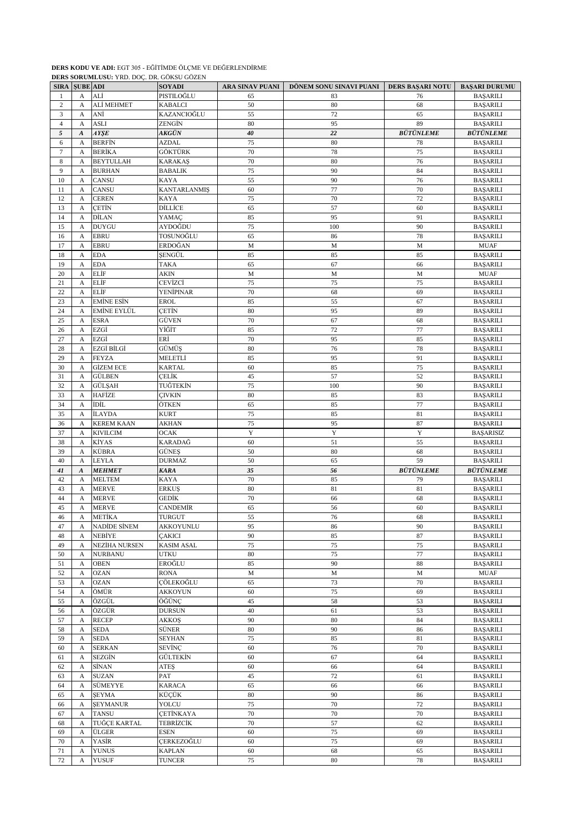|                |                       | DERS SORUMLUSU: YRD. DOÇ. DR. GOKSU GOZEN |                     |                 |                         |                         |                       |
|----------------|-----------------------|-------------------------------------------|---------------------|-----------------|-------------------------|-------------------------|-----------------------|
| <b>SIRA</b>    | <b>SUBE ADI</b>       |                                           | <b>SOYADI</b>       | ARA SINAV PUANI | DÖNEM SONU SINAVI PUANI | <b>DERS BAŞARI NOTU</b> | <b>BAŞARI DURUMU</b>  |
| 1              | A                     | ALİ                                       | PISTILOĞLU          | 65              | 83                      | 76                      | <b>BASARILI</b>       |
| $\mathbf{2}$   | $\mathbf{A}$          | ALİ MEHMET                                | <b>KABALCI</b>      | 50              | 80                      | 68                      | <b>BAŞARILI</b>       |
| 3              | A                     | ANİ                                       | KAZANCIOĞLU         | 55              | 72                      | 65                      | <b>BAŞARILI</b>       |
| $\overline{4}$ | A                     | <b>ASLI</b>                               | ZENGİN              | 80              | 95                      | 89                      | <b>BAŞARILI</b>       |
|                |                       |                                           |                     |                 |                         |                         |                       |
| 5              | $\boldsymbol{A}$      | AYŞE                                      | AKGÜN               | 40              | 22                      | <b>BÜTÜNLEME</b>        | <b>BÜTÜNLEME</b>      |
| 6              | A                     | <b>BERFIN</b>                             | <b>AZDAL</b>        | 75              | 80                      | 78                      | <b>BAŞARILI</b>       |
| $\overline{7}$ | A                     | <b>BERİKA</b>                             | GÖKTÜRK             | 70              | 78                      | 75                      | <b>BAŞARILI</b>       |
| 8              | A                     | <b>BEYTULLAH</b>                          | <b>KARAKAS</b>      | 70              | 80                      | 76                      | <b>BAŞARILI</b>       |
| 9              | A                     | <b>BURHAN</b>                             | <b>BABALIK</b>      | 75              | 90                      | 84                      | <b>BAŞARILI</b>       |
|                |                       |                                           |                     | 55              |                         |                         |                       |
| 10             | A                     | CANSU                                     | <b>KAYA</b>         |                 | 90                      | 76                      | <b>BAŞARILI</b>       |
| 11             | A                     | CANSU                                     | <b>KANTARLANMIŞ</b> | 60              | 77                      | 70                      | <b>BAŞARILI</b>       |
| 12             | A                     | <b>CEREN</b>                              | <b>KAYA</b>         | 75              | 70                      | 72                      | <b>BAŞARILI</b>       |
| 13             | A                     | CETİN                                     | DİLLİCE             | 65              | 57                      | 60                      | <b>BAŞARILI</b>       |
| 14             | A                     | DİLAN                                     | YAMAC               | 85              | 95                      | 91                      | <b>BAŞARILI</b>       |
| 15             | A                     | <b>DUYGU</b>                              | AYDOĞDU             | 75              | 100                     | 90                      | <b>BAŞARILI</b>       |
|                |                       |                                           | TOSUNOĞLU           | 65              | 86                      | 78                      |                       |
| 16             | A                     | <b>EBRU</b>                               |                     |                 |                         |                         | <b>BAŞARILI</b>       |
| 17             | A                     | <b>EBRU</b>                               | ERDOĞAN             | M               | M                       | M                       | $\operatorname{MUAF}$ |
| 18             | А                     | <b>EDA</b>                                | <b>SENGÜL</b>       | 85              | 85                      | 85                      | <b>BASARILI</b>       |
| 19             | A                     | <b>EDA</b>                                | <b>TAKA</b>         | 65              | 67                      | 66                      | <b>BAŞARILI</b>       |
| 20             | A                     | ELİF                                      | AKIN                | M               | M                       | M                       | <b>MUAF</b>           |
| 21             | A                     | ELİF                                      | CEVİZCİ             | 75              | 75                      | 75                      |                       |
|                |                       |                                           |                     |                 |                         |                         | <b>BAŞARILI</b>       |
| 22             | A                     | ELİF                                      | <b>YENİPINAR</b>    | 70              | 68                      | 69                      | <b>BAŞARILI</b>       |
| 23             | A                     | <b>EMINE ESIN</b>                         | <b>EROL</b>         | 85              | 55                      | 67                      | <b>BAŞARILI</b>       |
| 24             | A                     | <b>EMİNE EYLÜL</b>                        | CETIN               | 80              | 95                      | 89                      | <b>BAŞARILI</b>       |
| 25             | A                     | <b>ESRA</b>                               | GÜVEN               | 70              | 67                      | 68                      | <b>BASARILI</b>       |
| 26             | A                     | EZGİ                                      | YİĞİT               | 85              | 72                      | 77                      | <b>BAŞARILI</b>       |
|                |                       | EZGİ                                      | ERİ                 | 70              |                         |                         |                       |
| 27             | A                     |                                           |                     |                 | 95                      | 85                      | <b>BAŞARILI</b>       |
| 28             | A                     | EZGİ BİLGİ                                | GÜMÜŞ               | 80              | 76                      | 78                      | <b>BAŞARILI</b>       |
| 29             | A                     | <b>FEYZA</b>                              | MELETLİ             | 85              | 95                      | 91                      | <b>BAŞARILI</b>       |
| 30             | A                     | <b>GİZEM ECE</b>                          | <b>KARTAL</b>       | 60              | 85                      | 75                      | <b>BAŞARILI</b>       |
| 31             | A                     | <b>GÜLBEN</b>                             | CELİK               | 45              | 57                      | 52                      | <b>BAŞARILI</b>       |
| 32             | A                     | GÜLŞAH                                    | TUĞTEKİN            | 75              | 100                     | 90                      | <b>BAŞARILI</b>       |
|                |                       |                                           |                     |                 |                         |                         |                       |
| 33             | A                     | HAFİZE                                    | <b>CIVKIN</b>       | 80              | 85                      | 83                      | <b>BAŞARILI</b>       |
| 34             | $\mathbf{A}$          | İDİL                                      | ÖTKEN               | 65              | 85                      | 77                      | <b>BAŞARILI</b>       |
| 35             | A                     | İLAYDA                                    | <b>KURT</b>         | 75              | 85                      | 81                      | <b>BAŞARILI</b>       |
| 36             | A                     | <b>KEREM KAAN</b>                         | <b>AKHAN</b>        | 75              | 95                      | 87                      | <b>BAŞARILI</b>       |
| 37             | А                     | <b>KIVILCIM</b>                           | <b>OCAK</b>         | Y               | Y                       | Y                       | <b>BAŞARISIZ</b>      |
|                |                       |                                           |                     | 60              |                         |                         |                       |
| 38             | A                     | KİYAS                                     | KARADAĞ             |                 | 51                      | 55                      | <b>BAŞARILI</b>       |
| 39             | A                     | KÜBRA                                     | <b>GÜNES</b>        | 50              | 80                      | 68                      | <b>BAŞARILI</b>       |
| 40             | A                     | <b>LEYLA</b>                              | <b>DURMAZ</b>       | 50              | 65                      | 59                      | <b>BAŞARILI</b>       |
| 41             | $\boldsymbol{A}$      | <b>MEHMET</b>                             | <b>KARA</b>         | 35              | 56                      | <b>BÜTÜNLEME</b>        | <b>BÜTÜNLEME</b>      |
| 42             | A                     | <b>MELTEM</b>                             | <b>KAYA</b>         | 70              | 85                      | 79                      | <b>BAŞARILI</b>       |
| 43             | A                     | <b>MERVE</b>                              | <b>ERKUS</b>        | 80              | 81                      | 81                      | <b>BAŞARILI</b>       |
|                |                       |                                           |                     |                 |                         |                         |                       |
| 44             | A                     | <b>MERVE</b>                              | GEDİK               | 70              | 66                      | 68                      | <b>BAŞARILI</b>       |
| 45             | A                     | MERVE                                     | <b>CANDEMIR</b>     | 65              | 56                      | 60                      | <b>BAŞARILI</b>       |
| 46             | A                     | <b>METİKA</b>                             | <b>TURGUT</b>       | 55              | 76                      | 68                      | <b>BASARILI</b>       |
| 47             | А                     | NADİDE SİNEM                              | AKKOYUNLU           | 95              | 86                      | 90                      | <b>BAŞARILI</b>       |
| 48             | A                     | NEBİYE                                    | <b>CAKICI</b>       | 90              | 85                      | 87                      | <b>BAŞARILI</b>       |
| 49             | A                     | NEZİHA NURSEN                             | <b>KASIM ASAL</b>   | 75              | 75                      | 75                      | <b>BAŞARILI</b>       |
|                |                       |                                           |                     |                 |                         |                         |                       |
| 50             | A                     | <b>NURBANU</b>                            | <b>UTKU</b>         | 80              | 75                      | 77                      | <b>BAŞARILI</b>       |
| 51             | A                     | <b>OBEN</b>                               | EROĞLU              | 85              | 90                      | 88                      | <b>BAŞARILI</b>       |
| 52             | A                     | <b>OZAN</b>                               | <b>RONA</b>         | $\mathbf M$     | $\mathbf M$             | $\mathbf M$             | <b>MUAF</b>           |
| 53             | $\boldsymbol{A}$      | <b>OZAN</b>                               | ÇÖLEKOĞLU           | 65              | 73                      | 70                      | <b>BAŞARILI</b>       |
| 54             | А                     | ÖMÜR                                      | <b>AKKOYUN</b>      | 60              | 75                      | 69                      | <b>BAŞARILI</b>       |
| 55             | A                     | ÖZGÜL                                     | ÖĞÜNÇ               | 45              | 58                      | 53                      | <b>BAŞARILI</b>       |
|                |                       |                                           |                     |                 |                         |                         |                       |
| 56             | A                     | ÖZGÜR                                     | <b>DURSUN</b>       | 40              | 61                      | 53                      | <b>BAŞARILI</b>       |
| 57             | A                     | <b>RECEP</b>                              | AKKOŞ               | 90              | 80                      | 84                      | <b>BAŞARILI</b>       |
| 58             | $\boldsymbol{\rm{A}}$ | <b>SEDA</b>                               | SÜNER               | $80\,$          | 90                      | 86                      | <b>BAŞARILI</b>       |
| 59             | A                     | SEDA                                      | <b>SEYHAN</b>       | 75              | 85                      | 81                      | <b>BAŞARILI</b>       |
| 60             | A                     | <b>SERKAN</b>                             | <b>SEVİNÇ</b>       | 60              | 76                      | $70\,$                  | <b>BAŞARILI</b>       |
| 61             | A                     | SEZGİN                                    | GÜLTEKİN            | 60              | 67                      | 64                      | <b>BAŞARILI</b>       |
|                |                       |                                           |                     |                 |                         |                         |                       |
| 62             | A                     | SİNAN                                     | <b>ATES</b>         | 60              | 66                      | 64                      | <b>BAŞARILI</b>       |
| 63             | A                     | <b>SUZAN</b>                              | PAT                 | 45              | 72                      | 61                      | <b>BAŞARILI</b>       |
| 64             | A                     | SÜMEYYE                                   | <b>KARACA</b>       | 65              | 66                      | 66                      | <b>BAŞARILI</b>       |
| 65             | $\mathbf{A}$          | <b>SEYMA</b>                              | KÜÇÜK               | 80              | 90                      | 86                      | <b>BAŞARILI</b>       |
| 66             | A                     | <b>ŞEYMANUR</b>                           | YOLCU               | $75\,$          | 70                      | $72\,$                  | <b>BAŞARILI</b>       |
|                |                       | <b>TANSU</b>                              | <b>CETINKAYA</b>    | 70              | $70\,$                  | 70                      |                       |
| 67             | А                     |                                           |                     |                 |                         |                         | <b>BAŞARILI</b>       |
| 68             | A                     | TUĞÇE KARTAL                              | <b>TEBRİZCİK</b>    | $70\,$          | 57                      | 62                      | <b>BAŞARILI</b>       |
| 69             | A                     | ÜLGER                                     | <b>ESEN</b>         | 60              | 75                      | 69                      | <b>BAŞARILI</b>       |
| 70             | A                     | YASİR                                     | CERKEZOĞLU          | 60              | 75                      | 69                      | <b>BAŞARILI</b>       |
| 71             | A                     | <b>YUNUS</b>                              | <b>KAPLAN</b>       | 60              | 68                      | 65                      | <b>BAŞARILI</b>       |
| 72             | A                     | <b>YUSUF</b>                              | <b>TUNCER</b>       | 75              | 80                      | $78\,$                  | <b>BAŞARILI</b>       |
|                |                       |                                           |                     |                 |                         |                         |                       |

**DERS KODU VE ADI:** EGT 305 - EĞİTİMDE ÖLÇME VE DEĞERLENDİRME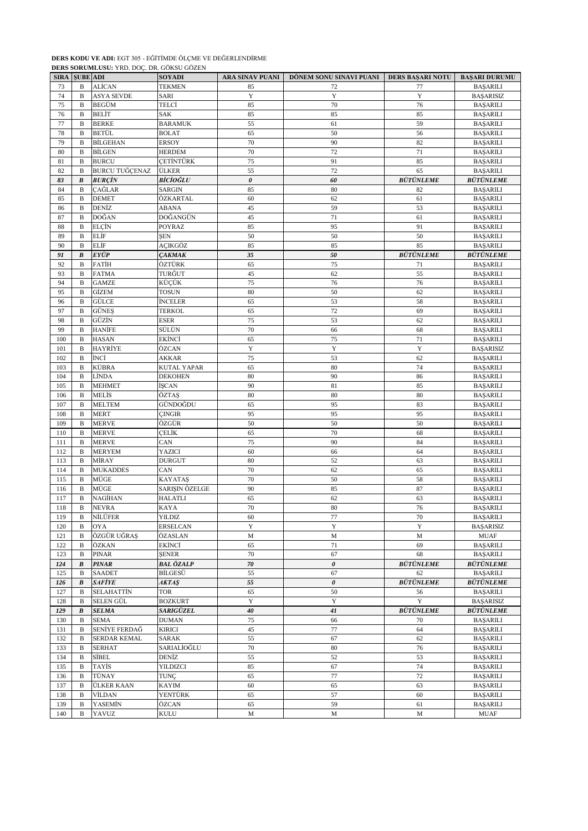|     | <b>SIRA SUBE ADI</b> |                       | <b>SOYADI</b>      | <b>ARA SINAV PUANI</b> | DÖNEM SONU SINAVI PUANI   DERS BAŞARI NOTU |                  | <b>BAŞARI DURUMU</b> |
|-----|----------------------|-----------------------|--------------------|------------------------|--------------------------------------------|------------------|----------------------|
| 73  | B                    | <b>ALİCAN</b>         | <b>TEKMEN</b>      | 85                     | 72                                         | 77               | <b>BAŞARILI</b>      |
| 74  | B                    | <b>ASYA SEVDE</b>     | SARI               | Y                      | Y                                          | $\mathbf Y$      | <b>BAŞARISIZ</b>     |
| 75  | B                    | <b>BEGÜM</b>          | TELCİ              | 85                     | 70                                         | 76               | <b>BAŞARILI</b>      |
| 76  | B                    | <b>BELİT</b>          | SAK                | 85                     | 85                                         | 85               | <b>BAŞARILI</b>      |
| 77  | B                    | <b>BERKE</b>          | <b>BARAMUK</b>     | 55                     | 61                                         | 59               | <b>BAŞARILI</b>      |
| 78  | B                    | BETÜL                 | <b>BOLAT</b>       | 65                     | 50                                         | 56               | <b>BAŞARILI</b>      |
| 79  | B                    | <b>BİLGEHAN</b>       | <b>ERSOY</b>       | 70                     | 90                                         | 82               | <b>BAŞARILI</b>      |
| 80  | B                    | <b>BILGEN</b>         | <b>HERDEM</b>      | 70                     | 72                                         | 71               | <b>BAŞARILI</b>      |
| 81  | $\, {\bf B}$         | <b>BURCU</b>          | <b>CETINTÜRK</b>   | 75                     | 91                                         | 85               | <b>BAŞARILI</b>      |
| 82  | $\, {\bf B}$         | <b>BURCU TUĞÇENAZ</b> | ÜLKER              | 55                     | 72                                         | 65               | <b>BAŞARILI</b>      |
| 83  | B                    | <b>BURÇİN</b>         | BİCİOĞLU           | 0                      | 60                                         | <b>BÜTÜNLEME</b> | <b>BÜTÜNLEME</b>     |
| 84  | B                    | ÇAĞLAR                | SARGIN             | 85                     | 80                                         | 82               | <b>BAŞARILI</b>      |
| 85  | $\, {\bf B}$         | <b>DEMET</b>          | ÖZKARTAL           | 60                     | 62                                         | 61               | <b>BAŞARILI</b>      |
| 86  | B                    | DENİZ                 | ABANA              | 45                     | 59                                         | 53               | <b>BAŞARILI</b>      |
| 87  | $\, {\bf B}$         | DOĞAN                 | DOĞANGÜN           | 45                     | $71\,$                                     | 61               | <b>BAŞARILI</b>      |
| 88  | $\mathbf B$          | <b>ELCIN</b>          | POYRAZ             | 85                     | 95                                         | 91               | <b>BAŞARILI</b>      |
| 89  | B                    | ELİF                  | ŞEN                | 50                     | 50                                         | 50               | <b>BAŞARILI</b>      |
| 90  | $\, {\bf B}$         | ELİF                  | AÇIKGÖZ            | 85                     | 85                                         | 85               | <b>BAŞARILI</b>      |
| 91  | $\boldsymbol{B}$     | EYÜP                  | <b>ÇAKMAK</b>      | 35                     | 50                                         | <b>BÜTÜNLEME</b> | <b>BÜTÜNLEME</b>     |
| 92  | B                    | <b>FATIH</b>          | ÖZTÜRK             | 65                     | 75                                         | 71               | <b>BAŞARILI</b>      |
| 93  | B                    | <b>FATMA</b>          | TURĞUT             | 45                     | 62                                         | 55               | <b>BAŞARILI</b>      |
| 94  | B                    | <b>GAMZE</b>          | KÜÇÜK              | 75                     | 76                                         | 76               | <b>BASARILI</b>      |
| 95  | В                    | GİZEM                 | <b>TOSUN</b>       | 80                     | 50                                         | 62               | <b>BAŞARILI</b>      |
| 96  | B                    | GÜLCE                 | <b>İNCELER</b>     | 65                     | 53                                         | 58               | <b>BAŞARILI</b>      |
| 97  | B                    | <b>GÜNES</b>          | <b>TERKOL</b>      | 65                     | 72                                         | 69               | <b>BAŞARILI</b>      |
| 98  | $\, {\bf B}$         | GÜZİN                 | ESER               | 75                     | 53                                         | 62               | <b>BAŞARILI</b>      |
| 99  | $\, {\bf B}$         | HANİFE                | SÜLÜN              | 70                     | 66                                         | 68               | <b>BAŞARILI</b>      |
| 100 | B                    | <b>HASAN</b>          | EKİNCİ             | 65                     | 75                                         | 71               | <b>BAŞARILI</b>      |
| 101 | B                    | HAYRİYE               | ÖZCAN              | Y                      | Y                                          | Y                | <b>BAŞARISIZ</b>     |
| 102 | B                    | İNCİ                  | AKKAR              | 75                     | 53                                         | 62               | <b>BAŞARILI</b>      |
| 103 | B                    | KÜBRA                 | <b>KUTAL YAPAR</b> | 65                     | 80                                         | 74               | <b>BAŞARILI</b>      |
| 104 | $\, {\bf B}$         | LÌNDA                 | <b>DEKOHEN</b>     | $80\,$                 | 90                                         | 86               | <b>BAŞARILI</b>      |
| 105 | B                    | <b>MEHMET</b>         | İŞCAN              | 90                     | 81                                         | 85               | <b>BAŞARILI</b>      |
| 106 | B                    | MELİS                 | ÖZTAŞ              | 80                     | 80                                         | 80               | <b>BAŞARILI</b>      |
| 107 | B                    | <b>MELTEM</b>         | GÜNDOĞDU           | 65                     | 95                                         | 83               | <b>BAŞARILI</b>      |
| 108 | B                    | <b>MERT</b>           | ÇINGIR             | 95                     | 95                                         | 95               | <b>BAŞARILI</b>      |
| 109 | B                    | <b>MERVE</b>          | ÖZGÜR              | 50                     | 50                                         | 50               | <b>BAŞARILI</b>      |
| 110 | B                    | <b>MERVE</b>          | ÇELİK              | 65                     | 70                                         | 68               | <b>BAŞARILI</b>      |
| 111 | B                    | <b>MERVE</b>          | CAN                | 75                     | 90                                         | 84               | <b>BAŞARILI</b>      |
| 112 | B                    | <b>MERYEM</b>         | YAZICI             | 60                     | 66                                         | 64               | <b>BAŞARILI</b>      |
| 113 | B                    | MİRAY                 | <b>DURGUT</b>      | 80                     | 52                                         | 63               | <b>BAŞARILI</b>      |
| 114 | В                    | <b>MUKADDES</b>       | CAN                | 70                     | 62                                         | 65               | <b>BAŞARILI</b>      |
| 115 | B                    | MÜGE                  | KAYATAŞ            | 70                     | 50                                         | 58               | <b>BAŞARILI</b>      |
| 116 | B                    | MÜGE                  | SARIŞIN ÖZELGE     | 90                     | 85                                         | 87               | <b>BAŞARILI</b>      |
| 117 | B                    | NAGİHAN               | HALATLI            | 65                     | 62                                         | 63               | <b>BAŞARILI</b>      |
| 118 | B                    | <b>NEVRA</b>          | <b>KAYA</b>        | 70                     | 80                                         | 76               | <b>BAŞARILI</b>      |
| 119 | В                    | NİLÜFER               | <b>YILDIZ</b>      | 60                     | 77                                         | 70               | <b>BAŞARILI</b>      |
| 120 | B                    | OYA                   | <b>ERSELCAN</b>    | Y                      | Y                                          | Y                | <b>BAŞARISIZ</b>     |
| 121 | B                    | ÖZGÜR UĞRAŞ           | ÖZASLAN            | $\mathbf M$            | M                                          | $\mathbf M$      | <b>MUAF</b>          |
| 122 | B                    | ÖZKAN                 | EKİNCİ             | 65                     | 71                                         | 69               | <b>BAŞARILI</b>      |
| 123 | B                    | PINAR                 | <b>SENER</b>       | $70\,$                 | 67                                         | 68               | <b>BAŞARILI</b>      |
| 124 | B                    | <b>PINAR</b>          | BAL ÖZALP          | 70                     | 0                                          | <b>BÜTÜNLEME</b> | <b>BÜTÜNLEME</b>     |
| 125 | B                    | <b>SAADET</b>         | <b>BİLGESÜ</b>     | 55                     | 67                                         | 62               | <b>BAŞARILI</b>      |
| 126 | B                    | <b>SAFIYE</b>         | <b>AKTAŞ</b>       | 55                     | 0                                          | <b>BÜTÜNLEME</b> | <b>BÜTÜNLEME</b>     |
| 127 | B                    | <b>SELAHATTİN</b>     | TOR                | 65                     | 50                                         | 56               | <b>BAŞARILI</b>      |
| 128 | B                    | SELEN GÜL             | <b>BOZKURT</b>     | Y                      | Y                                          | Y                | <b>BAŞARISIZ</b>     |
| 129 | B                    | <b>SELMA</b>          | SARIGÜZEL          | ${\bf 40}$             | 41                                         | <b>BÜTÜNLEME</b> | <b>BÜTÜNLEME</b>     |
| 130 | B                    | <b>SEMA</b>           | <b>DUMAN</b>       | 75                     | 66                                         | 70               | <b>BAŞARILI</b>      |
| 131 | B                    | SENİYE FERDAĞ         | KIRICI             | 45                     | 77                                         | 64               | <b>BAŞARILI</b>      |
| 132 | B                    | SERDAR KEMAL          | SARAK              | 55                     | 67                                         | 62               | <b>BAŞARILI</b>      |
| 133 | B                    | SERHAT                | SARIALİOĞLU        | 70                     | 80                                         | 76               | <b>BAŞARILI</b>      |
| 134 | B                    | SİBEL                 | DENİZ              | 55                     | 52                                         | 53               | <b>BAŞARILI</b>      |
| 135 | B                    | TAYİS                 | YILDIZCI           | 85                     | 67                                         | 74               | <b>BAŞARILI</b>      |
| 136 | B                    | TÜNAY                 | TUNÇ               | 65                     | 77                                         | 72               | <b>BAŞARILI</b>      |
| 137 | B                    | ÜLKER KAAN            | <b>KAYIM</b>       | 60                     | 65                                         | 63               | <b>BAŞARILI</b>      |
| 138 | B                    | VİLDAN                | YENTÜRK            | 65                     | 57                                         | 60               | <b>BAŞARILI</b>      |
| 139 | B                    | YASEMİN               | ÖZCAN              | 65                     | 59                                         | 61               | <b>BAŞARILI</b>      |
| 140 | B                    | YAVUZ                 | KULU               | M                      | M                                          | $\mathbf M$      | <b>MUAF</b>          |

**DERS SORUMLUSU:** YRD. DOÇ. DR. GÖKSU GÖZEN

**DERS KODU VE ADI:** EGT 305 - EĞİTİMDE ÖLÇME VE DEĞERLENDİRME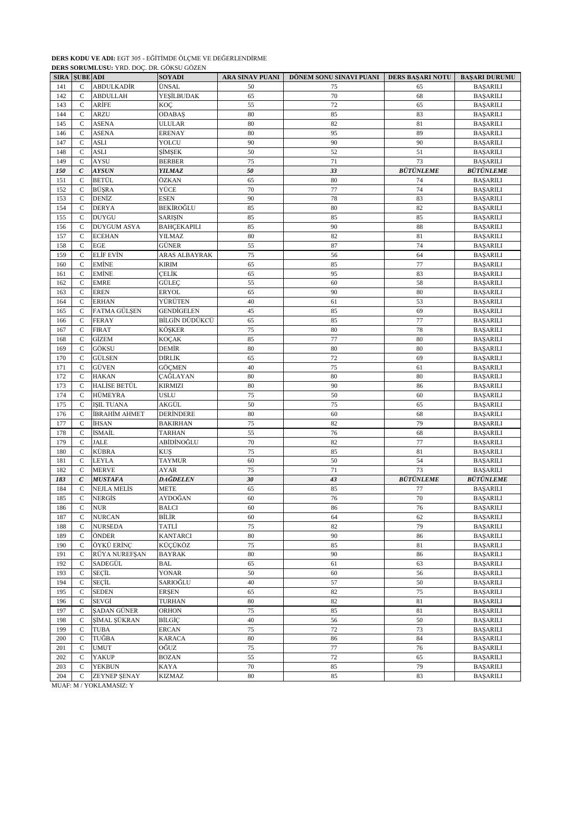|     | <b>SIRA SUBE ADI</b> |                         | <b>SOYADI</b>      | ARA SINAV PUANI | DÖNEM SONU SINAVI PUANI | <b>DERS BAŞARI NOTU</b> | <b>BAŞARI DURUMU</b> |
|-----|----------------------|-------------------------|--------------------|-----------------|-------------------------|-------------------------|----------------------|
| 141 | C                    | ABDULKADİR              | ÜNSAL              | 50              | 75                      | 65                      | <b>BAŞARILI</b>      |
| 142 | C                    | <b>ABDULLAH</b>         | YEŞİLBUDAK         | 65              | $70\,$                  | 68                      | <b>BAŞARILI</b>      |
| 143 | $\mathcal{C}$        | ARİFE                   | KOÇ                | 55              | 72                      | 65                      | <b>BAŞARILI</b>      |
| 144 | C                    | <b>ARZU</b>             | <b>ODABAŞ</b>      | 80              | 85                      | 83                      | <b>BAŞARILI</b>      |
| 145 | $\mathsf{C}$         | <b>ASENA</b>            | <b>ULULAR</b>      | 80              | 82                      | 81                      | <b>BAŞARILI</b>      |
| 146 | $\mathsf{C}$         | <b>ASENA</b>            | ERENAY             | 80              | 95                      | 89                      | <b>BAŞARILI</b>      |
| 147 | $\mathsf{C}$         | <b>ASLI</b>             | YOLCU              | 90              | 90                      | 90                      | <b>BAŞARILI</b>      |
| 148 | $\mathsf{C}$         | <b>ASLI</b>             | SİMŞEK             | 50              | 52                      | 51                      | <b>BAŞARILI</b>      |
| 149 | $\mathsf{C}$         | AYSU                    | <b>BERBER</b>      | 75              | 71                      | 73                      | <b>BAŞARILI</b>      |
| 150 | $\boldsymbol{C}$     | <b>AYSUN</b>            | <b>YILMAZ</b>      | 50              | 33                      | <b>BÜTÜNLEME</b>        | <b>BÜTÜNLEME</b>     |
| 151 | $\mathsf{C}$         | BETÜL                   | ÖZKAN              | 65              | 80                      | 74                      | <b>BAŞARILI</b>      |
| 152 | $\mathsf{C}$         | <b>BÜŞRA</b>            | YÜCE               | 70              | $77\,$                  | 74                      | <b>BAŞARILI</b>      |
| 153 | $\mathsf{C}$         | DENİZ                   | <b>ESEN</b>        | 90              | 78                      | 83                      | <b>BAŞARILI</b>      |
| 154 | $\mathsf{C}$         | <b>DERYA</b>            | BEKİROĞLU          | 85              | 80                      | 82                      | <b>BAŞARILI</b>      |
| 155 | $\mathsf{C}$         | <b>DUYGU</b>            | <b>SARIŞIN</b>     | 85              | 85                      | 85                      | <b>BAŞARILI</b>      |
| 156 | C                    | <b>DUYGUM ASYA</b>      | <b>BAHÇEKAPILI</b> | 85              | 90                      | 88                      | <b>BAŞARILI</b>      |
| 157 | $\mathsf{C}$         | <b>ECEHAN</b>           | <b>YILMAZ</b>      | 80              | 82                      | 81                      | <b>BAŞARILI</b>      |
| 158 | $\mathsf{C}$         | <b>EGE</b>              | GÜNER              | 55              | 87                      | 74                      | <b>BAŞARILI</b>      |
| 159 | $\mathsf{C}$         | <b>ELIF EVIN</b>        | ARAS ALBAYRAK      | 75              | 56                      | 64                      | <b>BAŞARILI</b>      |
| 160 | $\mathsf{C}$         | <b>EMİNE</b>            | <b>KIRIM</b>       | 65              | 85                      | 77                      | <b>BAŞARILI</b>      |
| 161 | C                    | EMİNE                   | CELİK              | 65              | 95                      | 83                      | <b>BAŞARILI</b>      |
| 162 | $\mathsf{C}$         | <b>EMRE</b>             | GÜLEÇ              | 55              | 60                      | 58                      | <b>BAŞARILI</b>      |
| 163 | $\mathsf{C}$         | <b>EREN</b>             | <b>ERYOL</b>       | 65              | 90                      | 80                      | <b>BAŞARILI</b>      |
| 164 | $\mathbf C$          | <b>ERHAN</b>            | YÜRÜTEN            | 40              | 61                      | 53                      | <b>BAŞARILI</b>      |
| 165 | $\mathsf{C}$         | FATMA GÜLŞEN            | <b>GENDIGELEN</b>  | 45              | 85                      | 69                      | <b>BAŞARILI</b>      |
| 166 | $\mathsf{C}$         | <b>FERAY</b>            | BİLGİN DÜDÜKCÜ     | 65              | 85                      | 77                      | <b>BAŞARILI</b>      |
| 167 | C                    | <b>FIRAT</b>            | KÖŞKER             | 75              | 80                      | 78                      | <b>BAŞARILI</b>      |
| 168 | C                    | GİZEM                   | <b>KOÇAK</b>       | 85              | $77\,$                  | 80                      | <b>BAŞARILI</b>      |
| 169 | $\mathsf{C}$         | GÖKSU                   | DEMİR              | 80              | 80                      | 80                      | <b>BAŞARILI</b>      |
| 170 | $\mathsf{C}$         | GÜLSEN                  | DİRLİK             | 65              | 72                      | 69                      | <b>BAŞARILI</b>      |
| 171 | $\mathsf{C}$         | GÜVEN                   | GÖÇMEN             | 40              | 75                      | 61                      | <b>BAŞARILI</b>      |
| 172 | $\mathsf{C}$         | <b>HAKAN</b>            | ÇAĞLAYAN           | 80              | 80                      | 80                      | <b>BAŞARILI</b>      |
| 173 | C                    | HALİSE BETÜL            | KIRMIZI            | 80              | 90                      | 86                      | <b>BAŞARILI</b>      |
| 174 | $\mathsf{C}$         | HÜMEYRA                 | <b>USLU</b>        | 75              | 50                      | 60                      | <b>BAŞARILI</b>      |
| 175 | C                    | <b>ISIL TUANA</b>       | AKGÜL              | 50              | 75                      | 65                      | <b>BAŞARILI</b>      |
| 176 | $\mathsf{C}$         | İBRAHİM AHMET           | DERİNDERE          | 80              | 60                      | 68                      | <b>BAŞARILI</b>      |
| 177 | $\mathsf{C}$         | İHSAN                   | <b>BAKIRHAN</b>    | 75              | 82                      | 79                      | <b>BAŞARILI</b>      |
| 178 | $\mathsf{C}$         | İSMAİL                  | <b>TARHAN</b>      | 55              | 76                      | 68                      | <b>BAŞARILI</b>      |
| 179 | $\mathsf{C}$         | <b>JALE</b>             | ABİDİNOĞLU         | $70\,$          | 82                      | 77                      | <b>BAŞARILI</b>      |
| 180 | C                    | KÜBRA                   | KUŞ                | 75              | 85                      | 81                      | <b>BAŞARILI</b>      |
| 181 | $\mathsf{C}$         | <b>LEYLA</b>            | <b>TAYMUR</b>      | 60              | 50                      | 54                      | <b>BAŞARILI</b>      |
| 182 | $\mathsf{C}$         | <b>MERVE</b>            | <b>AYAR</b>        | 75              | 71                      | 73                      | <b>BAŞARILI</b>      |
| 183 | $\boldsymbol{C}$     | <b>MUSTAFA</b>          | DAĞDELEN           | 30              | 43                      | <b>BÜTÜNLEME</b>        | <b>BÜTÜNLEME</b>     |
| 184 | $\mathsf{C}$         | NEJLA MELİS             | <b>METE</b>        | 65              | 85                      | 77                      | <b>BAŞARILI</b>      |
| 185 | $\mathsf{C}$         | NERGİS                  | AYDOĞAN            | 60              | 76                      | 70                      | <b>BAŞARILI</b>      |
| 186 | C                    | <b>NUR</b>              | <b>BALCI</b>       | 60              | 86                      | 76                      | <b>BAŞARILI</b>      |
| 187 | C                    | <b>NURCAN</b>           | BİLİR              | 60              | 64                      | 62                      | <b>BAŞARILI</b>      |
| 188 | $\mathsf{C}$         | <b>NURSEDA</b>          | TATLİ              | 75              | 82                      | 79                      | <b>BAŞARILI</b>      |
| 189 | $\mathsf{C}$         | ÖNDER                   | <b>KANTARCI</b>    | 80              | 90                      | 86                      | <b>BAŞARILI</b>      |
| 190 | $\mathbf C$          | ÖYKÜ ERİNÇ              | KÜÇÜKÖZ            | 75              | 85                      | 81                      | <b>BAŞARILI</b>      |
| 191 | $\mathsf{C}$         | RÜYA NUREFSAN           | <b>BAYRAK</b>      | $80\,$          | 90                      | 86                      | <b>BAŞARILI</b>      |
| 192 | C                    | SADEGÜL                 | BAL                | 65              | 61                      | 63                      | <b>BAŞARILI</b>      |
| 193 | $\mathbf C$          | SEÇİL                   | <b>YONAR</b>       | 50              | 60                      | 56                      | <b>BASARILI</b>      |
| 194 | $\mathsf{C}$         | SEÇİL                   | SARIOĞLU           | 40              | 57                      | 50                      | <b>BAŞARILI</b>      |
| 195 | $\mathsf{C}$         | <b>SEDEN</b>            | <b>ERŞEN</b>       | 65              | 82                      | 75                      | <b>BAŞARILI</b>      |
| 196 | $\mathbf C$          | SEVGİ                   | <b>TURHAN</b>      | $80\,$          | 82                      | 81                      | <b>BAŞARILI</b>      |
| 197 | $\mathsf{C}$         | ŞADAN GÜNER             | <b>ORHON</b>       | 75              | 85                      | $81\,$                  | <b>BAŞARILI</b>      |
| 198 | $\mathsf{C}$         | ŞİMAL ŞÜKRAN            | BİLGİÇ             | 40              | 56                      | 50                      | <b>BAŞARILI</b>      |
| 199 | $\mathbf C$          | <b>TUBA</b>             | <b>ERCAN</b>       | 75              | 72                      | 73                      | <b>BAŞARILI</b>      |
| 200 | $\mathsf{C}$         | TUĞBA                   | KARACA             | 80              | 86                      | 84                      | <b>BAŞARILI</b>      |
| 201 | $\mathsf{C}$         | <b>UMUT</b>             | OĞUZ               | 75              | 77                      | 76                      | <b>BAŞARILI</b>      |
| 202 | $\mathsf{C}$         | YAKUP                   | <b>BOZAN</b>       | 55              | 72                      | 65                      | <b>BAŞARILI</b>      |
| 203 | $\mathsf{C}$         | <b>YEKBUN</b>           | KAYA               | 70              | 85                      | 79                      | <b>BAŞARILI</b>      |
| 204 | C                    | ZEYNEP ŞENAY            | KIZMAZ             | 80              | 85                      | 83                      | <b>BAŞARILI</b>      |
|     |                      | MUAF: M / YOKLAMASIZ: Y |                    |                 |                         |                         |                      |

**DERS SORUMLUSU:** YRD. DOÇ. DR. GÖKSU GÖZEN

**DERS KODU VE ADI:** EGT 305 - EĞİTİMDE ÖLÇME VE DEĞERLENDİRME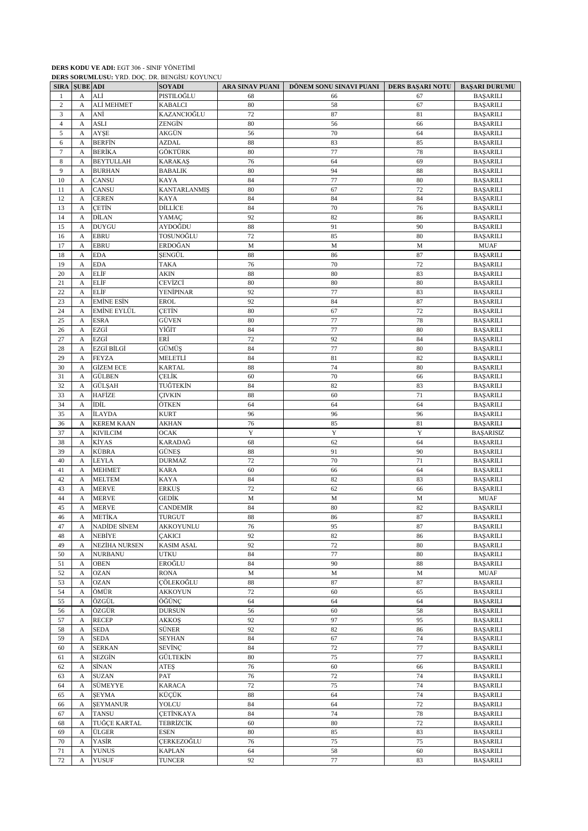|                |                      |                   | DERS SORUMLUSU: YRD. DOC. DR. BENGISU KOYUNCU |                 |                         |                  |                      |
|----------------|----------------------|-------------------|-----------------------------------------------|-----------------|-------------------------|------------------|----------------------|
|                | <b>SIRA SUBE ADI</b> |                   | <b>SOYADI</b>                                 | ARA SINAV PUANI | DÖNEM SONU SINAVI PUANI | DERS BAŞARI NOTU | <b>BAŞARI DURUMU</b> |
| 1              | A                    | ALİ               | PISTILOĞLU                                    | 68              | 66                      | 67               | <b>BAŞARILI</b>      |
| $\mathbf{2}$   | А                    | ALİ MEHMET        | <b>KABALCI</b>                                | 80              | 58                      | 67               | <b>BAŞARILI</b>      |
| 3              |                      | ANİ               | KAZANCIOĞLU                                   | 72              | 87                      | 81               |                      |
|                | A                    |                   |                                               |                 |                         |                  | <b>BAŞARILI</b>      |
| $\overline{4}$ | А                    | <b>ASLI</b>       | ZENGÍN                                        | 80              | 56                      | 66               | <b>BAŞARILI</b>      |
| 5              | A                    | <b>AYSE</b>       | AKGÜN                                         | 56              | 70                      | 64               | <b>BASARILI</b>      |
| 6              | А                    | <b>BERFIN</b>     | <b>AZDAL</b>                                  | 88              | 83                      | 85               | <b>BAŞARILI</b>      |
| $\overline{7}$ | А                    | BERİKA            | GÖKTÜRK                                       | 80              | 77                      | 78               | <b>BAŞARILI</b>      |
| 8              | A                    | <b>BEYTULLAH</b>  | <b>KARAKAS</b>                                | 76              | 64                      | 69               | <b>BAŞARILI</b>      |
| 9              | A                    | <b>BURHAN</b>     | <b>BABALIK</b>                                | 80              | 94                      | 88               | <b>BAŞARILI</b>      |
| 10             | А                    | CANSU             | <b>KAYA</b>                                   | 84              | 77                      | 80               |                      |
|                |                      |                   |                                               |                 |                         |                  | <b>BAŞARILI</b>      |
| 11             | А                    | CANSU             | <b>KANTARLANMIS</b>                           | 80              | 67                      | 72               | <b>BAŞARILI</b>      |
| 12             | A                    | <b>CEREN</b>      | <b>KAYA</b>                                   | 84              | 84                      | 84               | <b>BAŞARILI</b>      |
| 13             | A                    | ÇETİN             | <b>DİLLİCE</b>                                | 84              | 70                      | 76               | <b>BAŞARILI</b>      |
| 14             | А                    | DİLAN             | YAMAC                                         | 92              | 82                      | 86               | <b>BAŞARILI</b>      |
| 15             | A                    | <b>DUYGU</b>      | AYDOĞDU                                       | 88              | 91                      | 90               | <b>BAŞARILI</b>      |
| 16             | A                    | <b>EBRU</b>       | TOSUNOĞLU                                     | 72              | 85                      | 80               | <b>BAŞARILI</b>      |
| 17             |                      | <b>EBRU</b>       | ERDOĞAN                                       | ${\bf M}$       | M                       | M                | <b>MUAF</b>          |
|                | А                    |                   |                                               |                 |                         |                  |                      |
| 18             | A                    | <b>EDA</b>        | SENGÜL                                        | 88              | 86                      | 87               | <b>BAŞARILI</b>      |
| 19             | А                    | <b>EDA</b>        | TAKA                                          | 76              | 70                      | 72               | <b>BAŞARILI</b>      |
| 20             | A                    | ELİF              | AKIN                                          | 88              | 80                      | 83               | <b>BAŞARILI</b>      |
| 21             | A                    | ELİF              | CEVİZCİ                                       | 80              | 80                      | 80               | <b>BASARILI</b>      |
| 22             | А                    | ELİF              | <b>YENİPINAR</b>                              | 92              | 77                      | 83               | <b>BAŞARILI</b>      |
| 23             | А                    | <b>EMİNE ESİN</b> | <b>EROL</b>                                   | 92              | 84                      | 87               | <b>BAŞARILI</b>      |
|                |                      |                   |                                               |                 |                         |                  |                      |
| 24             | А                    | EMİNE EYLÜL       | CETİN                                         | 80              | 67                      | 72               | <b>BAŞARILI</b>      |
| 25             | А                    | <b>ESRA</b>       | <b>GÜVEN</b>                                  | 80              | $77 \,$                 | 78               | <b>BAŞARILI</b>      |
| 26             | A                    | EZGİ              | YİĞİT                                         | 84              | 77                      | 80               | <b>BAŞARILI</b>      |
| 27             | A                    | EZGİ              | ERİ                                           | 72              | 92                      | 84               | <b>BAŞARILI</b>      |
| 28             | А                    | EZGİ BİLGİ        | <b>GÜMÜS</b>                                  | 84              | 77                      | 80               | <b>BAŞARILI</b>      |
| 29             | А                    | <b>FEYZA</b>      | MELETLİ                                       | 84              | 81                      | 82               | <b>BAŞARILI</b>      |
|                |                      |                   |                                               |                 |                         |                  |                      |
| 30             | А                    | <b>GİZEM ECE</b>  | <b>KARTAL</b>                                 | 88              | 74                      | 80               | <b>BAŞARILI</b>      |
| 31             | А                    | <b>GÜLBEN</b>     | CELİK                                         | 60              | 70                      | 66               | <b>BAŞARILI</b>      |
| 32             | A                    | GÜLŞAH            | TUĞTEKİN                                      | 84              | 82                      | 83               | <b>BAŞARILI</b>      |
| 33             | А                    | HAFİZE            | ÇIVKIN                                        | 88              | 60                      | 71               | <b>BAŞARILI</b>      |
| 34             | A                    | İDİL              | ÖTKEN                                         | 64              | 64                      | 64               | <b>BAŞARILI</b>      |
| 35             | A                    | İLAYDA            | <b>KURT</b>                                   | 96              | 96                      | 96               | <b>BAŞARILI</b>      |
| 36             |                      | <b>KEREM KAAN</b> |                                               | 76              | 85                      | 81               |                      |
|                | А                    |                   | AKHAN                                         |                 |                         |                  | <b>BAŞARILI</b>      |
| 37             | А                    | <b>KIVILCIM</b>   | <b>OCAK</b>                                   | Y               | Y                       | Y                | <b>BAŞARISIZ</b>     |
| 38             | А                    | KİYAS             | KARADAĞ                                       | 68              | 62                      | 64               | <b>BAŞARILI</b>      |
| 39             | А                    | KÜBRA             | GÜNEŞ                                         | 88              | 91                      | 90               | <b>BAŞARILI</b>      |
| 40             | A                    | <b>LEYLA</b>      | <b>DURMAZ</b>                                 | 72              | 70                      | 71               | <b>BAŞARILI</b>      |
| 41             | A                    | <b>MEHMET</b>     | <b>KARA</b>                                   | 60              | 66                      | 64               | <b>BAŞARILI</b>      |
| 42             | А                    | <b>MELTEM</b>     | <b>KAYA</b>                                   | 84              | 82                      | 83               | <b>BAŞARILI</b>      |
|                |                      |                   |                                               |                 |                         |                  |                      |
| 43             | A                    | <b>MERVE</b>      | <b>ERKUS</b>                                  | 72              | 62                      | 66               | <b>BAŞARILI</b>      |
| 44             | A                    | <b>MERVE</b>      | GEDİK                                         | M               | M                       | M                | <b>MUAF</b>          |
| 45             | A                    | <b>MERVE</b>      | CANDEMİR                                      | 84              | 80                      | 82               | <b>BAŞARILI</b>      |
| 46             | A                    | <b>METİKA</b>     | <b>TURGUT</b>                                 | 88              | 86                      | 87               | <b>BAŞARILI</b>      |
| 47             | A                    | NADİDE SİNEM      | AKKOYUNLU                                     | 76              | 95                      | 87               | <b>BAŞARILI</b>      |
| 48             | A                    | NEBİYE            | <b>ÇAKICI</b>                                 | 92              | 82                      | 86               | <b>BAŞARILI</b>      |
| 49             | А                    | NEZİHA NURSEN     | <b>KASIM ASAL</b>                             | 92              | 72                      | 80               | <b>BAŞARILI</b>      |
|                |                      |                   |                                               |                 |                         |                  |                      |
| 50             | A                    | <b>NURBANU</b>    | <b>UTKU</b>                                   | 84              | 77                      | 80               | <b>BAŞARILI</b>      |
| 51             | A                    | <b>OBEN</b>       | EROĞLU                                        | 84              | 90                      | 88               | <b>BAŞARILI</b>      |
| 52             | A                    | <b>OZAN</b>       | <b>RONA</b>                                   | M               | M                       | M                | <b>MUAF</b>          |
| 53             | A                    | <b>OZAN</b>       | ÇÖLEKOĞLU                                     | 88              | 87                      | 87               | <b>BAŞARILI</b>      |
| 54             | А                    | ÖMÜR              | AKKOYUN                                       | 72              | 60                      | 65               | <b>BAŞARILI</b>      |
| 55             | A                    | ÖZGÜL             | ÖĞÜNÇ                                         | 64              | 64                      | 64               | <b>BAŞARILI</b>      |
|                |                      | ÖZGÜR             |                                               |                 |                         |                  |                      |
| 56             | A                    |                   | <b>DURSUN</b>                                 | 56              | 60                      | 58               | <b>BAŞARILI</b>      |
| 57             | A                    | <b>RECEP</b>      | AKKOŞ                                         | 92              | 97                      | 95               | <b>BAŞARILI</b>      |
| 58             | A                    | <b>SEDA</b>       | SÜNER                                         | 92              | 82                      | 86               | <b>BAŞARILI</b>      |
| 59             | А                    | <b>SEDA</b>       | SEYHAN                                        | 84              | 67                      | 74               | <b>BAŞARILI</b>      |
| 60             | А                    | <b>SERKAN</b>     | SEVİNÇ                                        | 84              | 72                      | 77               | <b>BAŞARILI</b>      |
| 61             | A                    | <b>SEZGİN</b>     | GÜLTEKİN                                      | $80\,$          | 75                      | 77               | <b>BAŞARILI</b>      |
|                |                      |                   |                                               | 76              |                         |                  |                      |
| 62             | A                    | SİNAN             | ATEŞ                                          |                 | 60                      | 66               | <b>BAŞARILI</b>      |
| 63             | A                    | <b>SUZAN</b>      | PAT                                           | 76              | 72                      | 74               | <b>BAŞARILI</b>      |
| 64             | А                    | SÜMEYYE           | <b>KARACA</b>                                 | $72\,$          | 75                      | 74               | <b>BAŞARILI</b>      |
| 65             | A                    | <b>SEYMA</b>      | KÜÇÜK                                         | 88              | 64                      | 74               | <b>BAŞARILI</b>      |
| 66             | А                    | <b>ŞEYMANUR</b>   | YOLCU                                         | 84              | 64                      | 72               | <b>BAŞARILI</b>      |
| 67             | А                    | <b>TANSU</b>      | <b>CETINKAYA</b>                              | 84              | 74                      | 78               | <b>BAŞARILI</b>      |
|                |                      |                   |                                               |                 |                         |                  |                      |
| 68             | А                    | TUĞÇE KARTAL      | <b>TEBRIZCIK</b>                              | 60              | 80                      | $72\,$           | <b>BAŞARILI</b>      |
| 69             | A                    | ÜLGER             | ESEN                                          | 80              | 85                      | 83               | <b>BAŞARILI</b>      |
| $70\,$         | A                    | YASİR             | CERKEZOĞLU                                    | 76              | 75                      | 75               | <b>BAŞARILI</b>      |
| $71\,$         | A                    | <b>YUNUS</b>      | <b>KAPLAN</b>                                 | 64              | 58                      | 60               | <b>BAŞARILI</b>      |
| 72             | A                    | <b>YUSUF</b>      | <b>TUNCER</b>                                 | 92              | $77\,$                  | 83               | <b>BAŞARILI</b>      |

**DERS KODU VE ADI:** EGT 306 - SINIF YÖNETİMİ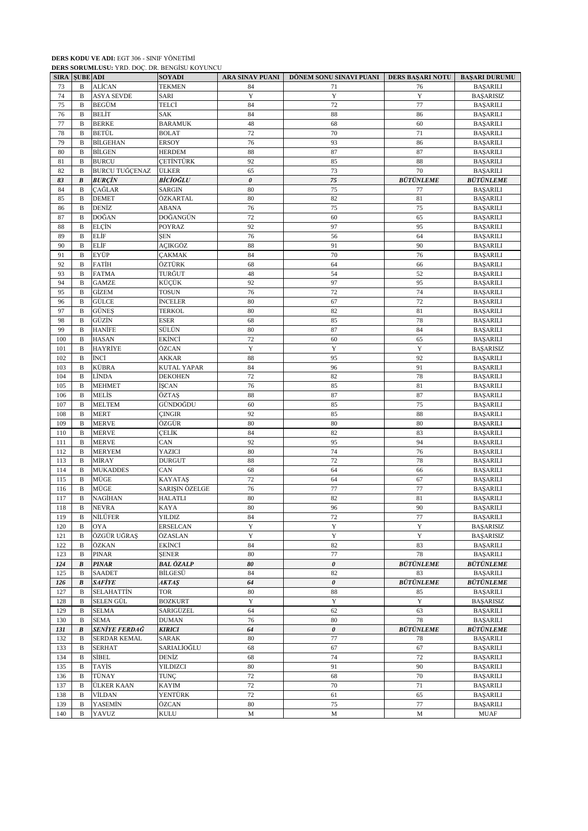|     |                      | DERS SURUMEUSU: TRD. DOÇ. DR. BENUISU KUTUNCU |                  |                 |                         |                  |                         |
|-----|----------------------|-----------------------------------------------|------------------|-----------------|-------------------------|------------------|-------------------------|
|     | <b>SIRA SUBE ADI</b> |                                               | <b>SOYADI</b>    | ARA SINAV PUANI | DÖNEM SONU SINAVI PUANI | DERS BAŞARI NOTU | <b>BAŞARI DURUMU</b>    |
| 73  | B                    | ALİCAN                                        | <b>TEKMEN</b>    | 84              | 71                      | 76               | <b>BAŞARILI</b>         |
| 74  | B                    | <b>ASYA SEVDE</b>                             | SARI             | $\mathbf Y$     | $\mathbf Y$             | $\mathbf Y$      | <b>BAŞARISIZ</b>        |
| 75  | B                    | BEGÜM                                         | TELCİ            | 84              | 72                      | 77               | <b>BAŞARILI</b>         |
|     |                      | BELİT                                         | SAK              | 84              | 88                      | 86               |                         |
| 76  | B                    |                                               |                  |                 |                         |                  | <b>BAŞARILI</b>         |
| 77  | B                    | <b>BERKE</b>                                  | <b>BARAMUK</b>   | 48              | 68                      | 60               | <b>BASARILI</b>         |
| 78  | B                    | <b>BETÜL</b>                                  | <b>BOLAT</b>     | 72              | 70                      | 71               | <b>BAŞARILI</b>         |
| 79  | B                    | BİLGEHAN                                      | <b>ERSOY</b>     | 76              | 93                      | 86               | <b>BAŞARILI</b>         |
| 80  | B                    | <b>BİLGEN</b>                                 | <b>HERDEM</b>    | 88              | 87                      | 87               | <b>BAŞARILI</b>         |
|     |                      |                                               |                  |                 |                         |                  |                         |
| 81  | B                    | <b>BURCU</b>                                  | <b>CETINTÜRK</b> | 92              | 85                      | 88               | <b>BAŞARILI</b>         |
| 82  | $\, {\bf B}$         | <b>BURCU TUĞÇENAZ</b>                         | <b>ÜLKER</b>     | 65              | 73                      | $70\,$           | <b>BAŞARILI</b>         |
| 83  | $\pmb{B}$            | <b>BURCIN</b>                                 | BİCİOĞLU         | $\pmb{\theta}$  | 75                      | <b>BÜTÜNLEME</b> | <i><b>BÜTÜNLEME</b></i> |
| 84  | B                    | ÇAĞLAR                                        | <b>SARGIN</b>    | 80              | 75                      | 77               | <b>BAŞARILI</b>         |
|     |                      |                                               |                  | 80              |                         |                  |                         |
| 85  | B                    | <b>DEMET</b>                                  | ÖZKARTAL         |                 | 82                      | 81               | <b>BAŞARILI</b>         |
| 86  | B                    | DENİZ                                         | ABANA            | 76              | 75                      | 75               | <b>BAŞARILI</b>         |
| 87  | $\, {\bf B}$         | DOĞAN                                         | DOĞANGÜN         | 72              | 60                      | 65               | BAŞARILI                |
| 88  | $\mathbf B$          | ELCİN                                         | POYRAZ           | 92              | 97                      | 95               | <b>BAŞARILI</b>         |
| 89  | B                    | ELİF                                          | ŞEN              | 76              | 56                      | 64               | <b>BAŞARILI</b>         |
|     |                      |                                               |                  |                 |                         |                  |                         |
| 90  | $\, {\bf B}$         | ELİF                                          | AÇIKGÖZ          | 88              | 91                      | 90               | <b>BAŞARILI</b>         |
| 91  | B                    | EYÜP                                          | <b>ÇAKMAK</b>    | 84              | 70                      | 76               | <b>BAŞARILI</b>         |
| 92  | B                    | FATİH                                         | ÖZTÜRK           | 68              | 64                      | 66               | <b>BAŞARILI</b>         |
| 93  | B                    | <b>FATMA</b>                                  | TURĞUT           | 48              | 54                      | 52               | <b>BAŞARILI</b>         |
|     |                      |                                               |                  |                 |                         |                  |                         |
| 94  | B                    | <b>GAMZE</b>                                  | KÜÇÜK            | 92              | 97                      | 95               | <b>BAŞARILI</b>         |
| 95  | B                    | GİZEM                                         | <b>TOSUN</b>     | 76              | 72                      | 74               | <b>BAŞARILI</b>         |
| 96  | B                    | GÜLCE                                         | İNCELER          | 80              | 67                      | 72               | <b>BASARILI</b>         |
| 97  | B                    | <b>GÜNES</b>                                  | <b>TERKOL</b>    | 80              | 82                      | 81               | <b>BAŞARILI</b>         |
| 98  | B                    | GÜZİN                                         | <b>ESER</b>      | 68              | 85                      | 78               |                         |
|     |                      |                                               |                  |                 |                         |                  | <b>BAŞARILI</b>         |
| 99  | B                    | <b>HANİFE</b>                                 | SÜLÜN            | 80              | 87                      | 84               | <b>BAŞARILI</b>         |
| 100 | B                    | HASAN                                         | EKİNCİ           | 72              | 60                      | 65               | <b>BAŞARILI</b>         |
| 101 | B                    | HAYRİYE                                       | ÖZCAN            | Y               | Y                       | Y                | <b>BAŞARISIZ</b>        |
| 102 | B                    | İNCİ                                          | AKKAR            | 88              | 95                      | 92               | <b>BAŞARILI</b>         |
|     |                      |                                               |                  |                 |                         |                  |                         |
| 103 | B                    | KÜBRA                                         | KUTAL YAPAR      | 84              | 96                      | 91               | <b>BAŞARILI</b>         |
| 104 | B                    | LÌNDA                                         | <b>DEKOHEN</b>   | 72              | 82                      | 78               | <b>BAŞARILI</b>         |
| 105 | B                    | <b>MEHMET</b>                                 | İŞCAN            | 76              | 85                      | 81               | <b>BAŞARILI</b>         |
| 106 | B                    | MELİS                                         | ÖZTAŞ            | 88              | 87                      | 87               | <b>BAŞARILI</b>         |
| 107 | B                    |                                               | GÜNDOĞDU         | 60              | 85                      | 75               |                         |
|     |                      | <b>MELTEM</b>                                 |                  |                 |                         |                  | <b>BAŞARILI</b>         |
| 108 | B                    | <b>MERT</b>                                   | <b>CINGIR</b>    | 92              | 85                      | 88               | <b>BAŞARILI</b>         |
| 109 | B                    | <b>MERVE</b>                                  | ÖZGÜR            | 80              | 80                      | 80               | BAŞARILI                |
| 110 | B                    | <b>MERVE</b>                                  | ÇELİK            | 84              | 82                      | 83               | <b>BAŞARILI</b>         |
| 111 | B                    | <b>MERVE</b>                                  | CAN              | 92              | 95                      | 94               |                         |
|     |                      |                                               |                  |                 |                         |                  | <b>BAŞARILI</b>         |
| 112 | B                    | <b>MERYEM</b>                                 | YAZICI           | 80              | 74                      | 76               | <b>BAŞARILI</b>         |
| 113 | B                    | MİRAY                                         | <b>DURGUT</b>    | 88              | 72                      | 78               | <b>BAŞARILI</b>         |
| 114 | B                    | <b>MUKADDES</b>                               | CAN              | 68              | 64                      | 66               | <b>BAŞARILI</b>         |
| 115 | B                    | MÜGE                                          | <b>KAYATAS</b>   | 72              | 64                      | 67               | <b>BAŞARILI</b>         |
|     |                      |                                               |                  |                 |                         |                  |                         |
| 116 | B                    | MÜGE                                          | SARIŞIN ÖZELGE   | 76              | 77                      | 77               | <b>BAŞARILI</b>         |
| 117 | B                    | NAGİHAN                                       | <b>HALATLI</b>   | 80              | 82                      | 81               | <b>BAŞARILI</b>         |
| 118 | B                    | <b>NEVRA</b>                                  | <b>KAYA</b>      | 80              | 96                      | 90               | <b>BAŞARILI</b>         |
| 119 | B                    | NİLÜFER                                       | <b>YILDIZ</b>    | 84              | 72                      | 77               | <b>BAŞARILI</b>         |
| 120 | B                    | <b>OYA</b>                                    | <b>ERSELCAN</b>  | Y               | $\mathbf Y$             | $\mathbf Y$      | <b>BAŞARISIZ</b>        |
|     |                      |                                               |                  |                 |                         |                  |                         |
| 121 | B                    | ÖZGÜR UĞRAS                                   | ÖZASLAN          | Y               | Y                       | Y                | <b>BAŞARISIZ</b>        |
| 122 | B                    | ÖZKAN                                         | EKİNCİ           | 84              | 82                      | 83               | <b>BASARILI</b>         |
| 123 | B                    | PINAR                                         | <b>SENER</b>     | 80              | $77\,$                  | 78               | <b>BAŞARILI</b>         |
| 124 | B                    | <b>PINAR</b>                                  | BAL ÖZALP        | 80              | $\pmb{o}$               | <b>BÜTÜNLEME</b> | <b>BÜTÜNLEME</b>        |
|     |                      |                                               |                  |                 |                         |                  |                         |
| 125 | B                    | <b>SAADET</b>                                 | <b>BİLGESÜ</b>   | 84              | 82                      | 83               | <b>BAŞARILI</b>         |
| 126 | B                    | SAFİYE                                        | AKTAŞ            | 64              | $\pmb{\theta}$          | <b>BÜTÜNLEME</b> | <b>BÜTÜNLEME</b>        |
| 127 | B                    | <b>SELAHATTİN</b>                             | <b>TOR</b>       | 80              | 88                      | 85               | <b>BAŞARILI</b>         |
| 128 | B                    | SELEN GÜL                                     | <b>BOZKURT</b>   | Y               | Y                       | $\mathbf Y$      | <b>BAŞARISIZ</b>        |
| 129 | B                    | <b>SELMA</b>                                  | SARIGÜZEL        | 64              | 62                      | 63               | <b>BAŞARILI</b>         |
|     |                      |                                               |                  |                 |                         |                  |                         |
| 130 | B                    | SEMA                                          | <b>DUMAN</b>     | 76              | $80\,$                  | $78\,$           | <b>BAŞARILI</b>         |
| 131 | B                    | SENİYE FERDAĞ                                 | <b>KIRICI</b>    | 64              | 0                       | <b>BÜTÜNLEME</b> | <i><b>BÜTÜNLEME</b></i> |
| 132 | B                    | SERDAR KEMAL                                  | SARAK            | 80              | 77                      | 78               | <b>BAŞARILI</b>         |
| 133 | B                    | <b>SERHAT</b>                                 | SARIALİOĞLU      | 68              | 67                      | 67               | <b>BAŞARILI</b>         |
|     |                      |                                               |                  |                 |                         |                  |                         |
| 134 | В                    | SİBEL                                         | DENİZ            | 68              | 74                      | 72               | <b>BAŞARILI</b>         |
| 135 | B                    | TAYİS                                         | YILDIZCI         | 80              | 91                      | 90               | <b>BAŞARILI</b>         |
| 136 | B                    | TÜNAY                                         | <b>TUNC</b>      | $72\,$          | 68                      | $70\,$           | <b>BAŞARILI</b>         |
| 137 | B                    | ÜLKER KAAN                                    | KAYIM            | 72              | 70                      | 71               | <b>BAŞARILI</b>         |
|     |                      |                                               |                  | 72              | 61                      | 65               |                         |
| 138 | B                    | VİLDAN                                        | YENTÜRK          |                 |                         |                  | <b>BAŞARILI</b>         |
| 139 | B                    | YASEMİN                                       | ÖZCAN            | 80              | 75                      | 77               | <b>BAŞARILI</b>         |
| 140 | $\, {\bf B}$         | YAVUZ                                         | KULU             | $\mathbf M$     | M                       | M                | <b>MUAF</b>             |

**DERS SORUMLUSU:** YRD. DOÇ. DR. BENGİSU KOYUNCU

**DERS KODU VE ADI:** EGT 306 - SINIF YÖNETİMİ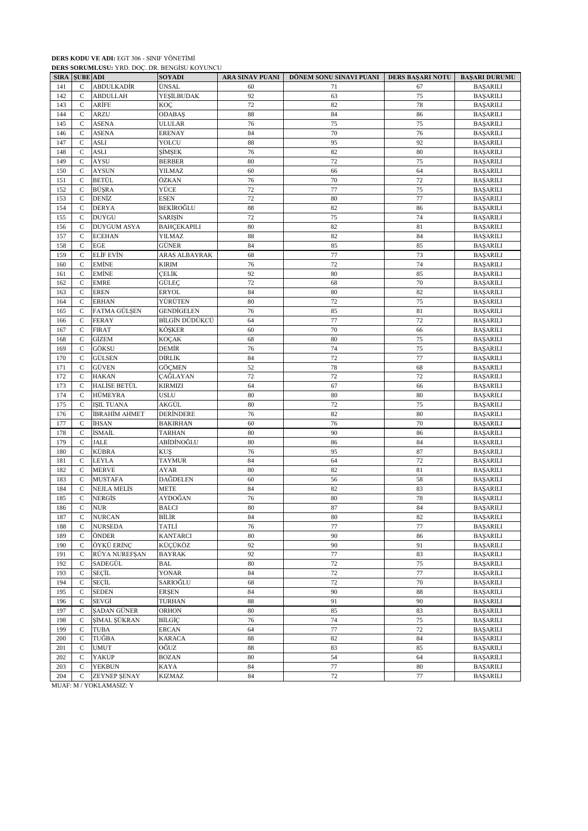|                       |                      | <b>DERS SORUMLUSU:</b> YRD. DOÇ. DR. BENGISU KOYUNCU |                    |                 |                                            |          |                      |
|-----------------------|----------------------|------------------------------------------------------|--------------------|-----------------|--------------------------------------------|----------|----------------------|
|                       | <b>SIRA SUBE ADI</b> |                                                      | <b>SOYADI</b>      | ARA SINAV PUANI | DÖNEM SONU SINAVI PUANI   DERS BAŞARI NOTU |          | <b>BAŞARI DURUMU</b> |
| 141                   | $\mathsf{C}$         | <b>ABDULKADİR</b>                                    | ÜNSAL              | 60<br>92        | 71                                         | 67       | <b>BAŞARILI</b>      |
| 142                   | $\mathcal{C}$        | <b>ABDULLAH</b>                                      | YEŞİLBUDAK         |                 | 63                                         | 75       | <b>BAŞARILI</b>      |
| 143                   | C                    | ARİFE                                                | KOÇ                | 72              | 82                                         | 78       | <b>BAŞARILI</b>      |
| 144                   | $\mathsf{C}$         | <b>ARZU</b>                                          | <b>ODABAŞ</b>      | 88              | 84                                         | 86       | <b>BAŞARILI</b>      |
| 145                   | C                    | <b>ASENA</b>                                         | ULULAR             | 76              | 75                                         | 75       | <b>BAŞARILI</b>      |
| 146                   | C                    | <b>ASENA</b>                                         | <b>ERENAY</b>      | 84              | 70                                         | 76       | <b>BAŞARILI</b>      |
| 147                   | $\mathsf{C}$         | <b>ASLI</b>                                          | YOLCU              | 88              | 95                                         | 92       | <b>BAŞARILI</b>      |
| 148                   | C                    | <b>ASLI</b>                                          | ŞİMŞEK             | 76              | 82                                         | 80       | <b>BAŞARILI</b>      |
| 149                   | $\mathsf{C}$         | <b>AYSU</b>                                          | <b>BERBER</b>      | 80              | 72                                         | 75       | <b>BAŞARILI</b>      |
| 150                   | $\mathsf{C}$         | <b>AYSUN</b>                                         | YILMAZ             | 60              | 66                                         | 64       | <b>BAŞARILI</b>      |
| 151                   | $\mathsf{C}$         | BETÜL                                                | ÖZKAN              | 76              | 70                                         | 72       | <b>BAŞARILI</b>      |
| 152                   | $\mathsf{C}$         | BÜŞRA                                                | YÜCE               | 72              | 77                                         | 75       | <b>BAŞARILI</b>      |
| 153                   | $\mathsf{C}$         | DENİZ                                                | <b>ESEN</b>        | 72              | 80                                         | 77       | BAŞARILI             |
| 154                   | C                    | <b>DERYA</b>                                         | BEKİROĞLU          | 88              | 82                                         | 86       | <b>BAŞARILI</b>      |
| 155                   | C                    | <b>DUYGU</b>                                         | <b>SARIŞIN</b>     | 72              | 75                                         | 74       | <b>BAŞARILI</b>      |
| 156                   | $\mathsf{C}$         | <b>DUYGUM ASYA</b>                                   | <b>BAHÇEKAPILI</b> | 80              | 82                                         | 81       | <b>BAŞARILI</b>      |
| 157                   | $\mathsf{C}$         | <b>ECEHAN</b>                                        | YILMAZ             | 88              | 82                                         | 84       | BAŞARILI             |
| 158                   | C                    | EGE                                                  | GÜNER              | 84              | 85                                         | 85       | <b>BAŞARILI</b>      |
| 159                   | $\mathsf{C}$         | ELİF EVİN                                            | ARAS ALBAYRAK      | 68              | $77 \,$                                    | 73       | <b>BAŞARILI</b>      |
| 160                   | C                    | EMİNE                                                | <b>KIRIM</b>       | 76              | 72                                         | 74       | <b>BAŞARILI</b>      |
| 161                   | $\mathsf{C}$         | <b>EMİNE</b>                                         | CELİK              | 92              | 80                                         | 85       | <b>BAŞARILI</b>      |
| 162                   | $\mathsf{C}$         | <b>EMRE</b>                                          | GÜLEÇ              | 72              | 68                                         | 70       | <b>BAŞARILI</b>      |
| 163                   | $\mathsf{C}$         | <b>EREN</b>                                          | <b>ERYOL</b>       | 84              | 80                                         | 82       | <b>BAŞARILI</b>      |
| 164                   | $\mathsf{C}$         | <b>ERHAN</b>                                         | YÜRÜTEN            | 80              | 72                                         | 75       | <b>BAŞARILI</b>      |
| 165                   | C                    | FATMA GÜLŞEN                                         | <b>GENDIGELEN</b>  | 76              | 85                                         | 81       | <b>BAŞARILI</b>      |
| 166                   | $\mathsf{C}$         | <b>FERAY</b>                                         | BİLGİN DÜDÜKCÜ     | 64              | 77                                         | 72       | <b>BAŞARILI</b>      |
| 167                   | C                    | <b>FIRAT</b>                                         | KÖŞKER             | 60              | $70\,$                                     | 66       | <b>BAŞARILI</b>      |
| 168                   | $\mathsf{C}$         | GİZEM                                                | <b>KOÇAK</b>       | 68              | 80                                         | 75       | <b>BAŞARILI</b>      |
|                       |                      | GÖKSU                                                | DEMİR              | 76              |                                            |          |                      |
| 169                   | C                    |                                                      | DİRLİK             | 84              | 74<br>72                                   | 75       | <b>BAŞARILI</b>      |
| 170                   | C                    | GÜLSEN                                               |                    |                 |                                            | 77       | <b>BAŞARILI</b>      |
| 171                   | $\mathsf{C}$         | GÜVEN                                                | <b>GÖÇMEN</b>      | 52              | 78                                         | 68       | <b>BAŞARILI</b>      |
| 172                   | C                    | HAKAN                                                | ÇAĞLAYAN           | 72              | 72                                         | 72       | <b>BAŞARILI</b>      |
| 173                   | C                    | HALİSE BETÜL                                         | <b>KIRMIZI</b>     | 64              | 67                                         | 66       | <b>BAŞARILI</b>      |
| 174                   | C                    | HÜMEYRA                                              | <b>USLU</b>        | 80              | 80                                         | 80       | <b>BAŞARILI</b>      |
| 175                   | $\mathsf{C}$         | <b>ISIL TUANA</b>                                    | AKGÜL              | 80              | 72                                         | 75       | <b>BAŞARILI</b>      |
| 176                   | C                    | İBRAHİM AHMET                                        | DERINDERE          | 76              | 82                                         | 80       | <b>BAŞARILI</b>      |
| 177                   | C                    | İHSAN                                                | <b>BAKIRHAN</b>    | 60              | 76                                         | 70       | <b>BAŞARILI</b>      |
| 178                   | $\mathsf{C}$         | İSMAİL                                               | <b>TARHAN</b>      | 80              | 90                                         | 86       | <b>BAŞARILI</b>      |
| 179                   | C                    | <b>JALE</b>                                          | ABİDİNOĞLU         | 80              | 86                                         | 84       | <b>BAŞARILI</b>      |
| 180                   | $\mathsf{C}$         | KÜBRA                                                | <b>KUS</b>         | 76              | 95                                         | 87       | <b>BAŞARILI</b>      |
| 181                   | C                    | LEYLA                                                | <b>TAYMUR</b>      | 84              | 64                                         | 72       | <b>BAŞARILI</b>      |
| 182                   | $\mathsf{C}$         | <b>MERVE</b>                                         | AYAR               | 80              | 82                                         | 81       | <b>BAŞARILI</b>      |
| 183                   | C                    | <b>MUSTAFA</b>                                       | DAĞDELEN           | 60              | 56                                         | 58       | <b>BAŞARILI</b>      |
| 184                   | $\mathsf{C}$         | NEJLA MELİS                                          | <b>METE</b>        | 84              | 82                                         | 83       | <b>BAŞARILI</b>      |
| 185                   | $\mathsf{C}$         | NERGİS                                               | AYDOĞAN            | 76              | 80                                         | 78       | <b>BAŞARILI</b>      |
| 186                   | $\mathbf C$          | <b>NUR</b>                                           | <b>BALCI</b>       | 80              | 87                                         | 84       | <b>BAŞARILI</b>      |
| 187                   | C                    | <b>NURCAN</b>                                        | BİLİR              | 84              | 80                                         | 82       | <b>BAŞARILI</b>      |
| 188                   | $\mathsf{C}$         | <b>NURSEDA</b>                                       | TATLİ              | 76              | 77                                         | 77       | <b>BAŞARILI</b>      |
| 189                   | $\mathsf{C}$         | ÖNDER                                                | <b>KANTARCI</b>    | 80              | 90                                         | 86       | <b>BAŞARILI</b>      |
| 190                   | $\mathsf{C}$         | ÖYKÜ ERİNC                                           | KÜÇÜKÖZ            | 92              | 90                                         | 91       | <b>BAŞARILI</b>      |
| 191                   | C                    | RÜYA NUREFŞAN                                        | <b>BAYRAK</b>      | 92              | $77\,$                                     | 83       | <b>BAŞARILI</b>      |
| 192                   | $\mathbf C$          | SADEGÜL                                              | <b>BAL</b>         | 80              | 72                                         | 75       | <b>BAŞARILI</b>      |
| 193                   | $\mathsf{C}$         | <b>SEÇİL</b>                                         | <b>YONAR</b>       | 84              | 72                                         | $77 \,$  | <b>BAŞARILI</b>      |
| 194                   | $\mathbf C$          | SEÇİL                                                | SARIOĞLU           | 68              | 72                                         | 70       | <b>BAŞARILI</b>      |
| 195                   | $\mathbf C$          | <b>SEDEN</b>                                         | <b>ERSEN</b>       | 84              | 90                                         | 88       | <b>BAŞARILI</b>      |
| 196                   | $\mathsf{C}$         | SEVGİ                                                | <b>TURHAN</b>      | 88              | 91                                         | 90       | <b>BAŞARILI</b>      |
| 197                   | $\mathbf C$          | <b>SADAN GÜNER</b>                                   | <b>ORHON</b>       | 80              | 85                                         | 83       | <b>BAŞARILI</b>      |
|                       | $\mathsf{C}$         | SİMAL SÜKRAN                                         | <b>BİLGİC</b>      | 76              | 74                                         |          |                      |
| 198                   |                      |                                                      | <b>ERCAN</b>       | 64              |                                            | 75<br>72 | <b>BAŞARILI</b>      |
| 199                   | $\mathsf{C}$         | <b>TUBA</b>                                          |                    |                 | 77                                         |          | <b>BAŞARILI</b>      |
| 200                   | $\mathsf{C}$         | TUĞBA                                                | <b>KARACA</b>      | 88              | 82                                         | 84       | <b>BAŞARILI</b>      |
| 201                   | $\mathsf{C}$         | <b>UMUT</b>                                          | OĞUZ               | 88              | 83                                         | 85       | <b>BAŞARILI</b>      |
| 202                   | $\mathsf{C}$         | YAKUP                                                | <b>BOZAN</b>       | 80              | 54                                         | 64       | <b>BAŞARILI</b>      |
| 203                   | $\mathsf{C}$         | <b>YEKBUN</b>                                        | <b>KAYA</b>        | 84              | 77                                         | 80       | <b>BAŞARILI</b>      |
| 204<br>$\overline{H}$ | C                    | ZEYNEP ŞENAY<br>(1120177, 1311, 077, 3)              | <b>KIZMAZ</b>      | 84              | $72\,$                                     | 77       | <b>BAŞARILI</b>      |

MUAF: M / YOKLAMASIZ: Y

**DERS SORUMLUSU:** YRD. DOÇ. DR. BENGİSU KOYUNCU

**DERS KODU VE ADI:** EGT 306 - SINIF YÖNETİMİ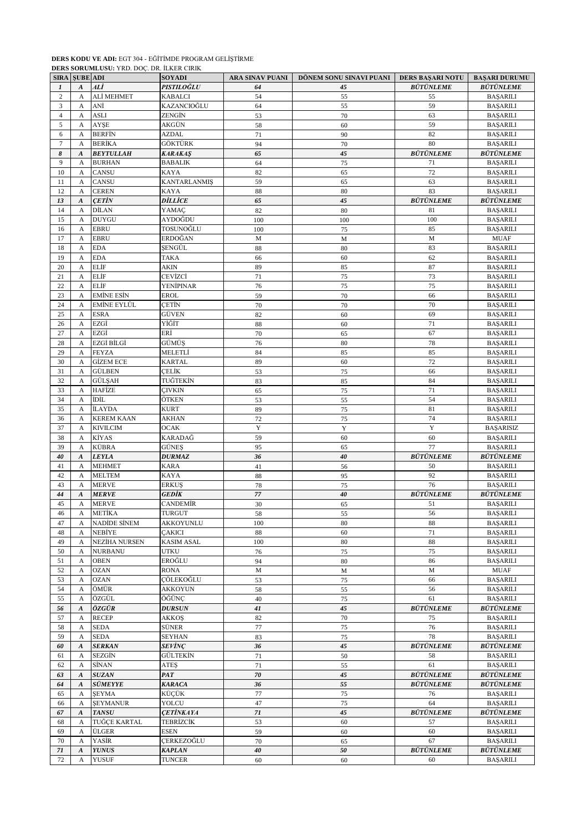## **DERS KODU VE ADI:** EGT 304 - EĞİTİMDE PROGRAM GELİŞTİRME

|                | DERS SORUMLUSU: YRD. DOC. DR. İLKER CIRIK |                              |                         |                        |                         |                         |                                |  |  |  |
|----------------|-------------------------------------------|------------------------------|-------------------------|------------------------|-------------------------|-------------------------|--------------------------------|--|--|--|
| <b>SIRA</b>    | <b>SUBE ADI</b>                           |                              | <b>SOYADI</b>           | <b>ARA SINAV PUANI</b> | DÖNEM SONU SINAVI PUANI | <b>DERS BASARI NOTU</b> | <b>BASARI DURUMU</b>           |  |  |  |
| 1              | $\boldsymbol{A}$                          | ALİ                          | PISTILOĞLU              | 64                     | 45                      | <b>BÜTÜNLEME</b>        | <b>BÜTÜNLEME</b>               |  |  |  |
| $\overline{c}$ | A                                         | ALİ MEHMET                   | <b>KABALCI</b>          | 54                     | 55                      | 55                      | <b>BAŞARILI</b>                |  |  |  |
| 3              | A                                         | ANİ                          | KAZANCIOĞLU             | 64                     | 55                      | 59                      | <b>BAŞARILI</b>                |  |  |  |
| $\overline{4}$ | A                                         | <b>ASLI</b>                  | ZENGİN                  | 53                     | 70                      | 63                      | <b>BAŞARILI</b>                |  |  |  |
| 5              | A                                         | <b>AYSE</b>                  | AKGÜN                   | 58                     | 60                      | 59                      | <b>BASARILI</b>                |  |  |  |
| 6              | A                                         | <b>BERFIN</b>                | <b>AZDAL</b>            | 71                     | 90                      | 82                      | <b>BAŞARILI</b>                |  |  |  |
| $\overline{7}$ | A                                         | <b>BERİKA</b>                | GÖKTÜRK                 | 94                     | 70                      | 80                      | <b>BAŞARILI</b>                |  |  |  |
| 8              | $\boldsymbol{A}$                          | <b>BEYTULLAH</b>             | <b>KARAKAŞ</b>          | 65                     | 45                      | <b>BÜTÜNLEME</b>        | <b>BÜTÜNLEME</b>               |  |  |  |
| 9              | A                                         | <b>BURHAN</b>                | <b>BABALIK</b>          | 64                     | 75                      | 71                      | <b>BAŞARILI</b>                |  |  |  |
| 10             | A                                         | <b>CANSU</b>                 | KAYA                    | 82                     | 65                      | 72                      | <b>BAŞARILI</b>                |  |  |  |
| 11             | A                                         | CANSU                        | <b>KANTARLANMIŞ</b>     | 59                     | 65                      | 63                      | <b>BAŞARILI</b>                |  |  |  |
| 12             | A                                         | <b>CEREN</b>                 | <b>KAYA</b>             | 88                     | 80                      | 83                      | <b>BAŞARILI</b>                |  |  |  |
| 13             | $\boldsymbol{A}$                          | <b>CETIN</b>                 | DİLLİCE                 | 65                     | 45                      | <b>BÜTÜNLEME</b>        | <b>BÜTÜNLEME</b>               |  |  |  |
| 14             | A                                         | <b>DİLAN</b><br><b>DUYGU</b> | YAMAÇ                   | 82                     | 80                      | 81                      | <b>BAŞARILI</b>                |  |  |  |
| 15             | A                                         | <b>EBRU</b>                  | AYDOĞDU<br>TOSUNOĞLU    | 100                    | 100                     | 100<br>85               | <b>BAŞARILI</b>                |  |  |  |
| 16<br>17       | A                                         | <b>EBRU</b>                  | ERDOĞAN                 | 100<br>M               | 75                      | M                       | <b>BAŞARILI</b><br><b>MUAF</b> |  |  |  |
| 18             | A<br>$\mathbf A$                          | <b>EDA</b>                   | ŞENGÜL                  | 88                     | M<br>80                 | 83                      | <b>BAŞARILI</b>                |  |  |  |
| 19             | A                                         | <b>EDA</b>                   | TAKA                    | 66                     | 60                      | 62                      | <b>BAŞARILI</b>                |  |  |  |
| 20             | A                                         | <b>ELIF</b>                  | AKIN                    | 89                     | 85                      | 87                      | <b>BAŞARILI</b>                |  |  |  |
| 21             | A                                         | ELİF                         | CEVİZCİ                 | 71                     | 75                      | 73                      | <b>BAŞARILI</b>                |  |  |  |
| 22             | A                                         | <b>ELIF</b>                  | YENİPINAR               | 76                     | 75                      | 75                      | <b>BAŞARILI</b>                |  |  |  |
| 23             | $\mathbf{A}$                              | <b>EMİNE ESİN</b>            | EROL                    | 59                     | 70                      | 66                      | <b>BAŞARILI</b>                |  |  |  |
| 24             | A                                         | <b>EMİNE EYLÜL</b>           | ÇETİN                   | 70                     | 70                      | 70                      | <b>BAŞARILI</b>                |  |  |  |
| 25             | A                                         | <b>ESRA</b>                  | GÜVEN                   | 82                     | 60                      | 69                      | <b>BAŞARILI</b>                |  |  |  |
| 26             | A                                         | EZGİ                         | YİĞİT                   | 88                     | 60                      | 71                      | <b>BAŞARILI</b>                |  |  |  |
| 27             | A                                         | EZGİ                         | ERİ                     | 70                     | 65                      | 67                      | <b>BAŞARILI</b>                |  |  |  |
| 28             | A                                         | EZGİ BİLGİ                   | GÜMÜŞ                   | 76                     | 80                      | 78                      | <b>BAŞARILI</b>                |  |  |  |
| 29             | A                                         | <b>FEYZA</b>                 | MELETLİ                 | 84                     | 85                      | 85                      | <b>BAŞARILI</b>                |  |  |  |
| 30             | A                                         | <b>GİZEM ECE</b>             | <b>KARTAL</b>           | 89                     | 60                      | 72                      | <b>BAŞARILI</b>                |  |  |  |
| 31             | A                                         | <b>GÜLBEN</b>                | ÇELİK                   | 53                     | 75                      | 66                      | <b>BAŞARILI</b>                |  |  |  |
| 32             | A                                         | <b>GÜLSAH</b>                | TUĞTEKİN                | 83                     | 85                      | 84                      | <b>BAŞARILI</b>                |  |  |  |
| 33             | A                                         | HAFİZE                       | <b>CIVKIN</b>           | 65                     | 75                      | 71                      | <b>BAŞARILI</b>                |  |  |  |
| 34             | A                                         | <b>İDİL</b>                  | ÖTKEN                   | 53                     | 55                      | 54                      | <b>BAŞARILI</b>                |  |  |  |
| 35             | A                                         | <b>İLAYDA</b>                | <b>KURT</b>             | 89                     | 75                      | 81                      | <b>BAŞARILI</b>                |  |  |  |
| 36             | A                                         | <b>KEREM KAAN</b>            | AKHAN                   | 72                     | 75                      | 74                      | <b>BAŞARILI</b>                |  |  |  |
| 37             | A                                         | <b>KIVILCIM</b>              | <b>OCAK</b>             | Y                      | Y                       | Y                       | <b>BASARISIZ</b>               |  |  |  |
| 38             | A                                         | KİYAS                        | KARADAĞ                 | 59                     | 60                      | 60                      | <b>BAŞARILI</b>                |  |  |  |
| 39             | A                                         | <b>KÜBRA</b>                 | GÜNEŞ                   | 95                     | 65                      | 77                      | <b>BAŞARILI</b>                |  |  |  |
| 40             | $\boldsymbol{A}$                          | <b>LEYLA</b>                 | <b>DURMAZ</b>           | 36                     | 40                      | <b>BÜTÜNLEME</b>        | <b>BÜTÜNLEME</b>               |  |  |  |
| 41             | A                                         | <b>MEHMET</b>                | <b>KARA</b>             | 41                     | 56                      | 50                      | <b>BAŞARILI</b>                |  |  |  |
| 42             | A                                         | <b>MELTEM</b>                | KAYA                    | 88                     | 95                      | 92                      | <b>BASARILI</b>                |  |  |  |
| 43             | A                                         | <b>MERVE</b>                 | <b>ERKUS</b>            | 78                     | 75                      | 76                      | <b>BAŞARILI</b>                |  |  |  |
| 44             | $\boldsymbol{A}$                          | <b>MERVE</b>                 | GEDİK                   | 77                     | 40                      | <b>BÜTÜNLEME</b>        | <b>BÜTÜNLEME</b>               |  |  |  |
| 45             | A                                         | <b>MERVE</b>                 | <b>CANDEMİR</b>         | $30\,$                 | 65                      | 51                      | <b>BAŞARILI</b>                |  |  |  |
| 46             | A                                         | METİKA                       | TURGUT                  | 58                     | 55                      | 56                      | <b>BAŞARILI</b>                |  |  |  |
| 47             | A                                         | <b>NADİDE SİNEM</b>          | AKKOYUNLU               | 100                    | 80                      | 88                      | <b>BASARILI</b>                |  |  |  |
| 48             | A                                         | NEBİYE                       | <b>ÇAKICI</b>           | 88                     | 60                      | 71                      | <b>BAŞARILI</b>                |  |  |  |
| 49             | A                                         | <b>NEZİHA NURSEN</b>         | <b>KASIM ASAL</b>       | 100                    | $80\,$                  | 88                      | <b>BAŞARILI</b>                |  |  |  |
| 50             | A                                         | <b>NURBANU</b>               | <b>UTKU</b>             | 76                     | 75                      | 75                      | <b>BAŞARILI</b>                |  |  |  |
| 51             | A                                         | <b>OBEN</b>                  | EROĞLU                  | 94                     | 80                      | 86                      | <b>BAŞARILI</b>                |  |  |  |
| 52             | A                                         | <b>OZAN</b>                  | RONA                    | $\mathbf M$            | $\mathbf M$             | M                       | <b>MUAF</b>                    |  |  |  |
| 53             | $\mathbf{A}$                              | <b>OZAN</b>                  | ÇÖLEKOĞLU               | 53                     | 75                      | 66                      | <b>BAŞARILI</b>                |  |  |  |
| 54             | A                                         | ÖMÜR                         | AKKOYUN                 | 58                     | 55                      | 56                      | <b>BAŞARILI</b>                |  |  |  |
| 55             | A                                         | ÖZGÜL                        | ÖĞÜNÇ                   | 40                     | $75\,$                  | 61                      | <b>BAŞARILI</b>                |  |  |  |
| 56             | $\boldsymbol{A}$                          | ÖZGÜR                        | DURSUN                  | 41                     | 45                      | <b>BÜTÜNLEME</b>        | <b>BÜTÜNLEME</b>               |  |  |  |
| 57             | A                                         | <b>RECEP</b>                 | <b>AKKOS</b>            | 82                     | 70                      | 75                      | <b>BAŞARILI</b>                |  |  |  |
| 58             | A                                         | <b>SEDA</b>                  | SÜNER                   | 77                     | 75                      | 76                      | <b>BAŞARILI</b>                |  |  |  |
| 59             | A                                         | <b>SEDA</b>                  | SEYHAN                  | 83                     | 75                      | 78                      | <b>BAŞARILI</b>                |  |  |  |
| 60             | $\boldsymbol{A}$                          | <b>SERKAN</b>                | SEVİNÇ                  | 36                     | 45                      | <b>BÜTÜNLEME</b>        | <b>BÜTÜNLEME</b>               |  |  |  |
| 61             | A                                         | <b>SEZGİN</b>                | GÜLTEKİN                | $71\,$                 | 50                      | 58                      | <b>BAŞARILI</b>                |  |  |  |
| 62             | A                                         | <b>SİNAN</b>                 | <b>ATES</b>             | 71                     | 55                      | 61                      | <b>BAŞARILI</b>                |  |  |  |
| 63             | $\boldsymbol{A}$                          | <b>SUZAN</b>                 | PAT                     | ${\bf 70}$             | 45                      | <b>BÜTÜNLEME</b>        | <b>BÜTÜNLEME</b>               |  |  |  |
| 64             | $\boldsymbol{A}$                          | <b>SÜMEYYE</b>               | KARACA                  | 36                     | 55                      | <b>BÜTÜNLEME</b>        | <b>BÜTÜNLEME</b>               |  |  |  |
| 65             | $\boldsymbol{\mathsf{A}}$                 | <b>SEYMA</b>                 | KÜÇÜK                   | $77\,$                 | $75\,$                  | 76                      | <b>BAŞARILI</b>                |  |  |  |
| 66             | A                                         | <b>ŞEYMANUR</b>              | YOLCU                   | $47\,$                 | 75                      | 64                      | <b>BAŞARILI</b>                |  |  |  |
| 67             | $\boldsymbol{A}$                          | <b>TANSU</b>                 | <i><b>ÇETİNKAYA</b></i> | 71                     | 45                      | <b>BÜTÜNLEME</b>        | <b>BÜTÜNLEME</b>               |  |  |  |
| 68             | $\mathbf{A}$                              | <b>TUĞÇE KARTAL</b>          | TEBRİZCİK               | 53                     | 60                      | 57                      | <b>BAŞARILI</b>                |  |  |  |
| 69             | A                                         | ÜLGER                        | ESEN                    | 59                     | 60                      | 60                      | <b>BAŞARILI</b>                |  |  |  |
| $70\,$         | A                                         | YASİR                        | CERKEZOĞLU              | $70\,$                 | 65                      | 67                      | <b>BAŞARILI</b>                |  |  |  |
| 71             | $\boldsymbol{A}$                          | <b>YUNUS</b>                 | <b>KAPLAN</b>           | 40                     | 50                      | <b>BÜTÜNLEME</b>        | <b>BÜTÜNLEME</b>               |  |  |  |
| 72             | A                                         | <b>YUSUF</b>                 | <b>TUNCER</b>           | 60                     | 60                      | 60                      | <b>BAŞARILI</b>                |  |  |  |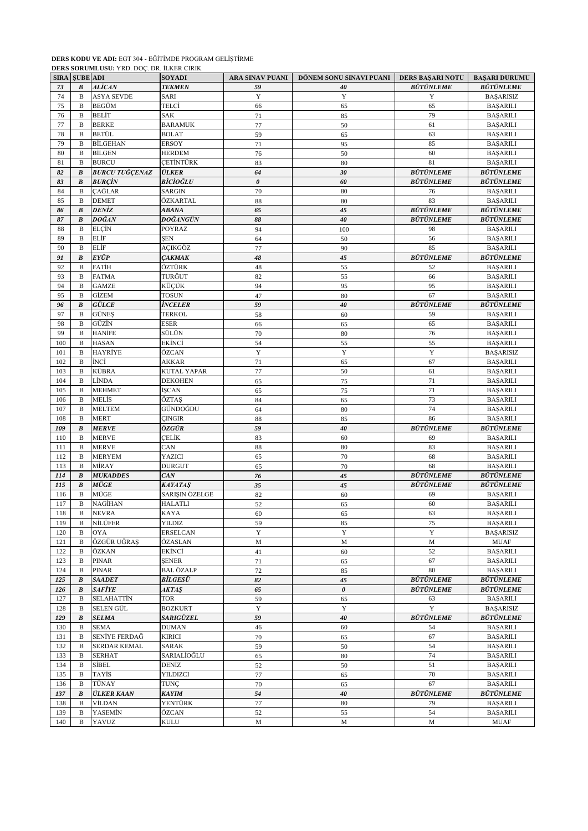## **DERS KODU VE ADI:** EGT 304 - EĞİTİMDE PROGRAM GELİŞTİRME

|             | DERS SORUMLUSU: YRD. DOÇ. DR. İLKER CIRIK |                       |                    |                        |                         |                         |                       |  |  |  |
|-------------|-------------------------------------------|-----------------------|--------------------|------------------------|-------------------------|-------------------------|-----------------------|--|--|--|
| <b>SIRA</b> | <b>SUBE ADI</b>                           |                       | <b>SOYADI</b>      | <b>ARA SINAV PUANI</b> | DÖNEM SONU SINAVI PUANI | <b>DERS BAŞARI NOTU</b> | <b>BAŞARI DURUMU</b>  |  |  |  |
| 73          | $\boldsymbol{B}$                          | <i><b>ALİCAN</b></i>  | <b>TEKMEN</b>      | 59                     | 40                      | <b>BÜTÜNLEME</b>        | <b>BÜTÜNLEME</b>      |  |  |  |
| 74          | B                                         | <b>ASYA SEVDE</b>     | <b>SARI</b>        | Y                      | Y                       | Y                       | <b>BASARISIZ</b>      |  |  |  |
| 75          | B                                         | <b>BEGÜM</b>          | TELCİ              | 66                     | 65                      | 65                      | <b>BAŞARILI</b>       |  |  |  |
| 76          | B                                         | <b>BELIT</b>          | SAK                | 71                     | 85                      | 79                      | <b>BAŞARILI</b>       |  |  |  |
| 77          | B                                         | <b>BERKE</b>          | <b>BARAMUK</b>     | $77 \,$                | 50                      | 61                      | <b>BAŞARILI</b>       |  |  |  |
| 78          | B                                         | <b>BETÜL</b>          | <b>BOLAT</b>       | 59                     | 65                      | 63                      | <b>BAŞARILI</b>       |  |  |  |
| 79          | B                                         | <b>BİLGEHAN</b>       | <b>ERSOY</b>       | 71                     | 95                      | 85                      | <b>BAŞARILI</b>       |  |  |  |
| 80          | B                                         | <b>BİLGEN</b>         | <b>HERDEM</b>      | 76                     | 50                      | 60                      | <b>BAŞARILI</b>       |  |  |  |
| 81          | B                                         | <b>BURCU</b>          | <b>CETINTÜRK</b>   | 83                     | 80                      | 81                      | <b>BAŞARILI</b>       |  |  |  |
|             |                                           |                       |                    |                        |                         | <b>BÜTÜNLEME</b>        |                       |  |  |  |
| 82          | $\boldsymbol{B}$                          | <b>BURCU TUĞÇENAZ</b> | <b>ÜLKER</b>       | 64                     | 30                      |                         | <b>BÜTÜNLEME</b>      |  |  |  |
| 83          | $\pmb{B}$                                 | <b>BURCIN</b>         | BİCİOĞLU           | $\pmb{\theta}$         | 60                      | <b>BÜTÜNLEME</b>        | <b>BÜTÜNLEME</b>      |  |  |  |
| 84          | $\mathbf B$                               | CAĞLAR                | <b>SARGIN</b>      | 70                     | 80                      | 76                      | <b>BAŞARILI</b>       |  |  |  |
| 85          | B                                         | <b>DEMET</b>          | ÖZKARTAL           | 88                     | 80                      | 83                      | <b>BASARILI</b>       |  |  |  |
| 86          | B                                         | <b>DENİZ</b>          | ABANA              | 65                     | 45                      | <b>BÜTÜNLEME</b>        | <b>BUTUNLEME</b>      |  |  |  |
| 87          | $\boldsymbol{B}$                          | DOĞAN                 | DOĞANGÜN           | 88                     | 40                      | <b>BÜTÜNLEME</b>        | <b>BÜTÜNLEME</b>      |  |  |  |
| 88          | B                                         | ELÇİN                 | POYRAZ             | 94                     | 100                     | 98                      | <b>BAŞARILI</b>       |  |  |  |
| 89          | $\mathbf B$                               | <b>ELIF</b>           | SEN                | 64                     | 50                      | 56                      | <b>BAŞARILI</b>       |  |  |  |
| 90          | B                                         | ELİF                  | AÇIKGÖZ            | 77                     | 90                      | 85                      | <b>BAŞARILI</b>       |  |  |  |
| 91          | $\pmb{B}$                                 | <b>EYÜP</b>           | <b>CAKMAK</b>      | 48                     | 45                      | <b>BÜTÜNLEME</b>        | <b>BÜTÜNLEME</b>      |  |  |  |
| 92          | B                                         | <b>FATIH</b>          | ÖZTÜRK             | 48                     | 55                      | 52                      | <b>BAŞARILI</b>       |  |  |  |
| 93          | B                                         | <b>FATMA</b>          | TURĞUT             | 82                     | 55                      | 66                      | <b>BAŞARILI</b>       |  |  |  |
| 94          | $\mathbf B$                               | <b>GAMZE</b>          | KÜCÜK              | 94                     | 95                      | 95                      | <b>BAŞARILI</b>       |  |  |  |
| 95          | B                                         | <b>GİZEM</b>          | <b>TOSUN</b>       |                        | 80                      | 67                      | <b>BAŞARILI</b>       |  |  |  |
|             |                                           |                       |                    | 47                     |                         | <b>BÜTÜNLEME</b>        | <b>BÜTÜNLEME</b>      |  |  |  |
| 96          | $\pmb{B}$                                 | GÜLCE                 | İNCELER            | 59                     | 40                      |                         |                       |  |  |  |
| 97          | B                                         | <b>GÜNES</b>          | <b>TERKOL</b>      | 58                     | 60                      | 59                      | <b>BAŞARILI</b>       |  |  |  |
| 98          | B                                         | GÜZİN                 | ESER               | 66                     | 65                      | 65                      | <b>BAŞARILI</b>       |  |  |  |
| 99          | B                                         | <b>HANİFE</b>         | SÜLÜN              | 70                     | 80                      | 76                      | <b>BAŞARILI</b>       |  |  |  |
| 100         | B                                         | <b>HASAN</b>          | EKİNCİ             | 54                     | 55                      | 55                      | <b>BAŞARILI</b>       |  |  |  |
| 101         | B                                         | HAYRİYE               | ÖZCAN              | Y                      | Y                       | $\mathbf Y$             | <b>BAŞARISIZ</b>      |  |  |  |
| 102         | B                                         | İNCİ                  | AKKAR              | 71                     | 65                      | 67                      | <b>BAŞARILI</b>       |  |  |  |
| 103         | B                                         | KÜBRA                 | <b>KUTAL YAPAR</b> | 77                     | 50                      | 61                      | <b>BAŞARILI</b>       |  |  |  |
| 104         | $\mathbf B$                               | LİNDA                 | <b>DEKOHEN</b>     | 65                     | 75                      | 71                      | <b>BAŞARILI</b>       |  |  |  |
| 105         | B                                         | <b>MEHMET</b>         | İŞCAN              | 65                     | 75                      | 71                      | <b>BAŞARILI</b>       |  |  |  |
| 106         | B                                         | MELİS                 | ÖZTAŞ              | 84                     | 65                      | 73                      | <b>BAŞARILI</b>       |  |  |  |
| 107         | B                                         | <b>MELTEM</b>         | GÜNDOĞDU           | 64                     | 80                      | 74                      | <b>BAŞARILI</b>       |  |  |  |
| 108         | B                                         | <b>MERT</b>           | <b>CINGIR</b>      | 88                     | 85                      | 86                      | <b>BAŞARILI</b>       |  |  |  |
| 109         | $\boldsymbol{B}$                          | <b>MERVE</b>          | ÖZGÜR              | 59                     | 40                      | <b>BÜTÜNLEME</b>        | <b>BUTUNLEME</b>      |  |  |  |
| 110         | B                                         | <b>MERVE</b>          | ÇELİK              |                        | 60                      | 69                      | <b>BAŞARILI</b>       |  |  |  |
|             |                                           |                       |                    | 83                     |                         | 83                      |                       |  |  |  |
| 111         | B                                         | <b>MERVE</b>          | CAN                | 88                     | 80                      |                         | <b>BAŞARILI</b>       |  |  |  |
| 112         | B                                         | <b>MERYEM</b>         | YAZICI             | 65                     | 70                      | 68                      | <b>BAŞARILI</b>       |  |  |  |
| 113         | B                                         | MİRAY                 | <b>DURGUT</b>      | 65                     | 70                      | 68                      | <b>BAŞARILI</b>       |  |  |  |
| 114         | $\boldsymbol{B}$                          | <b>MUKADDES</b>       | CAN                | 76                     | 45                      | <b>BÜTÜNLEME</b>        | <b>BÜTÜNLEME</b>      |  |  |  |
| 115         | $\boldsymbol{B}$                          | <b>MÜGE</b>           | <b>KAYATAŞ</b>     | 35                     | 45                      | <b>BÜTÜNLEME</b>        | <b>BÜTÜNLEME</b>      |  |  |  |
| 116         | B                                         | MÜGE                  | SARIŞIN ÖZELGE     | 82                     | 60                      | 69                      | <b>BAŞARILI</b>       |  |  |  |
| 117         | $\overline{B}$                            | NAGİHAN               | <b>HALATLI</b>     | 52                     | 65                      | $60\,$                  | <b>BAŞARILI</b>       |  |  |  |
| 118         | B                                         | <b>NEVRA</b>          | KAYA               | 60                     | 65                      | 63                      | <b>BASARILI</b>       |  |  |  |
| 119         | В                                         | NİLÜFER               | YILDIZ             | 59                     | 85                      | 75                      | <b>BAŞARILI</b>       |  |  |  |
| 120         | B                                         | <b>OYA</b>            | <b>ERSELCAN</b>    | Y                      | Y                       | $\mathbf Y$             | <b>BAŞARISIZ</b>      |  |  |  |
| 121         | B                                         | ÖZGÜR UĞRAŞ           | ÖZASLAN            | $\mathbf M$            | M                       | $\mathbf M$             | <b>MUAF</b>           |  |  |  |
| 122         | B                                         | ÖZKAN                 | EKİNCİ             | 41                     | 60                      | 52                      | <b>BAŞARILI</b>       |  |  |  |
| 123         | B                                         | <b>PINAR</b>          | <b>ŞENER</b>       | $71\,$                 | 65                      | 67                      | <b>BAŞARILI</b>       |  |  |  |
| 124         | B                                         | <b>PINAR</b>          | <b>BAL ÖZALP</b>   | $72\,$                 | 85                      | 80                      | <b>BAŞARILI</b>       |  |  |  |
| 125         | B                                         | <b>SAADET</b>         | BİLGESÜ            | 82                     | 45                      | <b>BÜTÜNLEME</b>        | <b>BÜTÜNLEME</b>      |  |  |  |
|             |                                           |                       |                    |                        |                         |                         |                       |  |  |  |
| 126         | B                                         | <b>SAFİYE</b>         | <b>AKTAS</b>       | 65                     | 0                       | <b>BÜTÜNLEME</b>        | <b>BÜTÜNLEME</b>      |  |  |  |
| 127         | B                                         | <b>SELAHATTİN</b>     | <b>TOR</b>         | 59                     | 65                      | 63                      | <b>BAŞARILI</b>       |  |  |  |
| 128         | B                                         | SELEN GÜL             | <b>BOZKURT</b>     | $\mathbf Y$            | Y                       | Y                       | <b>BAŞARISIZ</b>      |  |  |  |
| 129         | $\boldsymbol{B}$                          | <b>SELMA</b>          | SARIGÜZEL          | 59                     | 40                      | <b>BÜTÜNLEME</b>        | <b>BÜTÜNLEME</b>      |  |  |  |
| 130         | B                                         | <b>SEMA</b>           | <b>DUMAN</b>       | 46                     | 60                      | 54                      | <b>BAŞARILI</b>       |  |  |  |
| 131         | B                                         | SENİYE FERDAĞ         | <b>KIRICI</b>      | $70\,$                 | 65                      | 67                      | <b>BAŞARILI</b>       |  |  |  |
| 132         | B                                         | SERDAR KEMAL          | SARAK              | 59                     | 50                      | 54                      | <b>BAŞARILI</b>       |  |  |  |
| 133         | B                                         | <b>SERHAT</b>         | SARIALIOĞLU        | 65                     | 80                      | 74                      | <b>BAŞARILI</b>       |  |  |  |
| 134         | B                                         | <b>SİBEL</b>          | DENİZ              | 52                     | 50                      | 51                      | <b>BAŞARILI</b>       |  |  |  |
| 135         | B                                         | TAYİS                 | YILDIZCI           | 77                     | 65                      | $70\,$                  | <b>BAŞARILI</b>       |  |  |  |
| 136         | B                                         | TÜNAY                 | TUNÇ               | $70\,$                 | 65                      | 67                      | <b>BAŞARILI</b>       |  |  |  |
| 137         | $\pmb{B}$                                 | <b>ÜLKER KAAN</b>     | KAYIM              | 54                     | 40                      | <b>BÜTÜNLEME</b>        | <b>BÜTÜNLEME</b>      |  |  |  |
| 138         | B                                         | VİLDAN                | YENTÜRK            | $77\,$                 | 80                      | 79                      | <b>BAŞARILI</b>       |  |  |  |
| 139         | B                                         | YASEMİN               | ÖZCAN              | 52                     |                         | 54                      | <b>BAŞARILI</b>       |  |  |  |
|             |                                           |                       |                    |                        | 55                      |                         |                       |  |  |  |
| 140         | B                                         | YAVUZ                 | KULU               | М                      | М                       | M                       | $\operatorname{MUAF}$ |  |  |  |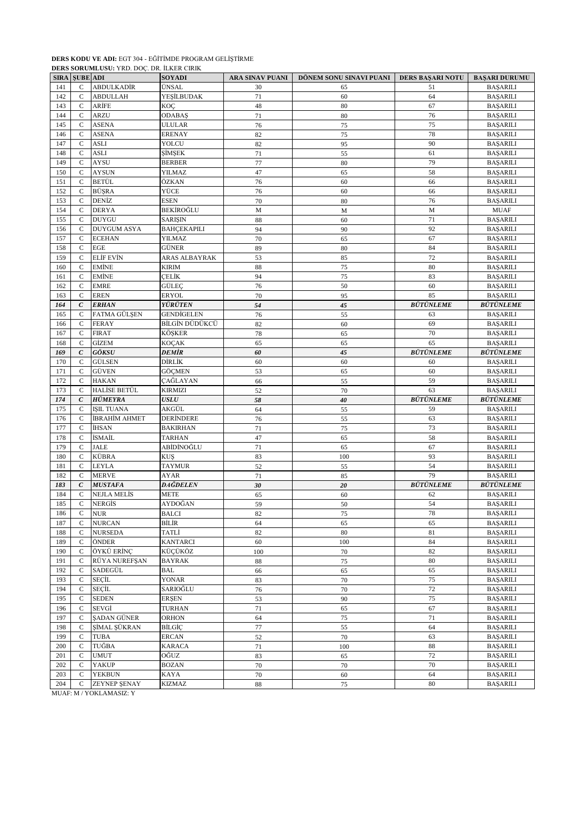#### **DERS KODU VE ADI:** EGT 304 - EĞİTİMDE PROGRAM GELİŞTİRME **DERS SORUMLUSU:** YRD. DOÇ. DR. İLKER CIRIK

|     | <b>SIRA SUBE ADI</b>        |                         | <b>SOYADI</b>      | ARA SINAV PUANI | DÖNEM SONU SINAVI PUANI | DERS BAŞARI NOTU | <b>BAŞARI DURUMU</b> |
|-----|-----------------------------|-------------------------|--------------------|-----------------|-------------------------|------------------|----------------------|
| 141 | $\mathcal{C}$               | <b>ABDULKADİR</b>       | ÜNSAL              | 30              | 65                      | 51               | <b>BAŞARILI</b>      |
| 142 | $\mathcal{C}$               | <b>ABDULLAH</b>         | YEŞİLBUDAK         | 71              | 60                      | 64               | <b>BAŞARILI</b>      |
| 143 | $\mathsf C$                 | ARİFE                   | KOÇ                | 48              | 80                      | 67               | <b>BAŞARILI</b>      |
| 144 | $\mathsf{C}$                | <b>ARZU</b>             | <b>ODABAŞ</b>      | 71              | 80                      | 76               | <b>BAŞARILI</b>      |
| 145 | C                           | <b>ASENA</b>            | ULULAR             | 76              | 75                      | 75               | <b>BAŞARILI</b>      |
| 146 | $\mathsf{C}$                | <b>ASENA</b>            | ERENAY             | 82              | 75                      | 78               | <b>BAŞARILI</b>      |
| 147 | $\mathcal{C}$               | <b>ASLI</b>             | YOLCU              | 82              | 95                      | 90               | <b>BAŞARILI</b>      |
| 148 | $\mathsf C$                 | <b>ASLI</b>             | ŞİMŞEK             | 71              | 55                      | 61               | <b>BAŞARILI</b>      |
| 149 | $\mathbf{C}$                | <b>AYSU</b>             | <b>BERBER</b>      | 77              | 80                      | 79               | <b>BAŞARILI</b>      |
| 150 | C                           | <b>AYSUN</b>            | YILMAZ             | 47              | 65                      | 58               | <b>BAŞARILI</b>      |
| 151 | $\mathsf C$                 | BETÜL                   | ÖZKAN              | 76              | 60                      | 66               | <b>BAŞARILI</b>      |
| 152 | $\mathcal{C}$               | <b>BÜŞRA</b>            | YÜCE               | 76              | 60                      | 66               | <b>BAŞARILI</b>      |
| 153 | $\mathsf C$                 | DENİZ                   | <b>ESEN</b>        | 70              | 80                      | 76               | <b>BAŞARILI</b>      |
| 154 | $\mathsf{C}$                | <b>DERYA</b>            | BEKİROĞLU          | M               | M                       | M                | <b>MUAF</b>          |
| 155 | C                           | <b>DUYGU</b>            | SARIŞIN            | 88              | 60                      | 71               | <b>BAŞARILI</b>      |
| 156 | $\mathsf{C}$                | <b>DUYGUM ASYA</b>      | <b>BAHÇEKAPILI</b> | 94              | 90                      | 92               | <b>BAŞARILI</b>      |
| 157 | $\mathcal{C}$               | <b>ECEHAN</b>           | YILMAZ             | 70              | 65                      | 67               | <b>BAŞARILI</b>      |
| 158 | $\mathsf C$                 | <b>EGE</b>              | GÜNER              | 89              | 80                      | 84               | <b>BAŞARILI</b>      |
| 159 | $\mathbf{C}$                | <b>ELIF EVIN</b>        | ARAS ALBAYRAK      | 53              | 85                      | 72               | <b>BAŞARILI</b>      |
| 160 | C                           | EMİNE                   | KIRIM              | 88              | 75                      | 80               | <b>BAŞARILI</b>      |
| 161 | $\mathcal{C}$               | <b>EMİNE</b>            | ÇELİK              | 94              | 75                      | 83               | <b>BAŞARILI</b>      |
| 162 | $\mathcal{C}$               | <b>EMRE</b>             | GÜLEÇ              | 76              | 50                      | 60               | <b>BAŞARILI</b>      |
| 163 | $\mathsf C$                 | <b>EREN</b>             | <b>ERYOL</b>       | 70              | 95                      | 85               | <b>BAŞARILI</b>      |
| 164 | $\mathcal{C}$               | <b>ERHAN</b>            | YÜRÜTEN            | 54              | 45                      | <b>BÜTÜNLEME</b> | <b>BÜTÜNLEME</b>     |
| 165 | C                           | FATMA GÜLŞEN            | GENDİGELEN         | 76              | 55                      | 63               | <b>BAŞARILI</b>      |
| 166 | $\mathsf{C}$                | <b>FERAY</b>            | BİLGİN DÜDÜKCÜ     | 82              | 60                      | 69               | <b>BAŞARILI</b>      |
| 167 | $\mathcal{C}$               | <b>FIRAT</b>            | KÖŞKER             |                 |                         | 70               | <b>BAŞARILI</b>      |
| 168 | $\mathsf C$                 | <b>GİZEM</b>            | KOÇAK              | 78<br>65        | 65<br>65                | 65               | <b>BAŞARILI</b>      |
| 169 | $\mathcal{C}$               | GÖKSU                   | DEMİR              |                 |                         | <b>BÜTÜNLEME</b> | <b>BÜTÜNLEME</b>     |
|     |                             |                         |                    | 60              | 45                      |                  |                      |
| 170 | C<br>$\mathsf C$            | <b>GÜLSEN</b>           | DİRLİK             | 60              | 60                      | 60<br>60         | <b>BAŞARILI</b>      |
| 171 |                             | GÜVEN                   | GÖÇMEN             | 53              | 65                      |                  | <b>BAŞARILI</b>      |
| 172 | $\mathcal{C}$               | <b>HAKAN</b>            | ÇAĞLAYAN           | 66              | 55                      | 59<br>63         | <b>BAŞARILI</b>      |
| 173 | $\mathsf{C}$                | <b>HALISE BETÜL</b>     | KIRMIZI            | 52              | 70                      |                  | <b>BAŞARILI</b>      |
| 174 | $\mathcal{C}$               | <b>HÜMEYRA</b>          | <b>USLU</b>        | 58              | 40                      | <b>BÜTÜNLEME</b> | <b>BÜTÜNLEME</b>     |
| 175 | C                           | <b>ISIL TUANA</b>       | AKGÜL              | 64              | 55                      | 59               | <b>BAŞARILI</b>      |
| 176 | $\mathsf{C}$                | <b>İBRAHİM AHMET</b>    | DERİNDERE          | 76              | 55                      | 63               | <b>BAŞARILI</b>      |
| 177 | $\mathcal{C}$               | <b>İHSAN</b>            | <b>BAKIRHAN</b>    | 71              | 75                      | 73               | <b>BAŞARILI</b>      |
| 178 | $\mathsf C$                 | İSMAİL                  | TARHAN             | 47              | 65                      | 58               | <b>BAŞARILI</b>      |
| 179 | $\mathsf{C}$                | <b>JALE</b>             | ABİDİNOĞLU         | 71              | 65                      | 67               | <b>BAŞARILI</b>      |
| 180 | C                           | KÜBRA                   | <b>KUŞ</b>         | 83              | 100                     | 93               | <b>BAŞARILI</b>      |
| 181 | $\mathsf{C}$                | <b>LEYLA</b>            | TAYMUR             | 52              | 55                      | 54               | <b>BAŞARILI</b>      |
| 182 | $\mathcal{C}$               | <b>MERVE</b>            | <b>AYAR</b>        | 71              | 85                      | 79               | <b>BAŞARILI</b>      |
| 183 | $\mathcal{C}_{\mathcal{C}}$ | <b>MUSTAFA</b>          | DAĞDELEN           | 30              | 20                      | <b>BÜTÜNLEME</b> | <b>BÜTÜNLEME</b>     |
| 184 | $\mathbf{C}$                | <b>NEJLA MELIS</b>      | METE               | 65              | 60                      | 62               | <b>BAŞARILI</b>      |
| 185 | $\mathbf C$                 | NERGIS                  | AYDOĞAN            | 59              | 50                      | 54               | <b>BAŞARILI</b>      |
| 186 | $\mathbf C$                 | <b>NUR</b>              | <b>BALCI</b>       | 82              | $75\,$                  | 78               | <b>BAŞARILI</b>      |
| 187 | $\mathsf{C}$                | <b>NURCAN</b>           | BİLİR              | 64              | 65                      | 65               | <b>BAŞARILI</b>      |
| 188 | C                           | <b>NURSEDA</b>          | TATLİ              | 82              | 80                      | 81               | <b>BAŞARILI</b>      |
| 189 | $\mathbf{C}$                | ÖNDER                   | <b>KANTARCI</b>    | 60              | 100                     | 84               | <b>BAŞARILI</b>      |
| 190 | C                           | ÖYKÜ ERİNÇ              | KÜÇÜKÖZ            | 100             | 70                      | 82               | <b>BAŞARILI</b>      |
| 191 | $\mathsf{C}$                | RÜYA NUREFŞAN           | <b>BAYRAK</b>      | $88\,$          | 75                      | $80\,$           | <b>BAŞARILI</b>      |
| 192 | $\mathsf C$                 | SADEGÜL                 | <b>BAL</b>         | 66              | 65                      | 65               | <b>BAŞARILI</b>      |
| 193 | $\mathsf{C}$                | <b>SECIL</b>            | YONAR              | 83              | 70                      | $75\,$           | <b>BAŞARILI</b>      |
| 194 | $\mathsf{C}$                | <b>SECIL</b>            | SARIOĞLU           | 76              | $70\,$                  | $72\,$           | <b>BAŞARILI</b>      |
| 195 | C                           | <b>SEDEN</b>            | <b>ERŞEN</b>       | 53              | 90                      | 75               | <b>BAŞARILI</b>      |
| 196 | $\mathbf C$                 | SEVGİ                   | TURHAN             | 71              | 65                      | 67               | <b>BAŞARILI</b>      |
| 197 | $\mathbf C$                 | <b>SADAN GÜNER</b>      | ORHON              | 64              | $75\,$                  | 71               | <b>BAŞARILI</b>      |
| 198 | $\mathsf{C}$                | ŞİMAL ŞÜKRAN            | <b>BİLGİÇ</b>      | $77\,$          | 55                      | 64               | <b>BAŞARILI</b>      |
| 199 | $\mathsf{C}$                | <b>TUBA</b>             | ERCAN              | 52              | $70\,$                  | 63               | <b>BAŞARILI</b>      |
| 200 | C                           | TUĞBA                   | KARACA             | 71              | 100                     | $88\,$           | <b>BAŞARILI</b>      |
| 201 | $\mathbf C$                 | <b>UMUT</b>             | OĞUZ               | 83              | 65                      | $72\,$           | <b>BAŞARILI</b>      |
| 202 | $\mathsf{C}$                | <b>YAKUP</b>            | BOZAN              | $70\,$          | 70                      | $70\,$           | <b>BAŞARILI</b>      |
| 203 | $\mathsf{C}$                | <b>YEKBUN</b>           | KAYA               | $70\,$          | 60                      | 64               | <b>BAŞARILI</b>      |
| 204 | $\mathbf{C}$                | <b>ZEYNEP ŞENAY</b>     | KIZMAZ             | 88              | 75                      | $80\,$           | <b>BAŞARILI</b>      |
|     |                             | MUAF: M / YOKLAMASIZ: Y |                    |                 |                         |                  |                      |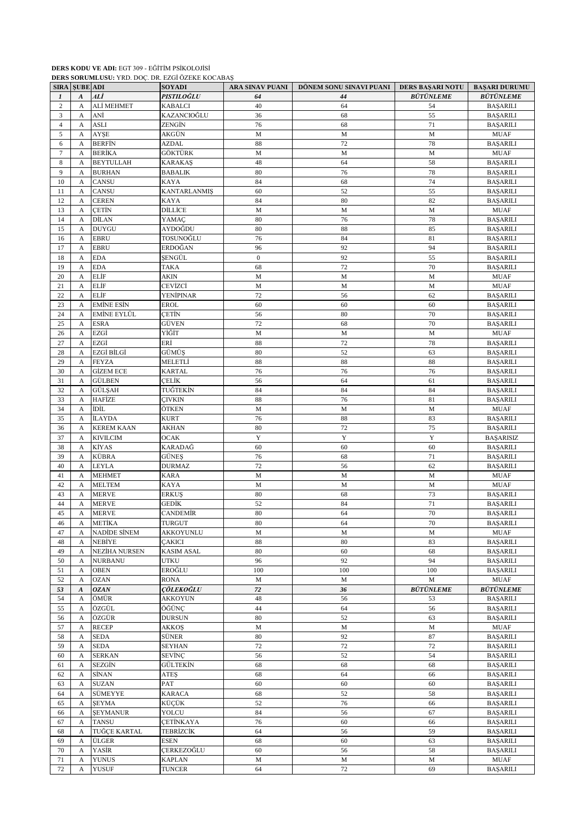## **DERS KODU VE ADI:** EGT 309 - EĞİTİM PSİKOLOJİSİ

**DERS SORUMLUSU:** YRD. DOÇ. DR. EZGİ ÖZEKE KOCABAŞ

|                | <b>SIRA SUBE ADI</b> |                              | <b>SOYADI</b>             | ARA SINAV PUANI | DÖNEM SONU SINAVI PUANI | DERS BAŞARI NOTU | <b>BAŞARI DURUMU</b>               |
|----------------|----------------------|------------------------------|---------------------------|-----------------|-------------------------|------------------|------------------------------------|
| 1              | $\boldsymbol{A}$     | ALİ                          | PISTILOĞLU                | 64              | 44                      | <b>BÜTÜNLEME</b> | <b>BÜTÜNLEME</b>                   |
| $\overline{c}$ | A                    | ALİ MEHMET                   | <b>KABALCI</b>            | 40              | 64                      | 54               | <b>BAŞARILI</b>                    |
| 3              | A                    | ANİ                          | KAZANCIOĞLU               | 36              | 68                      | 55               | <b>BAŞARILI</b>                    |
| $\overline{4}$ | A                    | <b>ASLI</b>                  | ZENGİN                    | 76              | 68                      | 71               | <b>BAŞARILI</b>                    |
| 5              | A                    | AYŞE                         | AKGÜN                     | $\mathbf M$     | M                       | M                | <b>MUAF</b>                        |
| 6              | A                    | <b>BERFIN</b>                | <b>AZDAL</b>              | 88              | 72                      | 78               | <b>BAŞARILI</b>                    |
| $\tau$         | A                    | <b>BERİKA</b>                | GÖKTÜRK                   | $\mathbf M$     | M                       | $\mathbf M$      | <b>MUAF</b>                        |
| 8              | A                    | <b>BEYTULLAH</b>             | KARAKAŞ                   | 48              | 64                      | 58               | <b>BAŞARILI</b>                    |
| 9              | A                    | <b>BURHAN</b>                | <b>BABALIK</b>            | 80              | 76                      | 78               | <b>BAŞARILI</b>                    |
| 10             | A                    | <b>CANSU</b>                 | KAYA                      | 84              | 68                      | 74               | <b>BAŞARILI</b>                    |
| 11             | A                    | <b>CANSU</b>                 | <b>KANTARLANMIŞ</b>       | 60              | 52                      | 55               | <b>BAŞARILI</b>                    |
| 12             | A                    | <b>CEREN</b>                 | KAYA                      | 84              | 80                      | 82               | <b>BAŞARILI</b>                    |
| 13             | A                    | <b>CETIN</b>                 | DİLLİCE                   | $\mathbf M$     | M                       | $\mathbf M$      | <b>MUAF</b>                        |
| 14<br>15       | A<br>A               | <b>DİLAN</b><br><b>DUYGU</b> | YAMAC<br>AYDOĞDU          | 80<br>80        | 76<br>88                | 78<br>85         | <b>BAŞARILI</b>                    |
| 16             | A                    | <b>EBRU</b>                  | TOSUNOĞLU                 | 76              | 84                      | 81               | <b>BAŞARILI</b><br><b>BAŞARILI</b> |
| 17             | A                    | <b>EBRU</b>                  | ERDOĞAN                   | 96              | 92                      | 94               | <b>BAŞARILI</b>                    |
| 18             | A                    | <b>EDA</b>                   | ŞENGÜL                    | $\mathbf{0}$    | 92                      | 55               | <b>BAŞARILI</b>                    |
| 19             | A                    | <b>EDA</b>                   | <b>TAKA</b>               | 68              | 72                      | 70               | <b>BAŞARILI</b>                    |
| 20             | A                    | <b>ELIF</b>                  | <b>AKIN</b>               | M               | M                       | M                | <b>MUAF</b>                        |
| 21             | $\mathbf{A}$         | <b>ELIF</b>                  | CEVİZCİ                   | $\mathbf M$     | M                       | M                | <b>MUAF</b>                        |
| 22             | A                    | <b>ELIF</b>                  | YENİPINAR                 | 72              | 56                      | 62               | <b>BAŞARILI</b>                    |
| 23             | A                    | <b>EMİNE ESİN</b>            | <b>EROL</b>               | 60              | 60                      | 60               | <b>BAŞARILI</b>                    |
| 24             | A                    | <b>EMİNE EYLÜL</b>           | <b>CETIN</b>              | 56              | 80                      | 70               | <b>BAŞARILI</b>                    |
| 25             | A                    | <b>ESRA</b>                  | GÜVEN                     | 72              | 68                      | 70               | <b>BAŞARILI</b>                    |
| 26             | A                    | EZGİ                         | YİĞİT                     | $\mathbf M$     | M                       | M                | <b>MUAF</b>                        |
| 27             | A                    | EZGİ                         | ERİ                       | $88\,$          | 72                      | 78               | <b>BAŞARILI</b>                    |
| 28             | A                    | EZGİ BİLGİ                   | GÜMÜS                     | 80              | 52                      | 63               | <b>BAŞARILI</b>                    |
| 29             | A                    | <b>FEYZA</b>                 | MELETLİ                   | 88              | 88                      | 88               | <b>BAŞARILI</b>                    |
| 30             | A                    | <b>GİZEM ECE</b>             | <b>KARTAL</b>             | 76              | 76                      | 76               | <b>BAŞARILI</b>                    |
| 31             | A                    | <b>GÜLBEN</b>                | ÇELİK                     | 56              | 64                      | 61               | <b>BAŞARILI</b>                    |
| 32             | A                    | GÜLŞAH                       | TUĞTEKİN                  | 84              | 84                      | 84               | <b>BAŞARILI</b>                    |
| 33             | A                    | <b>HAFİZE</b>                | <b>CIVKIN</b>             | 88              | 76                      | 81               | <b>BAŞARILI</b>                    |
| 34             | A                    | <b>İDİL</b>                  | ÖTKEN                     | M               | М                       | M                | <b>MUAF</b>                        |
| 35             | A                    | <b>İLAYDA</b>                | <b>KURT</b>               | 76              | 88                      | 83               | <b>BAŞARILI</b>                    |
| 36             | A                    | <b>KEREM KAAN</b>            | AKHAN                     | 80              | 72                      | 75               | <b>BAŞARILI</b>                    |
| 37             | A                    | <b>KIVILCIM</b>              | <b>OCAK</b>               | $\mathbf Y$     | $\mathbf Y$             | $\mathbf Y$      | <b>BAŞARISIZ</b>                   |
| 38             | A                    | KİYAS                        | KARADAĞ                   | 60              | 60                      | 60               | <b>BAŞARILI</b>                    |
| 39             | A                    | <b>KÜBRA</b>                 | GÜNEŞ                     | 76              | 68                      | 71               | <b>BAŞARILI</b>                    |
| 40             | A                    | <b>LEYLA</b>                 | <b>DURMAZ</b>             | 72              | 56                      | 62               | <b>BAŞARILI</b>                    |
| 41             | A                    | <b>MEHMET</b>                | KARA                      | $\mathbf M$     | M                       | $\mathbf M$      | <b>MUAF</b>                        |
| 42             | A                    | <b>MELTEM</b>                | KAYA                      | $\mathbf M$     | M                       | $\mathbf M$      | <b>MUAF</b>                        |
| 43             | A                    | <b>MERVE</b>                 | <b>ERKUS</b>              | 80              | 68                      | 73               | <b>BAŞARILI</b>                    |
| 44<br>45       | A                    | <b>MERVE</b><br><b>MERVE</b> | <b>GEDİK</b>              | 52<br>80        | 84<br>64                | 71<br>70         | <b>BAŞARILI</b><br><b>BAŞARILI</b> |
| 46             | A<br>A               | <b>METİKA</b>                | CANDEMİR<br><b>TURGUT</b> | 80              | 64                      | 70               | <b>BASARILI</b>                    |
| 47             |                      | <b>NADIDE SINEM</b>          | AKKOYUNLU                 | M               | М                       | M                | <b>MUAF</b>                        |
| 48             | A<br>A               | NEBİYE                       | <b>CAKICI</b>             | 88              | 80                      | 83               | <b>BAŞARILI</b>                    |
| 49             | A                    | <b>NEZİHA NURSEN</b>         | <b>KASIM ASAL</b>         | 80              | 60                      | 68               | <b>BAŞARILI</b>                    |
| 50             | A                    | <b>NURBANU</b>               | <b>UTKU</b>               | 96              | 92                      | 94               | <b>BAŞARILI</b>                    |
| 51             | A                    | <b>OBEN</b>                  | EROĞLU                    | 100             | 100                     | 100              | <b>BAŞARILI</b>                    |
| 52             | A                    | <b>OZAN</b>                  | RONA                      | $\mathbf M$     | $\mathbf M$             | $\mathbf M$      | <b>MUAF</b>                        |
| 53             | $\boldsymbol{A}$     | <b>OZAN</b>                  | <b>ÇÖLEKOĞLU</b>          | 72              | 36                      | <b>BÜTÜNLEME</b> | <b>BÜTÜNLEME</b>                   |
| 54             | A                    | ÖMÜR                         | <b>AKKOYUN</b>            | 48              | 56                      | 53               | <b>BAŞARILI</b>                    |
| 55             | A                    | ÖZGÜL                        | ÖĞÜNÇ                     | 44              | 64                      | 56               | <b>BAŞARILI</b>                    |
| 56             | A                    | ÖZGÜR                        | DURSUN                    | $80\,$          | 52                      | 63               | <b>BAŞARILI</b>                    |
| 57             | A                    | <b>RECEP</b>                 | AKKOŞ                     | $\mathbf M$     | $\mathbf M$             | $\mathbf M$      | MUAF                               |
| 58             | A                    | <b>SEDA</b>                  | SÜNER                     | 80              | 92                      | 87               | <b>BAŞARILI</b>                    |
| 59             | A                    | <b>SEDA</b>                  | <b>SEYHAN</b>             | 72              | 72                      | 72               | <b>BAŞARILI</b>                    |
| 60             | A                    | <b>SERKAN</b>                | SEVİNÇ                    | 56              | 52                      | 54               | <b>BAŞARILI</b>                    |
| 61             | A                    | SEZGİN                       | GÜLTEKİN                  | 68              | 68                      | 68               | <b>BAŞARILI</b>                    |
| 62             | A                    | <b>SİNAN</b>                 | ATES                      | 68              | 64                      | 66               | <b>BAŞARILI</b>                    |
| 63             | A                    | <b>SUZAN</b>                 | PAT                       | 60              | 60                      | 60               | <b>BAŞARILI</b>                    |
| 64             | A                    | SÜMEYYE                      | <b>KARACA</b>             | 68              | 52                      | 58               | <b>BASARILI</b>                    |
| 65             | A                    | <b>SEYMA</b>                 | KÜÇÜK                     | 52              | 76                      | 66               | <b>BAŞARILI</b>                    |
| 66             | A                    | <b>ŞEYMANUR</b>              | YOLCU                     | 84              | 56                      | 67               | <b>BAŞARILI</b>                    |
| 67             | A                    | <b>TANSU</b>                 | <b>ÇETİNKAYA</b>          | 76              | 60                      | 66               | <b>BAŞARILI</b>                    |
| 68             | A                    | TUĞÇE KARTAL                 | TEBRİZCİK                 | 64              | 56                      | 59               | <b>BAŞARILI</b>                    |
| 69             | A                    | ÜLGER                        | <b>ESEN</b>               | 68              | 60                      | 63               | <b>BAŞARILI</b>                    |
| 70             | A                    | YASİR                        | CERKEZOĞLU                | 60              | 56                      | 58               | <b>BAŞARILI</b>                    |
| 71             | A                    | <b>YUNUS</b>                 | <b>KAPLAN</b>             | $\mathbf M$     | $\mathbf M$             | $\mathbf M$      | <b>MUAF</b>                        |
| 72             | A                    | <b>YUSUF</b>                 | <b>TUNCER</b>             | 64              | $72\,$                  | 69               | <b>BAŞARILI</b>                    |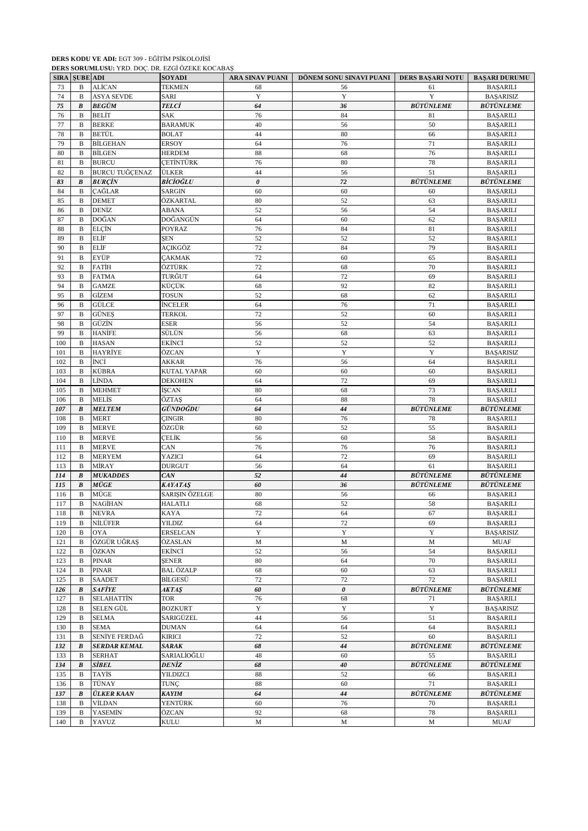#### **DERS KODU VE ADI:** EGT 309 - EĞİTİM PSİKOLOJİSİ **DERS SORUMLUSU:** YRD. DOÇ. DR. EZGİ ÖZEKE KOCABAŞ

|     | <b>SIRA SUBE ADI</b> | <b>DERO DOROMECOC.</b> TRD. DOÇ. DR. ELGI OLERE ROCHBIY | <b>SOYADI</b>    | ARA SINAV PUANI | DÖNEM SONU SINAVI PUANI | DERS BAŞARI NOTU | <b>BAŞARI DURUMU</b> |
|-----|----------------------|---------------------------------------------------------|------------------|-----------------|-------------------------|------------------|----------------------|
| 73  | B                    | <b>ALİCAN</b>                                           | <b>TEKMEN</b>    | 68              | 56                      | 61               | <b>BAŞARILI</b>      |
| 74  | B                    | <b>ASYA SEVDE</b>                                       | SARI             | $\mathbf Y$     | Y                       | Y                | <b>BAŞARISIZ</b>     |
| 75  | B                    | <b>BEGÜM</b>                                            | TELCİ            | 64              | 36                      | <b>BÜTÜNLEME</b> | <b>BÜTÜNLEME</b>     |
| 76  | B                    | BELİT                                                   | SAK              | 76              | 84                      | 81               | <b>BAŞARILI</b>      |
| 77  | B                    | <b>BERKE</b>                                            | <b>BARAMUK</b>   | 40              | 56                      | 50               | <b>BAŞARILI</b>      |
| 78  | B                    | <b>BETÜL</b>                                            | <b>BOLAT</b>     | 44              | 80                      | 66               | <b>BAŞARILI</b>      |
| 79  | $\mathbf B$          | <b>BİLGEHAN</b>                                         | ERSOY            | 64              | 76                      | 71               | <b>BAŞARILI</b>      |
| 80  | B                    | <b>BİLGEN</b>                                           | HERDEM           | 88              | 68                      | 76               | <b>BAŞARILI</b>      |
| 81  | B                    | <b>BURCU</b>                                            | <b>CETINTÜRK</b> | 76              | 80                      | 78               | <b>BAŞARILI</b>      |
| 82  | $\mathbf B$          | <b>BURCU TUĞCENAZ</b>                                   | ÜLKER            | 44              | 56                      | 51               | <b>BAŞARILI</b>      |
| 83  | $\pmb{B}$            | <b>BURCIN</b>                                           | BİCİOĞLU         | $\theta$        | 72                      | <b>BÜTÜNLEME</b> | <b>BÜTÜNLEME</b>     |
| 84  | B                    | <b>CAĞLAR</b>                                           | <b>SARGIN</b>    | 60              | 60                      | 60               | <b>BAŞARILI</b>      |
| 85  | B                    | <b>DEMET</b>                                            | ÖZKARTAL         | 80              | 52                      | 63               | <b>BAŞARILI</b>      |
| 86  | B                    | DENİZ                                                   | ABANA            | 52              | 56                      | 54               | <b>BAŞARILI</b>      |
| 87  | B                    | DOĞAN                                                   | DOĞANGÜN         | 64              | 60                      | 62               | <b>BAŞARILI</b>      |
| 88  | $\mathbf B$          | <b>ELCIN</b>                                            | POYRAZ           | 76              | 84                      | 81               | <b>BAŞARILI</b>      |
| 89  | B                    | <b>ELIF</b>                                             | <b>SEN</b>       | 52              | 52                      | 52               | <b>BAŞARILI</b>      |
| 90  | B                    | <b>ELIF</b>                                             | AÇIKGÖZ          | 72              | 84                      | 79               | <b>BAŞARILI</b>      |
| 91  | B                    | EYÜP                                                    | ÇAKMAK           | 72              | 60                      | 65               | <b>BAŞARILI</b>      |
| 92  | B                    | <b>FATIH</b>                                            | ÖZTÜRK           | 72              | 68                      | 70               | <b>BAŞARILI</b>      |
| 93  | B                    | <b>FATMA</b>                                            | TURĞUT           | 64              | 72                      | 69               | <b>BAŞARILI</b>      |
| 94  | B                    | <b>GAMZE</b>                                            | KÜÇÜK            | 68              | 92                      | 82               | <b>BAŞARILI</b>      |
| 95  | B                    | <b>GİZEM</b>                                            | TOSUN            | 52              | 68                      | 62               | <b>BAŞARILI</b>      |
| 96  | B                    | GÜLCE                                                   | <b>İNCELER</b>   | 64              | 76                      | 71               | <b>BAŞARILI</b>      |
| 97  | B                    | <b>GÜNES</b>                                            | <b>TERKOL</b>    | 72              | 52                      | 60               | <b>BAŞARILI</b>      |
| 98  | B                    | GÜZİN                                                   | ESER             | 56              | 52                      | 54               | <b>BAŞARILI</b>      |
| 99  | B                    | <b>HANİFE</b>                                           | SÜLÜN            | 56              | 68                      | 63               | <b>BAŞARILI</b>      |
| 100 | B                    | <b>HASAN</b>                                            | EKİNCİ           | 52              | 52                      | 52               | <b>BAŞARILI</b>      |
| 101 | B                    | HAYRİYE                                                 | ÖZCAN            | $\mathbf Y$     | $\mathbf Y$             | Y                | <b>BAŞARISIZ</b>     |
| 102 | B                    | İNCİ                                                    | AKKAR            | 76              | 56                      | 64               | <b>BAŞARILI</b>      |
| 103 | B                    | <b>KÜBRA</b>                                            | KUTAL YAPAR      | 60              | 60                      | 60               | <b>BAŞARILI</b>      |
| 104 | B                    | LİNDA                                                   | DEKOHEN          | 64              | 72                      | 69               | <b>BAŞARILI</b>      |
| 105 | B                    | <b>MEHMET</b>                                           | İŞCAN            | 80              | 68                      | 73               | <b>BAŞARILI</b>      |
| 106 | B                    | MELİS                                                   | ÖZTAŞ            | 64              | 88                      | 78               | <b>BAŞARILI</b>      |
| 107 | $\pmb{B}$            | <b>MELTEM</b>                                           | GÜNDOĞDU         | 64              | 44                      | <b>BÜTÜNLEME</b> | <b>BÜTÜNLEME</b>     |
| 108 | $\mathbf B$          | <b>MERT</b>                                             | <b>CINGIR</b>    | 80              | 76                      | 78               | <b>BAŞARILI</b>      |
| 109 | B                    | <b>MERVE</b>                                            | ÖZGÜR            | 60              | 52                      | 55               | <b>BAŞARILI</b>      |
| 110 | B                    | <b>MERVE</b>                                            | ÇELİK            | 56              | 60                      | 58               | <b>BAŞARILI</b>      |
| 111 | B                    | <b>MERVE</b>                                            | CAN              | 76              | 76                      | 76               | <b>BAŞARILI</b>      |
| 112 | B                    | <b>MERYEM</b>                                           | YAZICI           | 64              | 72                      | 69               | <b>BAŞARILI</b>      |
| 113 | $\, {\bf B}$         | MİRAY                                                   | DURGUT           | 56              | 64                      | 61               | <b>BAŞARILI</b>      |
| 114 | B                    | <b>MUKADDES</b>                                         | CAN              | 52              | 44                      | <b>BÜTÜNLEME</b> | <b>BÜTÜNLEME</b>     |
| 115 | B                    | $M\ddot{U}GE$                                           | KAYATAŞ          | 60              | 36                      | <b>BÜTÜNLEME</b> | <b>BÜTÜNLEME</b>     |
| 116 | B                    | MÜGE                                                    | SARIŞIN ÖZELGE   | 80              | 56                      | 66               | <b>BAŞARILI</b>      |
| 117 | B                    | NAGİHAN                                                 | HALATLI          | 68              | 52                      | 58               | <b>BAŞARILI</b>      |
| 118 | B                    | <b>NEVRA</b>                                            | KAYA             | $72\,$          | 64                      | 67               | <b>BAŞARILI</b>      |
| 119 | B                    | NİLÜFER                                                 | <b>YILDIZ</b>    | 64              | 72                      | 69               | <b>BAŞARILI</b>      |
| 120 | B                    | OYA                                                     | <b>ERSELCAN</b>  | Y               | $\mathbf Y$             | Y                | <b>BAŞARISIZ</b>     |
| 121 | B                    | ÖZGÜR UĞRAŞ                                             | ÖZASLAN          | $\mathbf M$     | M                       | $\mathbf M$      | <b>MUAF</b>          |
| 122 | B                    | ÖZKAN                                                   | EKİNCİ           | 52              | 56                      | 54               | <b>BAŞARILI</b>      |
| 123 | B                    | <b>PINAR</b>                                            | SENER            | 80              | 64                      | 70               | <b>BAŞARILI</b>      |
| 124 | B                    | PINAR                                                   | BAL ÖZALP        | 68              | 60                      | 63               | <b>BAŞARILI</b>      |
| 125 | B                    | <b>SAADET</b>                                           | BİLGESÜ          | $72\,$          | 72                      | 72               | <b>BAŞARILI</b>      |
| 126 | B                    | <b>SAFİYE</b>                                           | AKTAŞ            | 60              | $\boldsymbol{\theta}$   | <b>BÜTÜNLEME</b> | <b>BÜTÜNLEME</b>     |
| 127 | B                    | <b>SELAHATTİN</b>                                       | TOR              | 76              | 68                      | 71               | <b>BAŞARILI</b>      |
| 128 | B                    | SELEN GÜL                                               | <b>BOZKURT</b>   | Y               | $\mathbf Y$             | Y                | <b>BAŞARISIZ</b>     |
| 129 | B                    | <b>SELMA</b>                                            | SARIGÜZEL        | 44              | 56                      | 51               | <b>BAŞARILI</b>      |
| 130 | B                    | <b>SEMA</b>                                             | <b>DUMAN</b>     | 64              | 64                      | 64               | <b>BAŞARILI</b>      |
| 131 | B                    | SENİYE FERDAĞ                                           | KIRICI           | 72              | 52                      | 60               | <b>BAŞARILI</b>      |
| 132 | B                    | <b>SERDAR KEMAL</b>                                     | SARAK            | 68              | 44                      | <b>BÜTÜNLEME</b> | <b>BÜTÜNLEME</b>     |
| 133 | B                    | <b>SERHAT</b>                                           | SARIALİOĞLU      | 48              | 60                      | 55               | <b>BAŞARILI</b>      |
| 134 | $\pmb{B}$            | <b>SIBEL</b>                                            | DENİZ            | 68              | 40                      | <b>BÜTÜNLEME</b> | <b>BÜTÜNLEME</b>     |
| 135 | B                    | <b>TAYIS</b>                                            | YILDIZCI         | 88              | 52                      | 66               | <b>BAŞARILI</b>      |
| 136 | B                    | TÜNAY                                                   | TUNÇ             | 88              | 60                      | 71               | <b>BAŞARILI</b>      |
| 137 | B                    | <b>ÜLKER KAAN</b>                                       | <b>KAYIM</b>     | 64              | 44                      | <b>BÜTÜNLEME</b> | <b>BÜTÜNLEME</b>     |
| 138 | B                    | VİLDAN                                                  | YENTÜRK          | 60              | 76                      | 70               | <b>BAŞARILI</b>      |
| 139 | B                    | <b>YASEMİN</b>                                          | ÖZCAN            | 92              | 68                      | 78               | <b>BAŞARILI</b>      |
| 140 | B                    | YAVUZ                                                   | KULU             | M               | M                       | M                | <b>MUAF</b>          |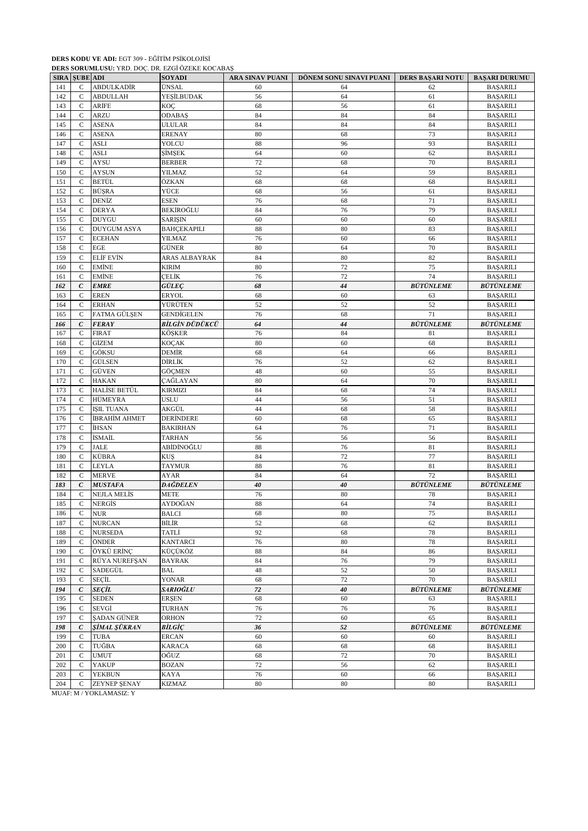#### **DERS KODU VE ADI:** EGT 309 - EĞİTİM PSİKOLOJİSİ **DERS SORUMLUSU:** YRD. DOÇ. DR. EZGİ ÖZEKE KOCABAŞ

|            | <b>SIRA SUBE ADI</b>         |                              | <b>DERO SORGIALOSO.</b> TRD. DOÇ. DR. LEGI OLERE ROCHBIRG<br><b>SOYADI</b> | ARA SINAV PUANI | DÖNEM SONU SINAVI PUANI | <b>DERS BAŞARI NOTU</b> | <b>BAŞARI DURUMU</b>                |
|------------|------------------------------|------------------------------|----------------------------------------------------------------------------|-----------------|-------------------------|-------------------------|-------------------------------------|
| 141        | $\mathsf{C}$                 | <b>ABDULKADİR</b>            | ÜNSAL                                                                      | 60              | 64                      | 62                      | <b>BAŞARILI</b>                     |
| 142        | $\mathsf{C}$                 | <b>ABDULLAH</b>              | YEŞİLBUDAK                                                                 | 56              | 64                      | 61                      | <b>BASARILI</b>                     |
| 143        | $\mathsf{C}$                 | ARİFE                        | KOÇ                                                                        | 68              | 56                      | 61                      | <b>BAŞARILI</b>                     |
| 144        | $\mathsf{C}$                 | <b>ARZU</b>                  | <b>ODABAŞ</b>                                                              | 84              | 84                      | 84                      | <b>BAŞARILI</b>                     |
| 145        | C                            | <b>ASENA</b>                 | <b>ULULAR</b>                                                              | 84              | 84                      | 84                      | <b>BAŞARILI</b>                     |
| 146        | $\mathsf{C}$                 | <b>ASENA</b>                 | <b>ERENAY</b>                                                              | 80              | 68                      | 73                      | <b>BAŞARILI</b>                     |
| 147        | $\mathsf{C}$                 | <b>ASLI</b>                  | YOLCU                                                                      | 88              | 96                      | 93                      | <b>BAŞARILI</b>                     |
| 148        | $\mathsf{C}$                 | <b>ASLI</b>                  | <b>ŞİMŞEK</b>                                                              | 64              | 60                      | 62                      | <b>BAŞARILI</b>                     |
| 149        | $\mathsf{C}$                 | <b>AYSU</b>                  | <b>BERBER</b>                                                              | 72              | 68                      | 70                      | <b>BAŞARILI</b>                     |
| 150        | $\mathsf{C}$                 | <b>AYSUN</b>                 | YILMAZ                                                                     | 52              | 64                      | 59                      | <b>BAŞARILI</b>                     |
| 151        | $\mathsf C$                  | <b>BETÜL</b>                 | ÖZKAN                                                                      | 68              | 68                      | 68                      | <b>BAŞARILI</b>                     |
| 152        | $\mathsf{C}$                 | BÜŞRA                        | YÜCE                                                                       | 68              | 56                      | 61                      | <b>BAŞARILI</b>                     |
| 153        | $\mathsf{C}$                 | DENİZ                        | <b>ESEN</b>                                                                | 76              | 68                      | 71                      | <b>BAŞARILI</b>                     |
| 154        | $\mathsf{C}$                 | <b>DERYA</b><br><b>DUYGU</b> | BEKİROĞLU                                                                  | 84              | 76                      | 79                      | <b>BAŞARILI</b>                     |
| 155<br>156 | $\mathsf{C}$<br>$\mathsf{C}$ | <b>DUYGUM ASYA</b>           | <b>SARIŞIN</b><br><b>BAHÇEKAPILI</b>                                       | 60<br>88        | 60<br>80                | 60<br>83                | <b>BAŞARILI</b><br><b>BAŞARILI</b>  |
| 157        | $\mathsf{C}$                 | <b>ECEHAN</b>                | YILMAZ                                                                     | 76              | 60                      | 66                      | <b>BAŞARILI</b>                     |
| 158        | $\mathsf{C}$                 | <b>EGE</b>                   | GÜNER                                                                      | 80              | 64                      | 70                      | <b>BAŞARILI</b>                     |
| 159        | $\mathcal{C}$                | <b>ELIF EVIN</b>             | ARAS ALBAYRAK                                                              | 84              | 80                      | 82                      | <b>BAŞARILI</b>                     |
| 160        | $\mathbf C$                  | <b>EMİNE</b>                 | <b>KIRIM</b>                                                               | 80              | 72                      | 75                      | <b>BAŞARILI</b>                     |
| 161        | $\mathsf{C}$                 | <b>EMİNE</b>                 | <b>CELİK</b>                                                               | 76              | 72                      | 74                      | <b>BAŞARILI</b>                     |
| 162        | $\mathcal C$                 | <b>EMRE</b>                  | <b>GÜLEC</b>                                                               | 68              | 44                      | <b>BÜTÜNLEME</b>        | <b>BÜTÜNLEME</b>                    |
| 163        | $\mathsf{C}$                 | <b>EREN</b>                  | <b>ERYOL</b>                                                               | 68              | 60                      | 63                      | <b>BAŞARILI</b>                     |
| 164        | C                            | <b>ERHAN</b>                 | YÜRÜTEN                                                                    | 52              | 52                      | 52                      | <b>BAŞARILI</b>                     |
| 165        | C                            | FATMA GÜLŞEN                 | <b>GENDIGELEN</b>                                                          | 76              | 68                      | 71                      | <b>BAŞARILI</b>                     |
| 166        | $\mathcal C$                 | <b>FERAY</b>                 | BİLGİN DÜDÜKCÜ                                                             | 64              | 44                      | <b>BÜTÜNLEME</b>        | <b>BÜTÜNLEME</b>                    |
| 167        | $\mathsf{C}$                 | <b>FIRAT</b>                 | KÖŞKER                                                                     | 76              | 84                      | 81                      | <b>BAŞARILI</b>                     |
| 168        | $\mathsf{C}$                 | <b>GİZEM</b>                 | KOÇAK                                                                      | 80              | 60                      | 68                      | <b>BAŞARILI</b>                     |
| 169        | $\mathcal{C}$                | GÖKSU                        | DEMİR                                                                      | 68              | 64                      | 66                      | <b>BAŞARILI</b>                     |
| 170        | $\mathsf{C}$                 | <b>GÜLSEN</b>                | DİRLİK                                                                     | 76              | 52                      | 62                      | <b>BAŞARILI</b>                     |
| 171        | $\mathsf C$                  | GÜVEN                        | GÖÇMEN                                                                     | 48              | 60                      | 55                      | <b>BAŞARILI</b>                     |
| 172        | $\mathsf{C}$                 | <b>HAKAN</b>                 | ÇAĞLAYAN                                                                   | 80              | 64                      | 70                      | <b>BAŞARILI</b>                     |
| 173        | $\mathcal{C}$                | HALİSE BETÜL                 | <b>KIRMIZI</b>                                                             | 84              | 68                      | 74                      | <b>BAŞARILI</b>                     |
| 174        | C                            | HÜMEYRA                      | <b>USLU</b>                                                                | 44              | 56                      | 51                      | <b>BAŞARILI</b>                     |
| 175        | $\mathbf C$                  | <b>ISIL TUANA</b>            | AKGÜL                                                                      | 44              | 68                      | 58                      | <b>BAŞARILI</b>                     |
| 176        | $\mathsf{C}$                 | İBRAHİM AHMET                | <b>DERİNDERE</b>                                                           | 60              | 68                      | 65                      | <b>BAŞARILI</b>                     |
| 177        | $\mathsf{C}$                 | İHSAN                        | <b>BAKIRHAN</b>                                                            | 64              | 76                      | 71                      | <b>BAŞARILI</b>                     |
| 178        | $\mathsf{C}$                 | İSMAİL                       | <b>TARHAN</b>                                                              | 56              | 56                      | 56                      | <b>BAŞARILI</b>                     |
| 179        | $\mathcal{C}$                | <b>JALE</b>                  | ABİDİNOĞLU                                                                 | 88              | 76                      | 81                      | <b>BAŞARILI</b>                     |
| 180        | $\mathbf C$                  | KÜBRA                        | <b>KUS</b>                                                                 | 84              | 72                      | 77                      | <b>BAŞARILI</b>                     |
| 181        | $\mathsf{C}$                 | <b>LEYLA</b>                 | TAYMUR                                                                     | 88              | 76                      | 81                      | BAŞARILI                            |
| 182        | $\mathsf{C}$                 | <b>MERVE</b>                 | AYAR                                                                       | 84              | 64                      | 72                      | <b>BAŞARILI</b>                     |
| 183        | $\epsilon$                   | <b>MUSTAFA</b>               | DAĞDELEN                                                                   | 40              | 40                      | <b>BÜTÜNLEME</b>        | <b>BÜTÜNLEME</b>                    |
| 184        | $\mathcal{C}$                | <b>NEJLA MELIS</b>           | <b>METE</b>                                                                | 76              | 80                      | 78                      | <b>BAŞARILI</b>                     |
| 185        | C                            | NERGIS                       | AYDOĞAN                                                                    | 88              | 64                      | 74                      | <b>BAŞARILI</b>                     |
| 186        | C                            | $_{\rm NUR}$                 | <b>BALCI</b>                                                               | 68              | $80\,$                  | 75                      | <b>BAŞARILI</b>                     |
| 187        | $\mathsf{C}$                 | <b>NURCAN</b>                | BİLİR                                                                      | 52              | 68                      | 62                      | <b>BAŞARILI</b>                     |
| 188        | $\mathsf{C}$                 | <b>NURSEDA</b>               | TATLİ                                                                      | 92              | 68                      | 78                      | <b>BAŞARILI</b>                     |
| 189        | $\mathsf{C}$                 | ÖNDER                        | <b>KANTARCI</b>                                                            | 76              | 80                      | 78                      | <b>BAŞARILI</b>                     |
| 190        | C<br>$\mathbf C$             | ÖYKÜ ERİNÇ<br>RÜYA NUREFŞAN  | KÜÇÜKÖZ<br><b>BAYRAK</b>                                                   | $88\,$<br>84    | 84                      | 86<br>79                | <b>BAŞARILI</b>                     |
| 191        |                              |                              |                                                                            |                 | 76                      |                         | <b>BAŞARILI</b>                     |
| 192        | $\mathsf{C}$<br>$\mathsf{C}$ | SADEGÜL<br><b>SEÇİL</b>      | <b>BAL</b><br>YONAR                                                        | 48              | 52<br>$72\,$            | 50<br>$70\,$            | <b>BAŞARILI</b>                     |
| 193<br>194 | $\mathcal C$                 | SEÇİL                        | SARIOĞLU                                                                   | 68<br>72        | 40                      | <b>BÜTÜNLEME</b>        | <b>BAŞARILI</b><br><b>BÜTÜNLEME</b> |
| 195        | $\mathsf{C}$                 | <b>SEDEN</b>                 | <b>ERSEN</b>                                                               |                 | 60                      |                         | <b>BAŞARILI</b>                     |
| 196        | $\mathbf C$                  | SEVGİ                        | <b>TURHAN</b>                                                              | 68<br>76        | 76                      | 63<br>76                | <b>BAŞARILI</b>                     |
| 197        | $\mathbf C$                  | ŞADAN GÜNER                  | ORHON                                                                      | $72\,$          | 60                      | 65                      | <b>BAŞARILI</b>                     |
| 198        | $\mathcal C$                 | ŞİMAL ŞÜKRAN                 | BİLGİÇ                                                                     | 36              | 52                      | <b>BÜTÜNLEME</b>        | <b>BÜTÜNLEME</b>                    |
| 199        | $\mathsf{C}$                 | <b>TUBA</b>                  | <b>ERCAN</b>                                                               | 60              | 60                      | 60                      | <b>BAŞARILI</b>                     |
| 200        | C                            | TUĞBA                        | <b>KARACA</b>                                                              | 68              | 68                      | 68                      | <b>BAŞARILI</b>                     |
| 201        | $\mathbf C$                  | <b>UMUT</b>                  | OĞUZ                                                                       | 68              | 72                      | 70                      | <b>BAŞARILI</b>                     |
| 202        | $\mathsf{C}$                 | <b>YAKUP</b>                 | <b>BOZAN</b>                                                               | $72\,$          | 56                      | 62                      | <b>BAŞARILI</b>                     |
| 203        | $\mathsf{C}$                 | <b>YEKBUN</b>                | KAYA                                                                       | 76              | 60                      | 66                      | <b>BAŞARILI</b>                     |
| 204        | C                            | ZEYNEP ŞENAY                 | <b>KIZMAZ</b>                                                              | 80              | 80                      | 80                      | <b>BAŞARILI</b>                     |
|            |                              | MUAF: M / YOKLAMASIZ: Y      |                                                                            |                 |                         |                         |                                     |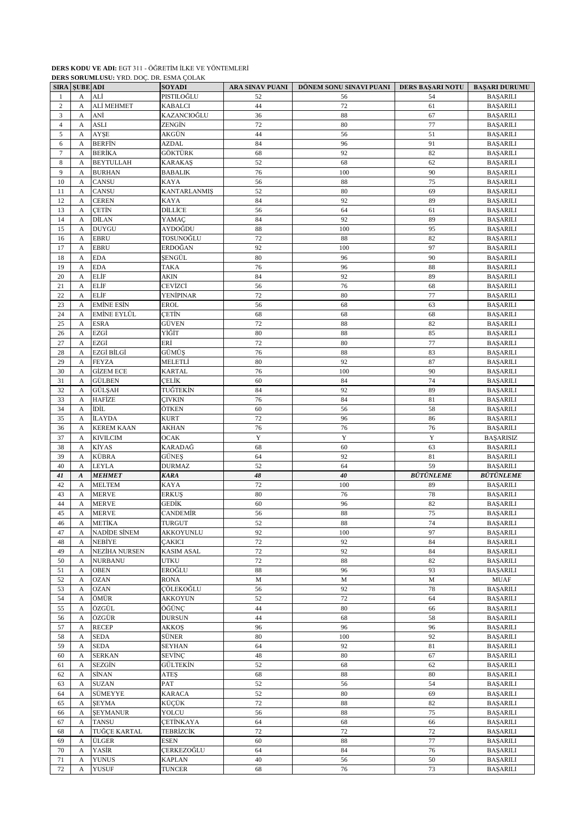# **DERS KODU VE ADI:** EGT 311 - ÖĞRETİM İLKE VE YÖNTEMLERİ

|                | <b>SIRA SUBE ADI</b>         |                                   | <b>SOYADI</b>                    |                   | ARA SINAV PUANI   DÖNEM SONU SINAVI PUANI   DERS BAŞARI NOTU |                  | <b>BAŞARI DURUMU</b>               |
|----------------|------------------------------|-----------------------------------|----------------------------------|-------------------|--------------------------------------------------------------|------------------|------------------------------------|
| 1              | A                            | ALİ                               | PISTILOĞLU                       | 52                | 56                                                           | 54               | <b>BAŞARILI</b>                    |
| $\overline{c}$ | A                            | ALİ MEHMET                        | <b>KABALCI</b>                   | 44                | 72                                                           | 61               | <b>BAŞARILI</b>                    |
| 3              | A                            | ANİ                               | KAZANCIOĞLU                      | 36                | 88                                                           | 67               | <b>BAŞARILI</b>                    |
| $\overline{4}$ | $\mathbf{A}$                 | <b>ASLI</b>                       | ZENGİN                           | 72                | 80                                                           | 77               | <b>BAŞARILI</b>                    |
| 5              | $\mathbf{A}$                 | AYŞE                              | AKGÜN                            | 44                | 56                                                           | 51               | <b>BAŞARILI</b>                    |
| 6              | $\mathbf{A}$                 | <b>BERFIN</b>                     | AZDAL                            | 84                | 96                                                           | 91               | <b>BAŞARILI</b>                    |
| $\tau$<br>8    | A                            | <b>BERİKA</b><br><b>BEYTULLAH</b> | GÖKTÜRK                          | 68<br>52          | 92<br>68                                                     | 82<br>62         | <b>BAŞARILI</b>                    |
| 9              | $\mathbf{A}$<br>$\mathbf{A}$ | <b>BURHAN</b>                     | <b>KARAKAS</b><br><b>BABALIK</b> | 76                | 100                                                          | 90               | <b>BAŞARILI</b><br><b>BAŞARILI</b> |
| 10             | $\mathbf{A}$                 | <b>CANSU</b>                      | KAYA                             | 56                | 88                                                           | 75               | <b>BAŞARILI</b>                    |
| 11             | A                            | <b>CANSU</b>                      | <b>KANTARLANMIŞ</b>              | 52                | 80                                                           | 69               | <b>BAŞARILI</b>                    |
| 12             | A                            | <b>CEREN</b>                      | <b>KAYA</b>                      | 84                | 92                                                           | 89               | <b>BAŞARILI</b>                    |
| 13             | $\mathbf{A}$                 | <b>CETIN</b>                      | DİLLİCE                          | 56                | 64                                                           | 61               | <b>BAŞARILI</b>                    |
| 14             | $\mathbf{A}$                 | <b>DİLAN</b>                      | YAMAÇ                            | 84                | 92                                                           | 89               | <b>BAŞARILI</b>                    |
| 15             | $\mathbf{A}$                 | <b>DUYGU</b>                      | AYDOĞDU                          | 88                | 100                                                          | 95               | <b>BAŞARILI</b>                    |
| 16             | A                            | <b>EBRU</b>                       | TOSUNOĞLU                        | 72                | 88                                                           | 82               | <b>BAŞARILI</b>                    |
| 17             | A                            | <b>EBRU</b>                       | ERDOĞAN                          | 92                | 100                                                          | 97               | <b>BAŞARILI</b>                    |
| 18             | A                            | <b>EDA</b>                        | ŞENGÜL                           | 80                | 96                                                           | 90               | <b>BAŞARILI</b>                    |
| 19             | $\mathbf{A}$                 | <b>EDA</b>                        | TAKA                             | 76                | 96                                                           | 88               | <b>BAŞARILI</b>                    |
| 20             | A                            | <b>ELIF</b>                       | AKIN                             | 84                | 92                                                           | 89               | <b>BAŞARILI</b>                    |
| 21             | A                            | <b>ELIF</b>                       | CEVİZCİ                          | 56                | 76                                                           | 68               | <b>BAŞARILI</b>                    |
| 22             | A                            | ELİF<br><b>EMİNE ESİN</b>         | YENİPINAR<br><b>EROL</b>         | 72<br>56          | 80<br>68                                                     | 77<br>63         | <b>BAŞARILI</b>                    |
| 23<br>24       | A<br>$\mathbf{A}$            | EMİNE EYLÜL                       | <b>CETIN</b>                     | 68                | 68                                                           | 68               | <b>BAŞARILI</b><br><b>BAŞARILI</b> |
| 25             | A                            | <b>ESRA</b>                       | GÜVEN                            | 72                | 88                                                           | 82               | <b>BAŞARILI</b>                    |
| 26             | $\mathbf{A}$                 | EZGİ                              | YİĞİT                            | 80                | 88                                                           | 85               | <b>BAŞARILI</b>                    |
| 27             | A                            | EZGİ                              | ERİ                              | 72                | 80                                                           | 77               | <b>BAŞARILI</b>                    |
| 28             | A                            | EZGİ BİLGİ                        | GÜMÜŞ                            | 76                | 88                                                           | 83               | <b>BAŞARILI</b>                    |
| 29             | $\mathbf{A}$                 | <b>FEYZA</b>                      | MELETLİ                          | 80                | 92                                                           | 87               | <b>BAŞARILI</b>                    |
| 30             | A                            | <b>GİZEM ECE</b>                  | <b>KARTAL</b>                    | 76                | 100                                                          | 90               | <b>BAŞARILI</b>                    |
| 31             | $\mathbf{A}$                 | <b>GÜLBEN</b>                     | CELİK                            | 60                | 84                                                           | 74               | <b>BAŞARILI</b>                    |
| 32             | A                            | GÜLŞAH                            | TUĞTEKİN                         | 84                | 92                                                           | 89               | <b>BAŞARILI</b>                    |
| 33             | $\mathbf{A}$                 | <b>HAFİZE</b>                     | <b>CIVKIN</b>                    | 76                | 84                                                           | 81               | <b>BAŞARILI</b>                    |
| 34             | $\mathbf A$                  | İDİL                              | ÖTKEN                            | 60                | 56                                                           | 58               | <b>BAŞARILI</b>                    |
| 35             | A                            | <b>İLAYDA</b>                     | <b>KURT</b>                      | 72                | 96                                                           | 86               | <b>BAŞARILI</b>                    |
| 36             | A                            | <b>KEREM KAAN</b>                 | AKHAN                            | 76                | 76                                                           | 76               | <b>BAŞARILI</b>                    |
| 37             | A                            | <b>KIVILCIM</b><br><b>KİYAS</b>   | <b>OCAK</b><br>KARADAĞ           | $\mathbf Y$<br>68 | Y<br>60                                                      | Y<br>63          | <b>BAŞARISIZ</b>                   |
| 38<br>39       | A<br>$\mathbf{A}$            | KÜBRA                             | <b>GÜNES</b>                     | 64                | 92                                                           | 81               | <b>BAŞARILI</b><br><b>BAŞARILI</b> |
| 40             | A                            | <b>LEYLA</b>                      | <b>DURMAZ</b>                    | 52                | 64                                                           | 59               | <b>BAŞARILI</b>                    |
| 41             | $\boldsymbol{A}$             | <b>MEHMET</b>                     | <b>KARA</b>                      | 48                | 40                                                           | <b>BÜTÜNLEME</b> | <b>BÜTÜNLEME</b>                   |
| 42             | A                            | <b>MELTEM</b>                     | <b>KAYA</b>                      | 72                | 100                                                          | 89               | <b>BAŞARILI</b>                    |
| 43             | A                            | <b>MERVE</b>                      | <b>ERKUS</b>                     | 80                | 76                                                           | 78               | <b>BAŞARILI</b>                    |
| 44             | $\mathbf{A}$                 | <b>MERVE</b>                      | GEDİK                            | 60                | 96                                                           | 82               | <b>BAŞARILI</b>                    |
| 45             | A                            | <b>MERVE</b>                      | <b>CANDEMIR</b>                  | 56                | 88                                                           | 75               | <b>BAŞARILI</b>                    |
| 46             | $\mathbf{A}$                 | <b>METİKA</b>                     | TURGUT                           | 52                | $\overline{\textbf{88}}$                                     | 74               | <b>BAŞARILI</b>                    |
| 47             | A                            | <b>NADİDE SİNEM</b>               | AKKOYUNLU                        | 92                | 100                                                          | 97               | <b>BAŞARILI</b>                    |
| 48             | A                            | <b>NEBİYE</b>                     | <b>ÇAKICI</b>                    | 72                | 92                                                           | 84               | <b>BAŞARILI</b>                    |
| 49             | $\mathbf{A}$                 | NEZİHA NURSEN                     | <b>KASIM ASAL</b>                | $72\,$            | 92                                                           | 84               | <b>BASARILI</b>                    |
| 50             | A                            | <b>NURBANU</b>                    | <b>UTKU</b>                      | 72                | $88\,$                                                       | 82               | <b>BAŞARILI</b>                    |
| 51             | A                            | <b>OBEN</b>                       | EROĞLU                           | 88                | 96                                                           | 93               | <b>BAŞARILI</b>                    |
| 52             | A                            | <b>OZAN</b>                       | <b>RONA</b><br>ÇÖLEKOĞLU         | $\mathbf M$       | $\mathbf M$                                                  | $\mathbf M$      | <b>MUAF</b>                        |
| 53<br>54       | A<br>$\mathbf{A}$            | <b>OZAN</b><br>ÖMÜR               | <b>AKKOYUN</b>                   | 56<br>52          | 92<br>72                                                     | 78<br>64         | <b>BAŞARILI</b><br><b>BAŞARILI</b> |
| 55             | A                            | ÖZGÜL                             | ÖĞÜNÇ                            | 44                | 80                                                           | 66               | <b>BAŞARILI</b>                    |
| 56             | A                            | ÖZGÜR                             | <b>DURSUN</b>                    | 44                | 68                                                           | 58               | <b>BAŞARILI</b>                    |
| 57             | A                            | <b>RECEP</b>                      | AKKOŞ                            | 96                | 96                                                           | 96               | <b>BAŞARILI</b>                    |
| 58             | A                            | <b>SEDA</b>                       | SÜNER                            | 80                | 100                                                          | 92               | <b>BAŞARILI</b>                    |
| 59             | $\mathbf A$                  | <b>SEDA</b>                       | <b>SEYHAN</b>                    | 64                | 92                                                           | $81\,$           | <b>BAŞARILI</b>                    |
| 60             | A                            | <b>SERKAN</b>                     | <b>SEVİNÇ</b>                    | 48                | 80                                                           | 67               | <b>BAŞARILI</b>                    |
| 61             | $\mathbf{A}$                 | <b>SEZGİN</b>                     | <b>GÜLTEKİN</b>                  | 52                | 68                                                           | 62               | <b>BAŞARILI</b>                    |
| 62             | A                            | SİNAN                             | ATES                             | 68                | 88                                                           | 80               | <b>BAŞARILI</b>                    |
| 63             | $\mathbf A$                  | <b>SUZAN</b>                      | PAT                              | 52                | 56                                                           | 54               | <b>BAŞARILI</b>                    |
| 64             | $\mathbf A$                  | SÜMEYYE                           | <b>KARACA</b>                    | 52                | 80                                                           | 69               | <b>BAŞARILI</b>                    |
| 65             | A                            | <b>ŞEYMA</b>                      | KÜÇÜK                            | 72                | 88                                                           | 82               | <b>BAŞARILI</b>                    |
| 66             | A                            | <b>ŞEYMANUR</b>                   | YOLCU                            | 56                | 88                                                           | 75               | <b>BAŞARILI</b>                    |
| 67             | A                            | <b>TANSU</b>                      | <b>CETINKAYA</b>                 | 64                | 68                                                           | 66               | <b>BAŞARILI</b>                    |
| 68             | A                            | TUĞÇE KARTAL                      | TEBRİZCİK                        | $72\,$            | 72                                                           | 72               | <b>BAŞARILI</b>                    |
| 69<br>70       | A<br>A                       | ÜLGER<br>YASİR                    | <b>ESEN</b><br><b>ÇERKEZOĞLU</b> | 60<br>64          | 88<br>84                                                     | $77\,$<br>76     | <b>BAŞARILI</b><br><b>BAŞARILI</b> |
| 71             | A                            | <b>YUNUS</b>                      | <b>KAPLAN</b>                    | 40                | 56                                                           | 50               | <b>BAŞARILI</b>                    |
| 72             | A                            | <b>YUSUF</b>                      | <b>TUNCER</b>                    | 68                | 76                                                           | 73               | <b>BAŞARILI</b>                    |

**DERS SORUMLUSU:** YRD. DOÇ. DR. ESMA ÇOLAK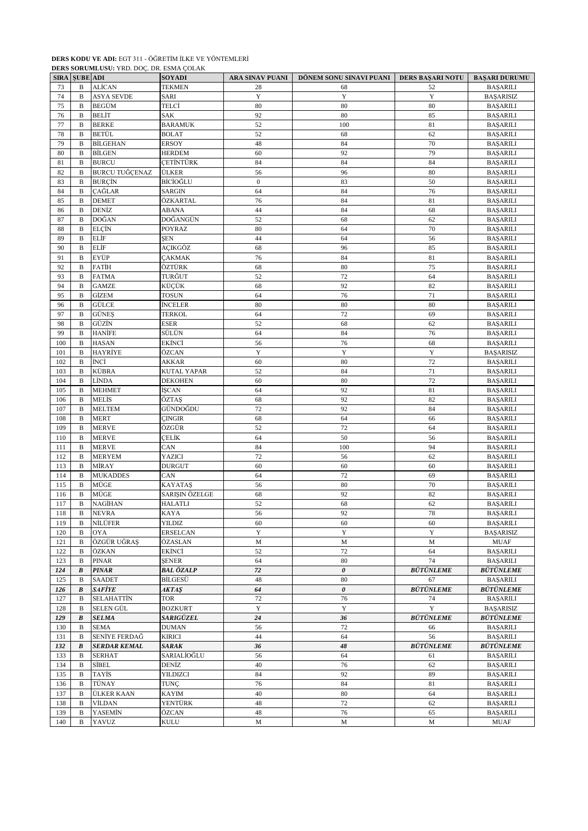## **DERS KODU VE ADI:** EGT 311 - ÖĞRETİM İLKE VE YÖNTEMLERİ

|             | DERS SORUMLUSU: YRD. DOC. DR. ESMA ÇOLAK |                       |                       |                  |                         |                  |                      |  |  |
|-------------|------------------------------------------|-----------------------|-----------------------|------------------|-------------------------|------------------|----------------------|--|--|
| <b>SIRA</b> | <b>SUBE ADI</b>                          |                       | <b>SOYADI</b>         | ARA SINAV PUANI  | DÖNEM SONU SINAVI PUANI | DERS BAŞARI NOTU | <b>BAŞARI DURUMU</b> |  |  |
| 73          | B                                        | ALİCAN                | <b>TEKMEN</b>         | 28               | 68                      | 52               | <b>BAŞARILI</b>      |  |  |
| 74          | B                                        | <b>ASYA SEVDE</b>     | <b>SARI</b>           | Y                | Y                       | Y                | <b>BASARISIZ</b>     |  |  |
| 75          | B                                        | <b>BEGÜM</b>          | TELCİ                 | 80               | 80                      | 80               | <b>BAŞARILI</b>      |  |  |
| 76          | B                                        | <b>BELIT</b>          | SAK                   | 92               | 80                      | 85               | <b>BAŞARILI</b>      |  |  |
| 77          | B                                        | <b>BERKE</b>          | <b>BARAMUK</b>        | 52               | 100                     | 81               | <b>BAŞARILI</b>      |  |  |
| 78          | B                                        | <b>BETÜL</b>          | <b>BOLAT</b>          | 52               | 68                      | 62               | <b>BAŞARILI</b>      |  |  |
| 79          | B                                        | <b>BİLGEHAN</b>       | <b>ERSOY</b>          | 48               | 84                      | 70               | <b>BAŞARILI</b>      |  |  |
| 80          | B                                        | <b>BİLGEN</b>         | <b>HERDEM</b>         | 60               | 92                      | 79               | <b>BAŞARILI</b>      |  |  |
| 81          | B                                        | <b>BURCU</b>          | CETİNTÜRK             | 84               | 84                      | 84               | <b>BAŞARILI</b>      |  |  |
| 82          | B                                        | <b>BURCU TUĞÇENAZ</b> | <b>ÜLKER</b>          | 56               | 96                      | 80               | <b>BAŞARILI</b>      |  |  |
| 83          | B                                        | <b>BURÇÎN</b>         | BİCİOĞLU              | $\boldsymbol{0}$ | 83                      | 50               | <b>BAŞARILI</b>      |  |  |
| 84          | $\mathbf B$                              | <b>CAĞLAR</b>         | <b>SARGIN</b>         | 64               | 84                      | 76               | <b>BAŞARILI</b>      |  |  |
| 85          | $\mathbf B$                              | <b>DEMET</b>          | ÖZKARTAL              | 76               | 84                      | 81               | <b>BAŞARILI</b>      |  |  |
| 86          | B                                        | DENİZ                 | ABANA                 | 44               | 84                      | 68               | <b>BAŞARILI</b>      |  |  |
| 87          | B                                        | DOĞAN                 | DOĞANGÜN              | 52               | 68                      | 62               | <b>BAŞARILI</b>      |  |  |
| 88          | B                                        | ELÇİN                 | POYRAZ                | 80               | 64                      | 70               | <b>BAŞARILI</b>      |  |  |
| 89          | $\mathbf B$                              | ELİF                  | <b>SEN</b>            | 44               | 64                      | 56               | <b>BAŞARILI</b>      |  |  |
| 90          | $\mathbf B$                              | ELİF                  | AÇIKGÖZ               | 68               | 96                      | 85               | <b>BAŞARILI</b>      |  |  |
| 91          | B                                        | EYÜP                  | <b>CAKMAK</b>         | 76               | 84                      | 81               | <b>BAŞARILI</b>      |  |  |
| 92          | B                                        | <b>FATIH</b>          | ÖZTÜRK                | 68               | 80                      | 75               |                      |  |  |
| 93          | B                                        |                       | TURĞUT                | 52               |                         |                  | <b>BAŞARILI</b>      |  |  |
|             |                                          | <b>FATMA</b>          |                       |                  | 72                      | 64               | <b>BAŞARILI</b>      |  |  |
| 94<br>95    | $\mathbf B$<br>$\mathbf B$               | <b>GAMZE</b><br>GİZEM | KÜÇÜK<br><b>TOSUN</b> | 68<br>64         | 92<br>76                | 82<br>71         | <b>BAŞARILI</b>      |  |  |
|             |                                          |                       |                       |                  |                         |                  | <b>BAŞARILI</b>      |  |  |
| 96          | B                                        | GÜLCE                 | <b>İNCELER</b>        | 80               | 80                      | 80               | <b>BAŞARILI</b>      |  |  |
| 97          | B                                        | <b>GÜNES</b>          | TERKOL                | 64               | 72                      | 69               | <b>BAŞARILI</b>      |  |  |
| 98          | B                                        | GÜZİN                 | ESER                  | 52               | 68                      | 62               | <b>BAŞARILI</b>      |  |  |
| 99          | $\mathbf B$                              | <b>HANİFE</b>         | SÜLÜN                 | 64               | 84                      | 76               | <b>BAŞARILI</b>      |  |  |
| 100         | B                                        | <b>HASAN</b>          | EKİNCİ                | 56               | 76                      | 68               | <b>BAŞARILI</b>      |  |  |
| 101         | B                                        | HAYRİYE               | ÖZCAN                 | $\mathbf Y$      | Y                       | $\mathbf Y$      | <b>BAŞARISIZ</b>     |  |  |
| 102         | B                                        | İNCİ                  | AKKAR                 | 60               | 80                      | 72               | <b>BAŞARILI</b>      |  |  |
| 103         | B                                        | KÜBRA                 | <b>KUTAL YAPAR</b>    | 52               | 84                      | 71               | <b>BAŞARILI</b>      |  |  |
| 104         | B                                        | LİNDA                 | <b>DEKOHEN</b>        | 60               | 80                      | 72               | <b>BAŞARILI</b>      |  |  |
| 105         | B                                        | <b>MEHMET</b>         | İŞCAN                 | 64               | 92                      | 81               | <b>BAŞARILI</b>      |  |  |
| 106         | B                                        | MELİS                 | ÖZTAŞ                 | 68               | 92                      | 82               | <b>BAŞARILI</b>      |  |  |
| 107         | B                                        | <b>MELTEM</b>         | GÜNDOĞDU              | 72               | 92                      | 84               | <b>BAŞARILI</b>      |  |  |
| 108         | B                                        | <b>MERT</b>           | ÇINGIR                | 68               | 64                      | 66               | <b>BAŞARILI</b>      |  |  |
| 109         | B                                        | <b>MERVE</b>          | ÖZGÜR                 | 52               | 72                      | 64               | <b>BAŞARILI</b>      |  |  |
| 110         | $\mathbf B$                              | <b>MERVE</b>          | ÇELİK                 | 64               | 50                      | 56               | <b>BAŞARILI</b>      |  |  |
| 111         | B                                        | <b>MERVE</b>          | CAN                   | 84               | 100                     | 94               | <b>BAŞARILI</b>      |  |  |
| 112         | B                                        | <b>MERYEM</b>         | YAZICI                | 72               | 56                      | 62               | <b>BAŞARILI</b>      |  |  |
| 113         | B                                        | MİRAY                 | <b>DURGUT</b>         | 60               | 60                      | 60               | <b>BAŞARILI</b>      |  |  |
| 114         | B                                        | <b>MUKADDES</b>       | CAN                   | 64               | 72                      | 69               | <b>BAŞARILI</b>      |  |  |
| 115         | B                                        | MÜGE                  | <b>KAYATAŞ</b>        | 56               | 80                      | 70               | <b>BAŞARILI</b>      |  |  |
| 116         | B                                        | MÜGE                  | SARIŞIN ÖZELGE        | 68               | 92                      | 82               | <b>BAŞARILI</b>      |  |  |
| 117         | <sub>B</sub>                             | <b>NAGİHAN</b>        | <b>HALATLI</b>        | 52               | 68                      | 62               | <b>BAŞARILI</b>      |  |  |
| 118         | B                                        | <b>NEVRA</b>          | KAYA                  | 56               | 92                      | 78               | <b>BAŞARILI</b>      |  |  |
| 119         | B                                        | NİLÜFER               | YILDIZ                | 60               | 60                      | 60               | <b>BAŞARILI</b>      |  |  |
| 120         | B                                        | OYA                   | <b>ERSELCAN</b>       | $\mathbf Y$      | $\mathbf Y$             | $\mathbf Y$      | <b>BAŞARISIZ</b>     |  |  |
| 121         | B                                        | ÖZGÜR UĞRAŞ           | ÖZASLAN               | $\mathbf M$      | $\mathbf M$             | $\mathbf M$      | MUAF                 |  |  |
| 122         | B                                        | ÖZKAN                 | EKİNCİ                | 52               | 72                      | 64               | <b>BAŞARILI</b>      |  |  |
| 123         | B                                        | PINAR                 | ŞENER                 | 64               | 80                      | 74               | <b>BAŞARILI</b>      |  |  |
| 124         | $\pmb{B}$                                | <b>PINAR</b>          | BAL ÖZALP             | 72               | $\boldsymbol{\theta}$   | <b>BÜTÜNLEME</b> | <b>BÜTÜNLEME</b>     |  |  |
| 125         | B                                        | <b>SAADET</b>         | BİLGESÜ               | 48               | 80                      | 67               | <b>BAŞARILI</b>      |  |  |
| 126         | B                                        | <b>SAFİYE</b>         | <b>AKTAŞ</b>          | 64               | $\boldsymbol{\theta}$   | <b>BÜTÜNLEME</b> | <b>BÜTÜNLEME</b>     |  |  |
| 127         | B                                        | <b>SELAHATTİN</b>     | TOR                   | $72\,$           | 76                      | 74               | <b>BAŞARILI</b>      |  |  |
| 128         | B                                        | SELEN GÜL             | <b>BOZKURT</b>        | $\mathbf Y$      | Y                       | $\mathbf Y$      | <b>BAŞARISIZ</b>     |  |  |
| 129         | $\pmb{B}$                                | <b>SELMA</b>          | SARIGÜZEL             | 24               | 36                      | <b>BÜTÜNLEME</b> | <b>BÜTÜNLEME</b>     |  |  |
| 130         | B                                        | <b>SEMA</b>           | <b>DUMAN</b>          | 56               | 72                      | 66               | <b>BAŞARILI</b>      |  |  |
| 131         | B                                        | SENİYE FERDAĞ         | <b>KIRICI</b>         | 44               | 64                      | 56               | <b>BAŞARILI</b>      |  |  |
| 132         | $\pmb{B}$                                | <b>SERDAR KEMAL</b>   | SARAK                 | 36               | 48                      | <b>BÜTÜNLEME</b> | <b>BÜTÜNLEME</b>     |  |  |
| 133         | B                                        | <b>SERHAT</b>         | SARIALİOĞLU           | 56               | 64                      | 61               | <b>BAŞARILI</b>      |  |  |
| 134         | B                                        | <b>SİBEL</b>          | DENİZ                 | 40               | 76                      | 62               | <b>BAŞARILI</b>      |  |  |
| 135         | B                                        | TAYİS                 | YILDIZCI              | 84               | 92                      | 89               | <b>BAŞARILI</b>      |  |  |
| 136         | B                                        | TÜNAY                 | TUNÇ                  | 76               | 84                      | 81               | <b>BAŞARILI</b>      |  |  |
| 137         | B                                        | <b>ÜLKER KAAN</b>     | <b>KAYIM</b>          | 40               | 80                      | 64               | <b>BAŞARILI</b>      |  |  |
| 138         | B                                        | VİLDAN                | YENTÜRK               | 48               | 72                      | 62               | <b>BAŞARILI</b>      |  |  |
| 139         | B                                        | <b>YASEMİN</b>        | ÖZCAN                 | 48               | 76                      | 65               | <b>BAŞARILI</b>      |  |  |
| 140         | B                                        | YAVUZ                 | KULU                  | M                | M                       | M                | MUAF                 |  |  |